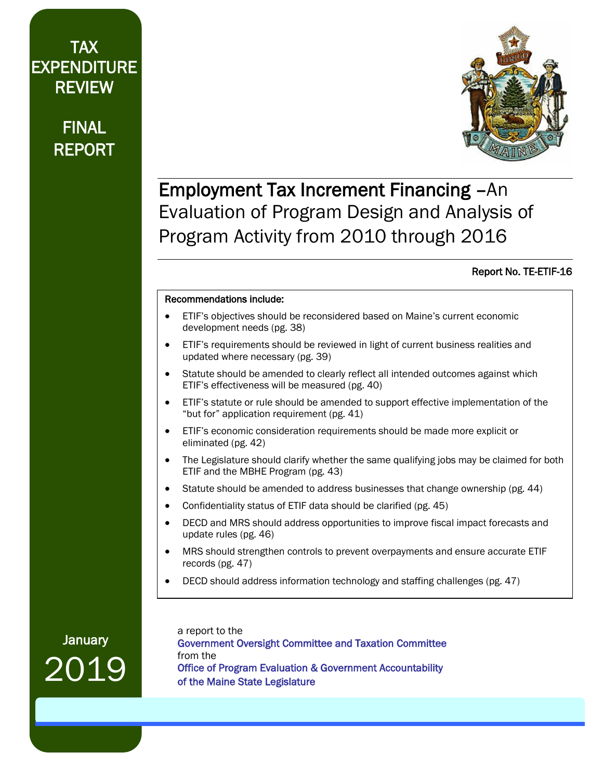# TAX EXPENDITURE REVIEW

# FINAL REPORT



# Employment Tax Increment Financing –An Evaluation of Program Design and Analysis of Program Activity from 2010 through 2016

#### Report No. TE-ETIF-16

#### Recommendations include:

- ETIF's objectives should be reconsidered based on Maine's current economic development needs (pg. 38)
- ETIF's requirements should be reviewed in light of current business realities and updated where necessary (pg. 39)
- Statute should be amended to clearly reflect all intended outcomes against which ETIF's effectiveness will be measured (pg. 40)
- ETIF's statute or rule should be amended to support effective implementation of the "but for" application requirement (pg. 41)
- ETIF's economic consideration requirements should be made more explicit or eliminated (pg. 42)
- The Legislature should clarify whether the same qualifying jobs may be claimed for both ETIF and the MBHE Program (pg. 43)
- Statute should be amended to address businesses that change ownership (pg. 44)
- Confidentiality status of ETIF data should be clarified (pg. 45)
- DECD and MRS should address opportunities to improve fiscal impact forecasts and update rules (pg. 46)
- MRS should strengthen controls to prevent overpayments and ensure accurate ETIF records (pg. 47)
- DECD should address information technology and staffing challenges (pg. 47)

January 2019 a report to the Government Oversight Committee and Taxation Committee from the Office of Program Evaluation & Government Accountability of the Maine State Legislature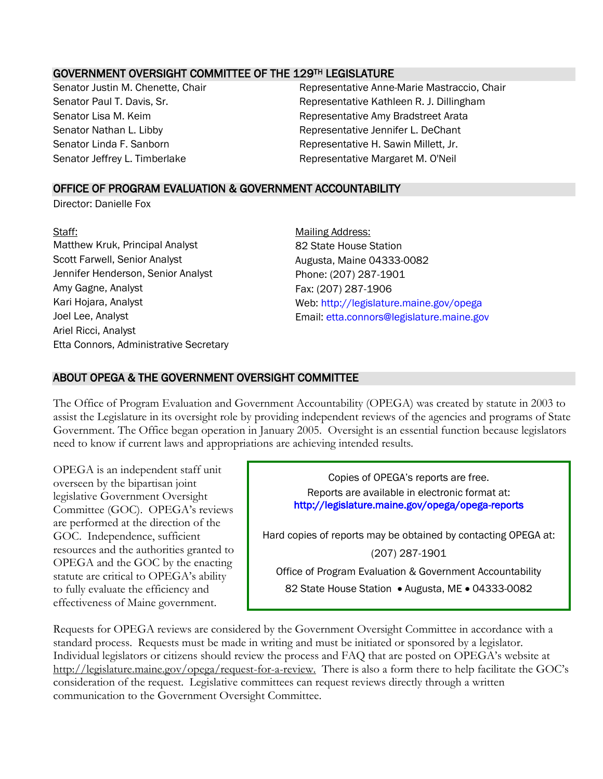#### GOVERNMENT OVERSIGHT COMMITTEE OF THE 129TH LEGISLATURE

Senator Justin M. Chenette, Chair **Representative Anne-Marie Mastraccio, Chair** Senator Paul T. Davis, Sr. **Representative Kathleen R. J. Dillingham** Senator Lisa M. Keim **Representative Amy Bradstreet Arata** Senator Nathan L. Libby **Representative Jennifer L. DeChant** Senator Linda F. Sanborn **Representative H. Sawin Millett**, Jr. Senator Jeffrey L. Timberlake **Representative Margaret M. O'Neil** 

#### OFFICE OF PROGRAM EVALUATION & GOVERNMENT ACCOUNTABILITY

Director: Danielle Fox

Staff: Staff: Staff: And The Contract of the Mailing Address: Mailing Address: National Address: National Address: National Address: National Address: National Address: National Address: National Address: National Address: Matthew Kruk, Principal Analyst **82 State House Station** Scott Farwell, Senior Analyst **Augusta, Maine 04333-0082** Jennifer Henderson, Senior Analyst Phone: (207) 287-1901 Amy Gagne, Analyst **Fax: (207)** 287-1906 Ariel Ricci, Analyst Etta Connors, Administrative Secretary

Kari Hojara, Analyst Web: http://legislature.maine.gov/opega Joel Lee, Analyst **Email:** etta.connors@legislature.maine.gov

#### ABOUT OPEGA & THE GOVERNMENT OVERSIGHT COMMITTEE

The Office of Program Evaluation and Government Accountability (OPEGA) was created by statute in 2003 to assist the Legislature in its oversight role by providing independent reviews of the agencies and programs of State Government. The Office began operation in January 2005. Oversight is an essential function because legislators need to know if current laws and appropriations are achieving intended results.

OPEGA is an independent staff unit overseen by the bipartisan joint legislative Government Oversight Committee (GOC). OPEGA's reviews are performed at the direction of the GOC. Independence, sufficient resources and the authorities granted to OPEGA and the GOC by the enacting statute are critical to OPEGA's ability to fully evaluate the efficiency and effectiveness of Maine government.

Copies of OPEGA's reports are free. Reports are available in electronic format at: http://legislature.maine.gov/opega/opega-reports Hard copies of reports may be obtained by contacting OPEGA at: (207) 287-1901 Office of Program Evaluation & Government Accountability 82 State House Station . Augusta, ME . 04333-0082

Requests for OPEGA reviews are considered by the Government Oversight Committee in accordance with a standard process. Requests must be made in writing and must be initiated or sponsored by a legislator. Individual legislators or citizens should review the process and FAQ that are posted on OPEGA's website at http://legislature.maine.gov/opega/request-for-a-review. There is also a form there to help facilitate the GOC's consideration of the request. Legislative committees can request reviews directly through a written communication to the Government Oversight Committee.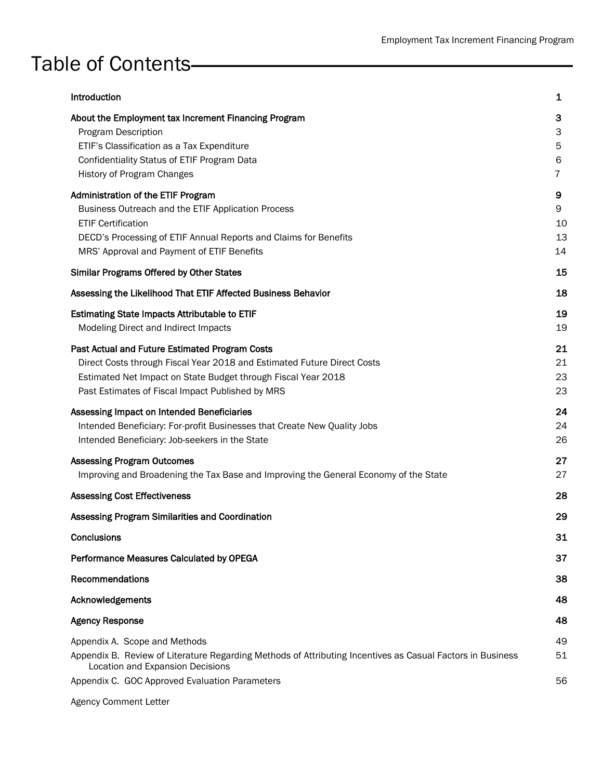# Table of Contents

| Introduction                                                                                                                                                                                                                                   | 1                        |
|------------------------------------------------------------------------------------------------------------------------------------------------------------------------------------------------------------------------------------------------|--------------------------|
| About the Employment tax Increment Financing Program<br>Program Description<br>ETIF's Classification as a Tax Expenditure<br>Confidentiality Status of ETIF Program Data<br>History of Program Changes                                         | 3<br>3<br>5<br>6<br>7    |
| Administration of the ETIF Program<br>Business Outreach and the ETIF Application Process<br><b>ETIF Certification</b><br>DECD's Processing of ETIF Annual Reports and Claims for Benefits<br>MRS' Approval and Payment of ETIF Benefits        | 9<br>9<br>10<br>13<br>14 |
| <b>Similar Programs Offered by Other States</b>                                                                                                                                                                                                | 15                       |
| Assessing the Likelihood That ETIF Affected Business Behavior                                                                                                                                                                                  | 18                       |
| <b>Estimating State Impacts Attributable to ETIF</b><br>Modeling Direct and Indirect Impacts                                                                                                                                                   | 19<br>19                 |
| Past Actual and Future Estimated Program Costs<br>Direct Costs through Fiscal Year 2018 and Estimated Future Direct Costs<br>Estimated Net Impact on State Budget through Fiscal Year 2018<br>Past Estimates of Fiscal Impact Published by MRS | 21<br>21<br>23<br>23     |
| Assessing Impact on Intended Beneficiaries<br>Intended Beneficiary: For-profit Businesses that Create New Quality Jobs<br>Intended Beneficiary: Job-seekers in the State                                                                       | 24<br>24<br>26           |
| <b>Assessing Program Outcomes</b><br>Improving and Broadening the Tax Base and Improving the General Economy of the State                                                                                                                      | 27<br>27                 |
| <b>Assessing Cost Effectiveness</b>                                                                                                                                                                                                            | 28                       |
| Assessing Program Similarities and Coordination                                                                                                                                                                                                | 29                       |
| <b>Conclusions</b>                                                                                                                                                                                                                             | 31                       |
| Performance Measures Calculated by OPEGA                                                                                                                                                                                                       | 37                       |
| Recommendations                                                                                                                                                                                                                                | 38                       |
| Acknowledgements                                                                                                                                                                                                                               | 48                       |
| <b>Agency Response</b>                                                                                                                                                                                                                         | 48                       |
| Appendix A. Scope and Methods<br>Appendix B. Review of Literature Regarding Methods of Attributing Incentives as Casual Factors in Business<br>Location and Expansion Decisions                                                                | 49<br>51                 |
| Appendix C. GOC Approved Evaluation Parameters                                                                                                                                                                                                 | 56                       |
| <b>Agency Comment Letter</b>                                                                                                                                                                                                                   |                          |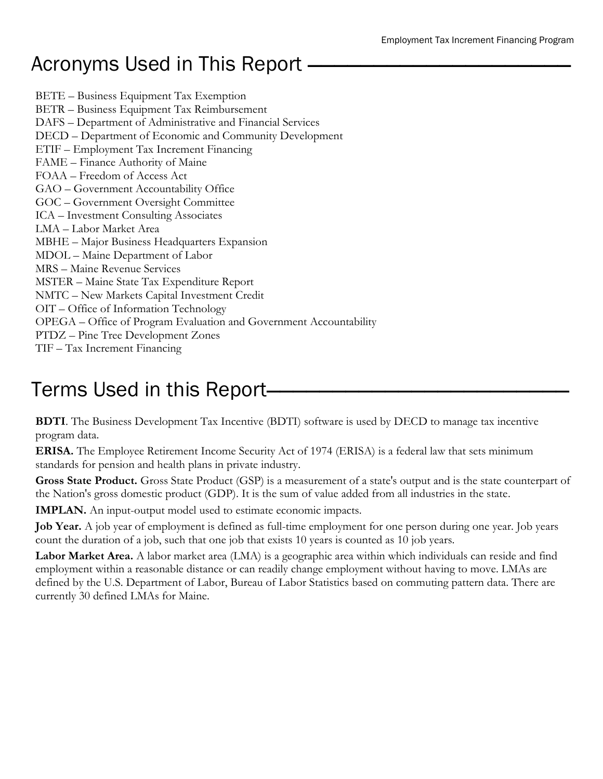# Acronyms Used in This Report

BETE – Business Equipment Tax Exemption BETR – Business Equipment Tax Reimbursement DAFS – Department of Administrative and Financial Services DECD – Department of Economic and Community Development ETIF – Employment Tax Increment Financing FAME – Finance Authority of Maine FOAA – Freedom of Access Act GAO – Government Accountability Office GOC – Government Oversight Committee ICA – Investment Consulting Associates LMA – Labor Market Area MBHE – Major Business Headquarters Expansion MDOL – Maine Department of Labor MRS – Maine Revenue Services MSTER – Maine State Tax Expenditure Report NMTC – New Markets Capital Investment Credit OIT – Office of Information Technology OPEGA – Office of Program Evaluation and Government Accountability PTDZ – Pine Tree Development Zones TIF – Tax Increment Financing

# Terms Used in this Report–

**BDTI**. The Business Development Tax Incentive (BDTI) software is used by DECD to manage tax incentive program data.

**ERISA.** The Employee Retirement Income Security Act of 1974 (ERISA) is a federal law that sets minimum standards for pension and health plans in private industry.

**Gross State Product.** Gross State Product (GSP) is a measurement of a state's output and is the state counterpart of the Nation's gross domestic product (GDP). It is the sum of value added from all industries in the state.

**IMPLAN.** An input-output model used to estimate economic impacts.

**Job Year.** A job year of employment is defined as full-time employment for one person during one year. Job years count the duration of a job, such that one job that exists 10 years is counted as 10 job years.

**Labor Market Area.** A labor market area (LMA) is a geographic area within which individuals can reside and find employment within a reasonable distance or can readily change employment without having to move. LMAs are defined by the U.S. Department of Labor, Bureau of Labor Statistics based on commuting pattern data. There are currently 30 defined LMAs for Maine.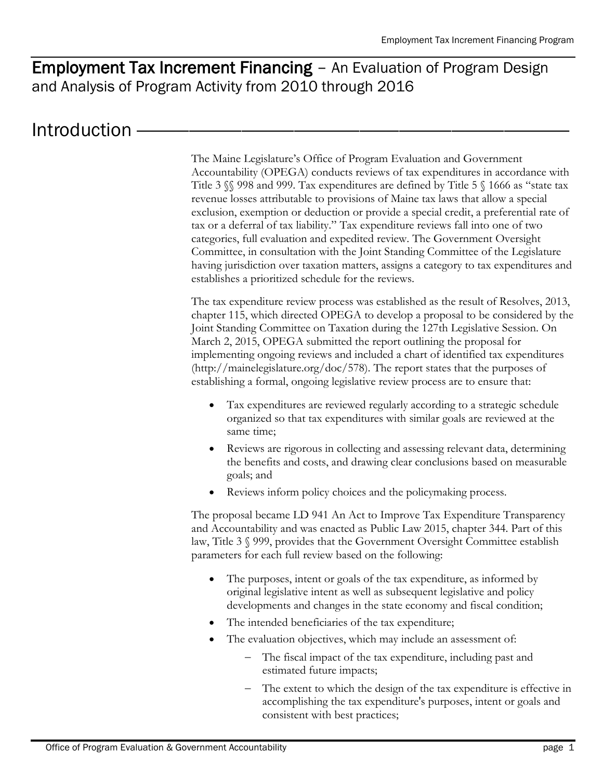# Employment Tax Increment Financing – An Evaluation of Program Design and Analysis of Program Activity from 2010 through 2016

# Introduction

The Maine Legislature's Office of Program Evaluation and Government Accountability (OPEGA) conducts reviews of tax expenditures in accordance with Title 3  $\$  998 and 999. Tax expenditures are defined by Title 5  $\$ 1666 as "state tax revenue losses attributable to provisions of Maine tax laws that allow a special exclusion, exemption or deduction or provide a special credit, a preferential rate of tax or a deferral of tax liability." Tax expenditure reviews fall into one of two categories, full evaluation and expedited review. The Government Oversight Committee, in consultation with the Joint Standing Committee of the Legislature having jurisdiction over taxation matters, assigns a category to tax expenditures and establishes a prioritized schedule for the reviews.

The tax expenditure review process was established as the result of Resolves, 2013, chapter 115, which directed OPEGA to develop a proposal to be considered by the Joint Standing Committee on Taxation during the 127th Legislative Session. On March 2, 2015, OPEGA submitted the report outlining the proposal for implementing ongoing reviews and included a chart of identified tax expenditures (http://mainelegislature.org/doc/578). The report states that the purposes of establishing a formal, ongoing legislative review process are to ensure that:

- Tax expenditures are reviewed regularly according to a strategic schedule organized so that tax expenditures with similar goals are reviewed at the same time;
- Reviews are rigorous in collecting and assessing relevant data, determining the benefits and costs, and drawing clear conclusions based on measurable goals; and
- Reviews inform policy choices and the policymaking process.

The proposal became LD 941 An Act to Improve Tax Expenditure Transparency and Accountability and was enacted as Public Law 2015, chapter 344. Part of this law, Title 3 § 999, provides that the Government Oversight Committee establish parameters for each full review based on the following:

- The purposes, intent or goals of the tax expenditure, as informed by original legislative intent as well as subsequent legislative and policy developments and changes in the state economy and fiscal condition;
- The intended beneficiaries of the tax expenditure;
- The evaluation objectives, which may include an assessment of:
	- The fiscal impact of the tax expenditure, including past and estimated future impacts;
	- The extent to which the design of the tax expenditure is effective in accomplishing the tax expenditure's purposes, intent or goals and consistent with best practices;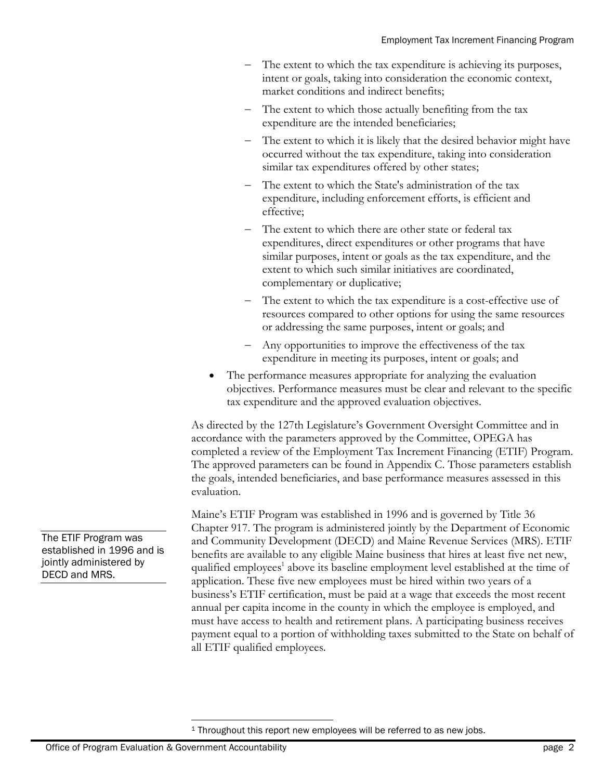- The extent to which the tax expenditure is achieving its purposes, intent or goals, taking into consideration the economic context, market conditions and indirect benefits;
- The extent to which those actually benefiting from the tax expenditure are the intended beneficiaries;
- The extent to which it is likely that the desired behavior might have occurred without the tax expenditure, taking into consideration similar tax expenditures offered by other states;
- The extent to which the State's administration of the tax expenditure, including enforcement efforts, is efficient and effective;
- The extent to which there are other state or federal tax expenditures, direct expenditures or other programs that have similar purposes, intent or goals as the tax expenditure, and the extent to which such similar initiatives are coordinated, complementary or duplicative;
- The extent to which the tax expenditure is a cost-effective use of resources compared to other options for using the same resources or addressing the same purposes, intent or goals; and
- Any opportunities to improve the effectiveness of the tax expenditure in meeting its purposes, intent or goals; and
- The performance measures appropriate for analyzing the evaluation objectives. Performance measures must be clear and relevant to the specific tax expenditure and the approved evaluation objectives.

As directed by the 127th Legislature's Government Oversight Committee and in accordance with the parameters approved by the Committee, OPEGA has completed a review of the Employment Tax Increment Financing (ETIF) Program. The approved parameters can be found in Appendix C. Those parameters establish the goals, intended beneficiaries, and base performance measures assessed in this evaluation.

Maine's ETIF Program was established in 1996 and is governed by Title 36 Chapter 917. The program is administered jointly by the Department of Economic and Community Development (DECD) and Maine Revenue Services (MRS). ETIF benefits are available to any eligible Maine business that hires at least five net new, qualified employees<sup>1</sup> above its baseline employment level established at the time of application. These five new employees must be hired within two years of a business's ETIF certification, must be paid at a wage that exceeds the most recent annual per capita income in the county in which the employee is employed, and must have access to health and retirement plans. A participating business receives payment equal to a portion of withholding taxes submitted to the State on behalf of all ETIF qualified employees.

<sup>1</sup> Throughout this report new employees will be referred to as new jobs.

The ETIF Program was established in 1996 and is jointly administered by DECD and MRS.

 $\overline{a}$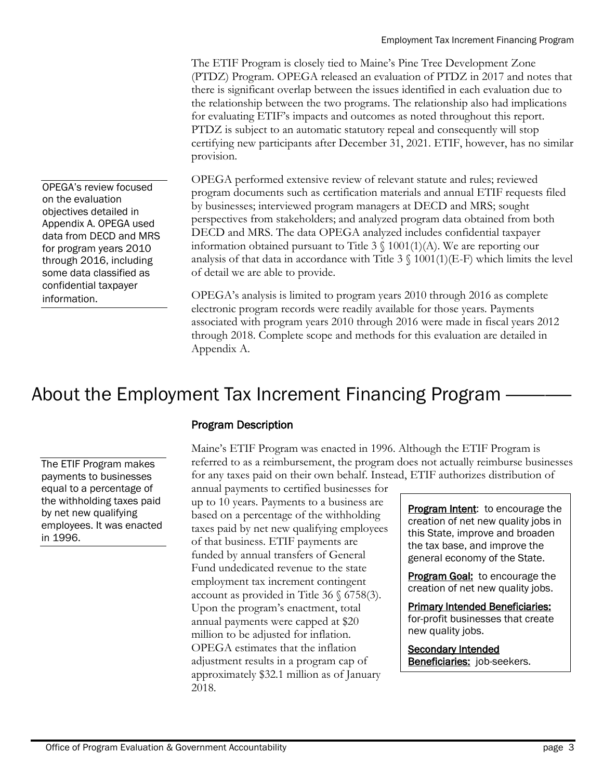The ETIF Program is closely tied to Maine's Pine Tree Development Zone (PTDZ) Program. OPEGA released an evaluation of PTDZ in 2017 and notes that there is significant overlap between the issues identified in each evaluation due to the relationship between the two programs. The relationship also had implications for evaluating ETIF's impacts and outcomes as noted throughout this report. PTDZ is subject to an automatic statutory repeal and consequently will stop certifying new participants after December 31, 2021. ETIF, however, has no similar provision.

OPEGA performed extensive review of relevant statute and rules; reviewed program documents such as certification materials and annual ETIF requests filed by businesses; interviewed program managers at DECD and MRS; sought perspectives from stakeholders; and analyzed program data obtained from both DECD and MRS. The data OPEGA analyzed includes confidential taxpayer information obtained pursuant to Title  $3 \n\in 1001(1)(A)$ . We are reporting our analysis of that data in accordance with Title  $3 \text{ } \setminus 1001(1)$  (E-F) which limits the level of detail we are able to provide.

OPEGA's analysis is limited to program years 2010 through 2016 as complete electronic program records were readily available for those years. Payments associated with program years 2010 through 2016 were made in fiscal years 2012 through 2018. Complete scope and methods for this evaluation are detailed in Appendix A.

# About the Employment Tax Increment Financing Program

The ETIF Program makes payments to businesses equal to a percentage of the withholding taxes paid by net new qualifying employees. It was enacted in 1996.

### Program Description

Maine's ETIF Program was enacted in 1996. Although the ETIF Program is referred to as a reimbursement, the program does not actually reimburse businesses for any taxes paid on their own behalf. Instead, ETIF authorizes distribution of

annual payments to certified businesses for up to 10 years. Payments to a business are based on a percentage of the withholding taxes paid by net new qualifying employees of that business. ETIF payments are funded by annual transfers of General Fund undedicated revenue to the state employment tax increment contingent account as provided in Title 36 § 6758(3). Upon the program's enactment, total annual payments were capped at \$20 million to be adjusted for inflation. OPEGA estimates that the inflation adjustment results in a program cap of approximately \$32.1 million as of January 2018.

Program Intent: to encourage the creation of net new quality jobs in this State, improve and broaden the tax base, and improve the general economy of the State.

**Program Goal:** to encourage the creation of net new quality jobs.

Primary Intended Beneficiaries: for-profit businesses that create new quality jobs.

**Secondary Intended Beneficiaries:** job-seekers.

OPEGA's review focused on the evaluation objectives detailed in Appendix A. OPEGA used data from DECD and MRS for program years 2010 through 2016, including some data classified as confidential taxpayer information.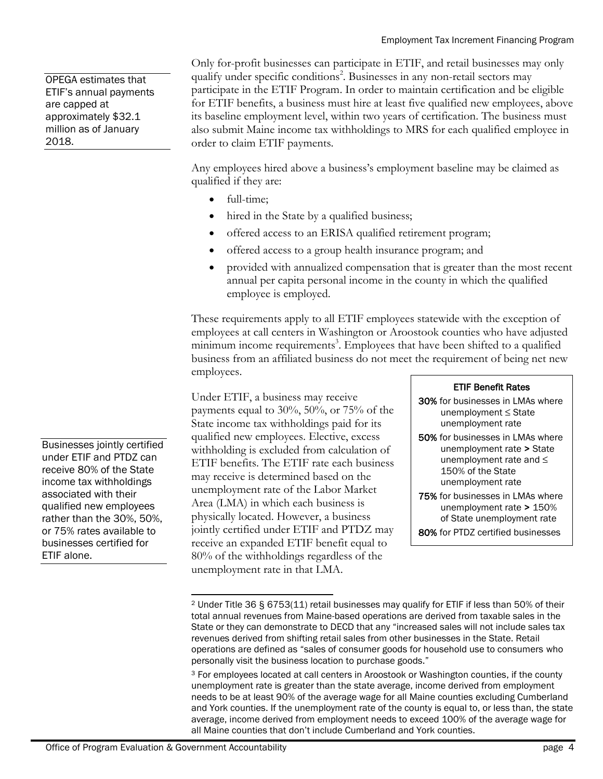OPEGA estimates that ETIF's annual payments are capped at approximately \$32.1 million as of January 2018.

Only for-profit businesses can participate in ETIF, and retail businesses may only qualify under specific conditions<sup>2</sup>. Businesses in any non-retail sectors may participate in the ETIF Program. In order to maintain certification and be eligible for ETIF benefits, a business must hire at least five qualified new employees, above its baseline employment level, within two years of certification. The business must also submit Maine income tax withholdings to MRS for each qualified employee in order to claim ETIF payments.

Any employees hired above a business's employment baseline may be claimed as qualified if they are:

- full-time;
- hired in the State by a qualified business;
- offered access to an ERISA qualified retirement program;
- offered access to a group health insurance program; and
- provided with annualized compensation that is greater than the most recent annual per capita personal income in the county in which the qualified employee is employed.

These requirements apply to all ETIF employees statewide with the exception of employees at call centers in Washington or Aroostook counties who have adjusted minimum income requirements<sup>3</sup>. Employees that have been shifted to a qualified business from an affiliated business do not meet the requirement of being net new employees.

Under ETIF, a business may receive payments equal to 30%, 50%, or 75% of the State income tax withholdings paid for its qualified new employees. Elective, excess withholding is excluded from calculation of ETIF benefits. The ETIF rate each business may receive is determined based on the unemployment rate of the Labor Market Area (LMA) in which each business is physically located. However, a business jointly certified under ETIF and PTDZ may receive an expanded ETIF benefit equal to 80% of the withholdings regardless of the unemployment rate in that LMA.

#### ETIF Benefit Rates

- 30% for businesses in LMAs where unemployment ≤ State unemployment rate
- 50% for businesses in LMAs where unemployment rate > State unemployment rate and ≤ 150% of the State unemployment rate
- 75% for businesses in LMAs where unemployment rate > 150% of State unemployment rate
- 80% for PTDZ certified businesses

Businesses jointly certified under ETIF and PTDZ can receive 80% of the State income tax withholdings associated with their qualified new employees rather than the 30%, 50%, or 75% rates available to businesses certified for ETIF alone.

l <sup>2</sup> Under Title 36 § 6753(11) retail businesses may qualify for ETIF if less than 50% of their total annual revenues from Maine-based operations are derived from taxable sales in the State or they can demonstrate to DECD that any "increased sales will not include sales tax revenues derived from shifting retail sales from other businesses in the State. Retail operations are defined as "sales of consumer goods for household use to consumers who personally visit the business location to purchase goods."

<sup>3</sup> For employees located at call centers in Aroostook or Washington counties, if the county unemployment rate is greater than the state average, income derived from employment needs to be at least 90% of the average wage for all Maine counties excluding Cumberland and York counties. If the unemployment rate of the county is equal to, or less than, the state average, income derived from employment needs to exceed 100% of the average wage for all Maine counties that don't include Cumberland and York counties.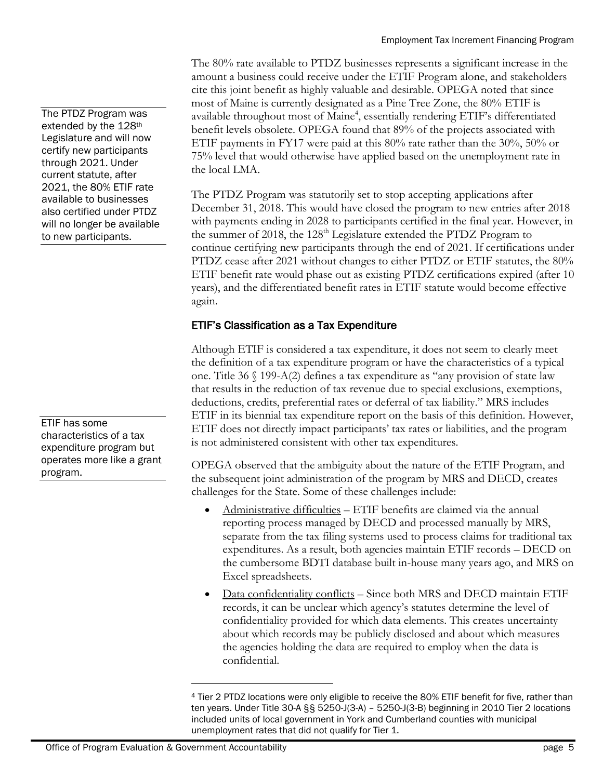Employment Tax Increment Financing Program

The 80% rate available to PTDZ businesses represents a significant increase in the amount a business could receive under the ETIF Program alone, and stakeholders cite this joint benefit as highly valuable and desirable. OPEGA noted that since most of Maine is currently designated as a Pine Tree Zone, the 80% ETIF is available throughout most of Maine<sup>4</sup>, essentially rendering ETIF's differentiated benefit levels obsolete. OPEGA found that 89% of the projects associated with ETIF payments in FY17 were paid at this 80% rate rather than the 30%, 50% or 75% level that would otherwise have applied based on the unemployment rate in the local LMA.

The PTDZ Program was statutorily set to stop accepting applications after December 31, 2018. This would have closed the program to new entries after 2018 with payments ending in 2028 to participants certified in the final year. However, in the summer of 2018, the 128<sup>th</sup> Legislature extended the PTDZ Program to continue certifying new participants through the end of 2021. If certifications under PTDZ cease after 2021 without changes to either PTDZ or ETIF statutes, the 80% ETIF benefit rate would phase out as existing PTDZ certifications expired (after 10 years), and the differentiated benefit rates in ETIF statute would become effective again.

#### ETIF's Classification as a Tax Expenditure

Although ETIF is considered a tax expenditure, it does not seem to clearly meet the definition of a tax expenditure program or have the characteristics of a typical one. Title 36 § 199-A(2) defines a tax expenditure as "any provision of state law that results in the reduction of tax revenue due to special exclusions, exemptions, deductions, credits, preferential rates or deferral of tax liability." MRS includes ETIF in its biennial tax expenditure report on the basis of this definition. However, ETIF does not directly impact participants' tax rates or liabilities, and the program is not administered consistent with other tax expenditures.

OPEGA observed that the ambiguity about the nature of the ETIF Program, and the subsequent joint administration of the program by MRS and DECD, creates challenges for the State. Some of these challenges include:

- Administrative difficulties ETIF benefits are claimed via the annual reporting process managed by DECD and processed manually by MRS, separate from the tax filing systems used to process claims for traditional tax expenditures. As a result, both agencies maintain ETIF records – DECD on the cumbersome BDTI database built in-house many years ago, and MRS on Excel spreadsheets.
- Data confidentiality conflicts Since both MRS and DECD maintain ETIF records, it can be unclear which agency's statutes determine the level of confidentiality provided for which data elements. This creates uncertainty about which records may be publicly disclosed and about which measures the agencies holding the data are required to employ when the data is confidential.

The PTDZ Program was extended by the 128th Legislature and will now certify new participants through 2021. Under current statute, after 2021, the 80% ETIF rate available to businesses also certified under PTDZ will no longer be available to new participants.

ETIF has some characteristics of a tax expenditure program but operates more like a grant program.

l

<sup>4</sup> Tier 2 PTDZ locations were only eligible to receive the 80% ETIF benefit for five, rather than ten years. Under Title 30-A §§ 5250-J(3-A) – 5250-J(3-B) beginning in 2010 Tier 2 locations included units of local government in York and Cumberland counties with municipal unemployment rates that did not qualify for Tier 1.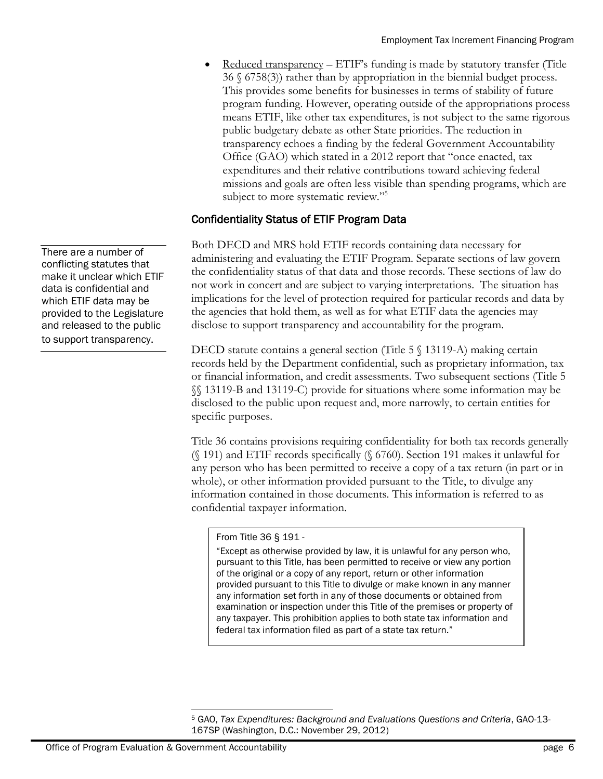Reduced transparency – ETIF's funding is made by statutory transfer (Title 36 § 6758(3)) rather than by appropriation in the biennial budget process. This provides some benefits for businesses in terms of stability of future program funding. However, operating outside of the appropriations process means ETIF, like other tax expenditures, is not subject to the same rigorous public budgetary debate as other State priorities. The reduction in transparency echoes a finding by the federal Government Accountability Office (GAO) which stated in a 2012 report that "once enacted, tax expenditures and their relative contributions toward achieving federal missions and goals are often less visible than spending programs, which are subject to more systematic review."<sup>5</sup>

#### Confidentiality Status of ETIF Program Data

Both DECD and MRS hold ETIF records containing data necessary for administering and evaluating the ETIF Program. Separate sections of law govern the confidentiality status of that data and those records. These sections of law do not work in concert and are subject to varying interpretations. The situation has implications for the level of protection required for particular records and data by the agencies that hold them, as well as for what ETIF data the agencies may disclose to support transparency and accountability for the program.

DECD statute contains a general section (Title 5  $\%$  13119-A) making certain records held by the Department confidential, such as proprietary information, tax or financial information, and credit assessments. Two subsequent sections (Title 5 §§ 13119-B and 13119-C) provide for situations where some information may be disclosed to the public upon request and, more narrowly, to certain entities for specific purposes.

Title 36 contains provisions requiring confidentiality for both tax records generally (§ 191) and ETIF records specifically (§ 6760). Section 191 makes it unlawful for any person who has been permitted to receive a copy of a tax return (in part or in whole), or other information provided pursuant to the Title, to divulge any information contained in those documents. This information is referred to as confidential taxpayer information.

#### From Title 36 § 191 -

"Except as otherwise provided by law, it is unlawful for any person who, pursuant to this Title, has been permitted to receive or view any portion of the original or a copy of any report, return or other information provided pursuant to this Title to divulge or make known in any manner any information set forth in any of those documents or obtained from examination or inspection under this Title of the premises or property of any taxpayer. This prohibition applies to both state tax information and federal tax information filed as part of a state tax return."

There are a number of conflicting statutes that make it unclear which ETIF data is confidential and which ETIF data may be provided to the Legislature and released to the public to support transparency.

 $\overline{a}$ <sup>5</sup> GAO, *Tax Expenditures: Background and Evaluations Questions and Criteria*, GAO-13- 167SP (Washington, D.C.: November 29, 2012)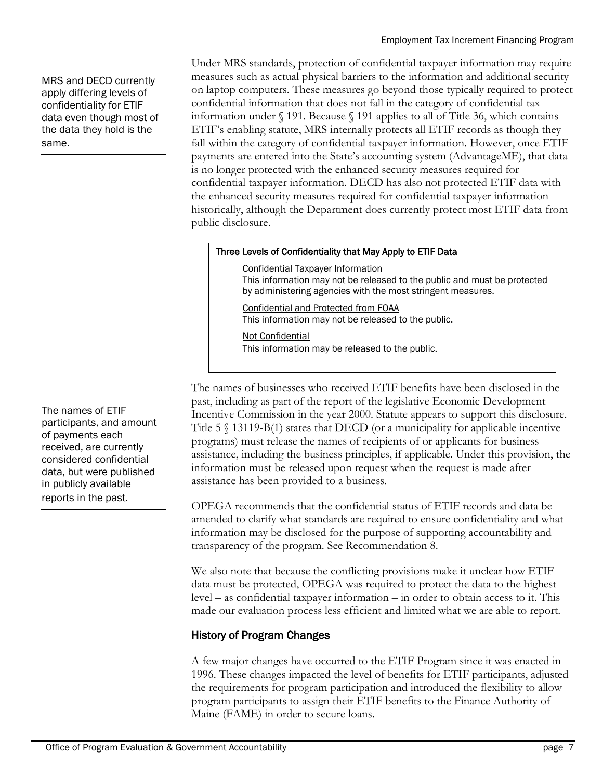MRS and DECD currently apply differing levels of confidentiality for ETIF data even though most of the data they hold is the same.

The names of ETIF participants, and amount of payments each received, are currently considered confidential data, but were published in publicly available reports in the past.

Under MRS standards, protection of confidential taxpayer information may require measures such as actual physical barriers to the information and additional security on laptop computers. These measures go beyond those typically required to protect confidential information that does not fall in the category of confidential tax information under § 191. Because § 191 applies to all of Title 36, which contains ETIF's enabling statute, MRS internally protects all ETIF records as though they fall within the category of confidential taxpayer information. However, once ETIF payments are entered into the State's accounting system (AdvantageME), that data is no longer protected with the enhanced security measures required for confidential taxpayer information. DECD has also not protected ETIF data with the enhanced security measures required for confidential taxpayer information historically, although the Department does currently protect most ETIF data from public disclosure.

#### Three Levels of Confidentiality that May Apply to ETIF Data

Confidential Taxpayer Information This information may not be released to the public and must be protected by administering agencies with the most stringent measures.

Confidential and Protected from FOAA This information may not be released to the public.

Not Confidential This information may be released to the public.

The names of businesses who received ETIF benefits have been disclosed in the past, including as part of the report of the legislative Economic Development Incentive Commission in the year 2000. Statute appears to support this disclosure. Title 5 § 13119-B(1) states that DECD (or a municipality for applicable incentive programs) must release the names of recipients of or applicants for business assistance, including the business principles, if applicable. Under this provision, the information must be released upon request when the request is made after assistance has been provided to a business.

OPEGA recommends that the confidential status of ETIF records and data be amended to clarify what standards are required to ensure confidentiality and what information may be disclosed for the purpose of supporting accountability and transparency of the program. See Recommendation 8.

We also note that because the conflicting provisions make it unclear how ETIF data must be protected, OPEGA was required to protect the data to the highest level – as confidential taxpayer information – in order to obtain access to it. This made our evaluation process less efficient and limited what we are able to report.

### History of Program Changes

A few major changes have occurred to the ETIF Program since it was enacted in 1996. These changes impacted the level of benefits for ETIF participants, adjusted the requirements for program participation and introduced the flexibility to allow program participants to assign their ETIF benefits to the Finance Authority of Maine (FAME) in order to secure loans.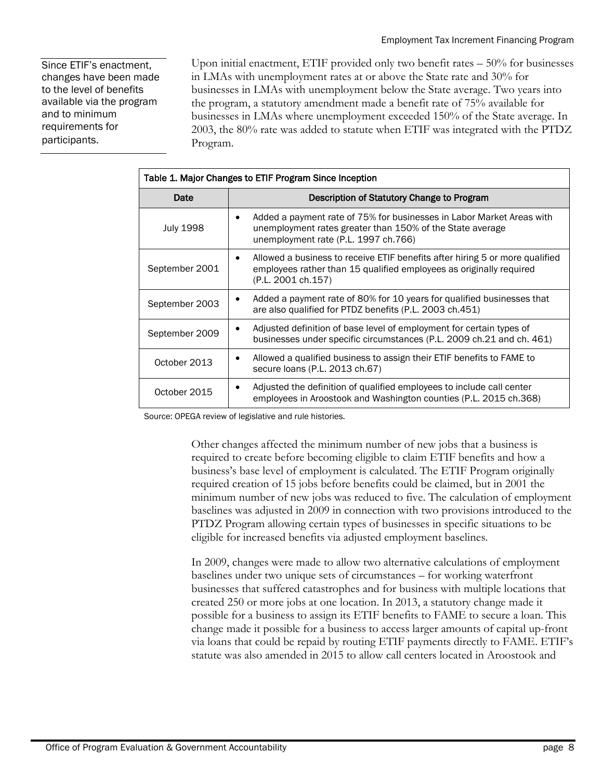Since ETIF's enactment, changes have been made to the level of benefits available via the program and to minimum requirements for participants.

Upon initial enactment, ETIF provided only two benefit rates – 50% for businesses in LMAs with unemployment rates at or above the State rate and 30% for businesses in LMAs with unemployment below the State average. Two years into the program, a statutory amendment made a benefit rate of 75% available for businesses in LMAs where unemployment exceeded 150% of the State average. In 2003, the 80% rate was added to statute when ETIF was integrated with the PTDZ Program.

| Table 1. Major Changes to ETIF Program Since Inception |                                                                                                                                                                                         |  |  |  |  |  |
|--------------------------------------------------------|-----------------------------------------------------------------------------------------------------------------------------------------------------------------------------------------|--|--|--|--|--|
| Date                                                   | Description of Statutory Change to Program                                                                                                                                              |  |  |  |  |  |
| <b>July 1998</b>                                       | Added a payment rate of 75% for businesses in Labor Market Areas with<br>$\bullet$<br>unemployment rates greater than 150% of the State average<br>unemployment rate (P.L. 1997 ch.766) |  |  |  |  |  |
| September 2001                                         | Allowed a business to receive ETIF benefits after hiring 5 or more qualified<br>٠<br>employees rather than 15 qualified employees as originally required<br>(P.L. 2001 ch.157)          |  |  |  |  |  |
| September 2003                                         | Added a payment rate of 80% for 10 years for qualified businesses that<br>٠<br>are also qualified for PTDZ benefits (P.L. 2003 ch.451)                                                  |  |  |  |  |  |
| September 2009                                         | Adjusted definition of base level of employment for certain types of<br>٠<br>businesses under specific circumstances (P.L. 2009 ch.21 and ch. 461)                                      |  |  |  |  |  |
| October 2013                                           | Allowed a qualified business to assign their ETIF benefits to FAME to<br>٠<br>secure loans (P.L. 2013 ch.67)                                                                            |  |  |  |  |  |
| October 2015                                           | Adjusted the definition of qualified employees to include call center<br>٠<br>employees in Aroostook and Washington counties (P.L. 2015 ch.368)                                         |  |  |  |  |  |

Source: OPEGA review of legislative and rule histories.

Other changes affected the minimum number of new jobs that a business is required to create before becoming eligible to claim ETIF benefits and how a business's base level of employment is calculated. The ETIF Program originally required creation of 15 jobs before benefits could be claimed, but in 2001 the minimum number of new jobs was reduced to five. The calculation of employment baselines was adjusted in 2009 in connection with two provisions introduced to the PTDZ Program allowing certain types of businesses in specific situations to be eligible for increased benefits via adjusted employment baselines.

In 2009, changes were made to allow two alternative calculations of employment baselines under two unique sets of circumstances – for working waterfront businesses that suffered catastrophes and for business with multiple locations that created 250 or more jobs at one location. In 2013, a statutory change made it possible for a business to assign its ETIF benefits to FAME to secure a loan. This change made it possible for a business to access larger amounts of capital up-front via loans that could be repaid by routing ETIF payments directly to FAME. ETIF's statute was also amended in 2015 to allow call centers located in Aroostook and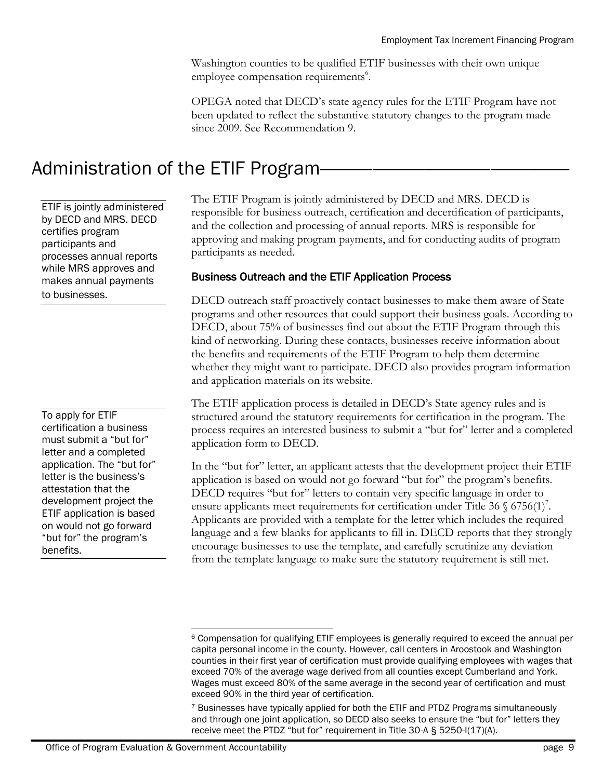Washington counties to be qualified ETIF businesses with their own unique employee compensation requirements<sup>6</sup>.

OPEGA noted that DECD's state agency rules for the ETIF Program have not been updated to reflect the substantive statutory changes to the program made since 2009. See Recommendation 9.

# Administration of the ETIF Program-

ETIF is jointly administered by DECD and MRS. DECD certifies program participants and processes annual reports while MRS approves and makes annual payments to businesses.

To apply for ETIF certification a business must submit a "but for" letter and a completed application. The "but for" letter is the business's attestation that the development project the ETIF application is based on would not go forward "but for" the program's benefits.

The ETIF Program is jointly administered by DECD and MRS. DECD is responsible for business outreach, certification and decertification of participants, and the collection and processing of annual reports. MRS is responsible for approving and making program payments, and for conducting audits of program participants as needed.

### Business Outreach and the ETIF Application Process

DECD outreach staff proactively contact businesses to make them aware of State programs and other resources that could support their business goals. According to DECD, about 75% of businesses find out about the ETIF Program through this kind of networking. During these contacts, businesses receive information about the benefits and requirements of the ETIF Program to help them determine whether they might want to participate. DECD also provides program information and application materials on its website.

The ETIF application process is detailed in DECD's State agency rules and is structured around the statutory requirements for certification in the program. The process requires an interested business to submit a "but for" letter and a completed application form to DECD.

In the "but for" letter, an applicant attests that the development project their ETIF application is based on would not go forward "but for" the program's benefits. DECD requires "but for" letters to contain very specific language in order to ensure applicants meet requirements for certification under Title 36  $\S$  6756(1)<sup>7</sup>. Applicants are provided with a template for the letter which includes the required language and a few blanks for applicants to fill in. DECD reports that they strongly encourage businesses to use the template, and carefully scrutinize any deviation from the template language to make sure the statutory requirement is still met.

l <sup>6</sup> Compensation for qualifying ETIF employees is generally required to exceed the annual per capita personal income in the county. However, call centers in Aroostook and Washington counties in their first year of certification must provide qualifying employees with wages that exceed 70% of the average wage derived from all counties except Cumberland and York. Wages must exceed 80% of the same average in the second year of certification and must exceed 90% in the third year of certification.

<sup>7</sup> Businesses have typically applied for both the ETIF and PTDZ Programs simultaneously and through one joint application, so DECD also seeks to ensure the "but for" letters they receive meet the PTDZ "but for" requirement in Title 30-A § 5250-I(17)(A).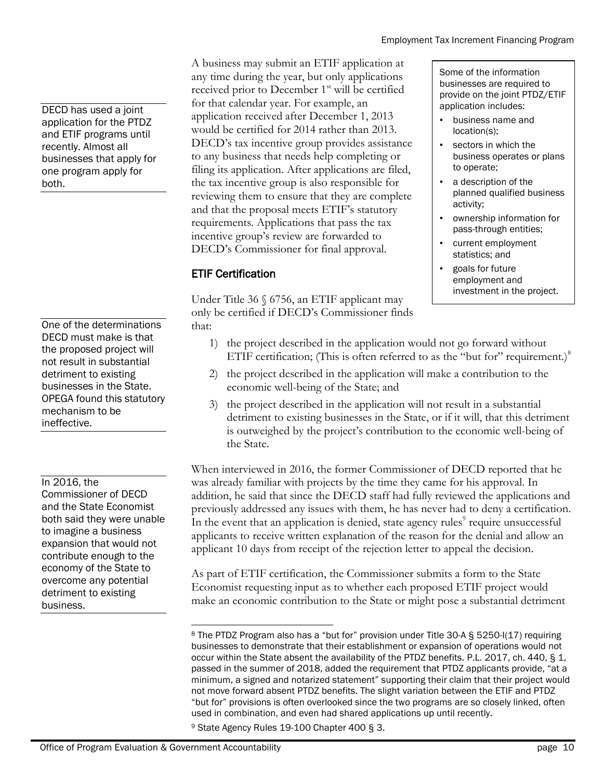DECD has used a joint application for the PTDZ and ETIF programs until recently. Almost all businesses that apply for one program apply for both.

One of the determinations DECD must make is that the proposed project will not result in substantial detriment to existing businesses in the State. OPEGA found this statutory mechanism to be ineffective.

In 2016, the

Commissioner of DECD and the State Economist both said they were unable to imagine a business expansion that would not contribute enough to the economy of the State to overcome any potential detriment to existing business.

A business may submit an ETIF application at any time during the year, but only applications received prior to December 1<sup>st</sup> will be certified for that calendar year. For example, an application received after December 1, 2013 would be certified for 2014 rather than 2013. DECD's tax incentive group provides assistance to any business that needs help completing or filing its application. After applications are filed, the tax incentive group is also responsible for reviewing them to ensure that they are complete and that the proposal meets ETIF's statutory requirements. Applications that pass the tax incentive group's review are forwarded to DECD's Commissioner for final approval.

### ETIF Certification

Under Title 36  $\frac{6756}{6}$ , an ETIF applicant may only be certified if DECD's Commissioner finds that:

- Some of the information businesses are required to provide on the joint PTDZ/ETIF application includes:
- business name and location(s);
- sectors in which the business operates or plans to operate;
- a description of the planned qualified business activity;
- ownership information for pass-through entities;
- current employment statistics; and
- goals for future employment and investment in the project.
- 1) the project described in the application would not go forward without ETIF certification; (This is often referred to as the "but for" requirement.) $8$
- 2) the project described in the application will make a contribution to the economic well-being of the State; and
- 3) the project described in the application will not result in a substantial detriment to existing businesses in the State, or if it will, that this detriment is outweighed by the project's contribution to the economic well-being of the State.

When interviewed in 2016, the former Commissioner of DECD reported that he was already familiar with projects by the time they came for his approval. In addition, he said that since the DECD staff had fully reviewed the applications and previously addressed any issues with them, he has never had to deny a certification. In the event that an application is denied, state agency rules<sup>9</sup> require unsuccessful applicants to receive written explanation of the reason for the denial and allow an applicant 10 days from receipt of the rejection letter to appeal the decision.

As part of ETIF certification, the Commissioner submits a form to the State Economist requesting input as to whether each proposed ETIF project would make an economic contribution to the State or might pose a substantial detriment

l <sup>8</sup> The PTDZ Program also has a "but for" provision under Title 30-A § 5250-I(17) requiring businesses to demonstrate that their establishment or expansion of operations would not occur within the State absent the availability of the PTDZ benefits. P.L. 2017, ch. 440, § 1, passed in the summer of 2018, added the requirement that PTDZ applicants provide, "at a minimum, a signed and notarized statement" supporting their claim that their project would not move forward absent PTDZ benefits. The slight variation between the ETIF and PTDZ "but for" provisions is often overlooked since the two programs are so closely linked, often used in combination, and even had shared applications up until recently.

<sup>9</sup> State Agency Rules 19-100 Chapter 400 § 3.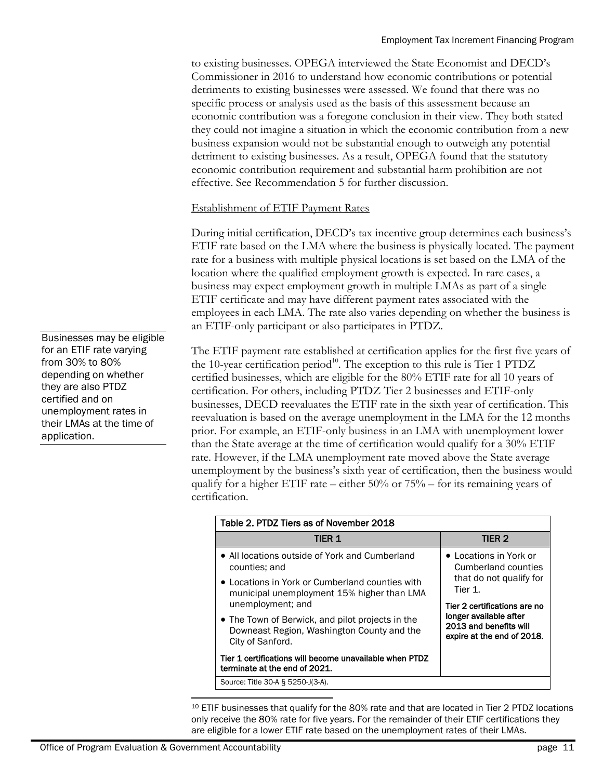to existing businesses. OPEGA interviewed the State Economist and DECD's Commissioner in 2016 to understand how economic contributions or potential detriments to existing businesses were assessed. We found that there was no specific process or analysis used as the basis of this assessment because an economic contribution was a foregone conclusion in their view. They both stated they could not imagine a situation in which the economic contribution from a new business expansion would not be substantial enough to outweigh any potential detriment to existing businesses. As a result, OPEGA found that the statutory economic contribution requirement and substantial harm prohibition are not effective. See Recommendation 5 for further discussion.

#### Establishment of ETIF Payment Rates

During initial certification, DECD's tax incentive group determines each business's ETIF rate based on the LMA where the business is physically located. The payment rate for a business with multiple physical locations is set based on the LMA of the location where the qualified employment growth is expected. In rare cases, a business may expect employment growth in multiple LMAs as part of a single ETIF certificate and may have different payment rates associated with the employees in each LMA. The rate also varies depending on whether the business is an ETIF-only participant or also participates in PTDZ.

The ETIF payment rate established at certification applies for the first five years of the 10-year certification period<sup>10</sup>. The exception to this rule is Tier 1 PTDZ certified businesses, which are eligible for the 80% ETIF rate for all 10 years of certification. For others, including PTDZ Tier 2 businesses and ETIF-only businesses, DECD reevaluates the ETIF rate in the sixth year of certification. This reevaluation is based on the average unemployment in the LMA for the 12 months prior. For example, an ETIF-only business in an LMA with unemployment lower than the State average at the time of certification would qualify for a 30% ETIF rate. However, if the LMA unemployment rate moved above the State average unemployment by the business's sixth year of certification, then the business would qualify for a higher ETIF rate – either 50% or 75% – for its remaining years of certification.

| Table 2. PTDZ Tiers as of November 2018                                                                            |                                                                                |  |  |  |  |  |  |  |
|--------------------------------------------------------------------------------------------------------------------|--------------------------------------------------------------------------------|--|--|--|--|--|--|--|
| TIER 1                                                                                                             | TIER <sub>2</sub>                                                              |  |  |  |  |  |  |  |
| • All locations outside of York and Cumberland<br>counties; and                                                    | • Locations in York or<br>Cumberland counties                                  |  |  |  |  |  |  |  |
| • Locations in York or Cumberland counties with<br>municipal unemployment 15% higher than LMA<br>unemployment; and | that do not qualify for<br>Tier 1.<br>Tier 2 certifications are no             |  |  |  |  |  |  |  |
| • The Town of Berwick, and pilot projects in the<br>Downeast Region, Washington County and the<br>City of Sanford. | longer available after<br>2013 and benefits will<br>expire at the end of 2018. |  |  |  |  |  |  |  |
| Tier 1 certifications will become unavailable when PTDZ<br>terminate at the end of 2021.                           |                                                                                |  |  |  |  |  |  |  |
| Source: Title 30-A § 5250-J(3-A).                                                                                  |                                                                                |  |  |  |  |  |  |  |

l <sup>10</sup> ETIF businesses that qualify for the 80% rate and that are located in Tier 2 PTDZ locations only receive the 80% rate for five years. For the remainder of their ETIF certifications they are eligible for a lower ETIF rate based on the unemployment rates of their LMAs.

Businesses may be eligible for an ETIF rate varying from 30% to 80% depending on whether they are also PTDZ certified and on unemployment rates in their LMAs at the time of application.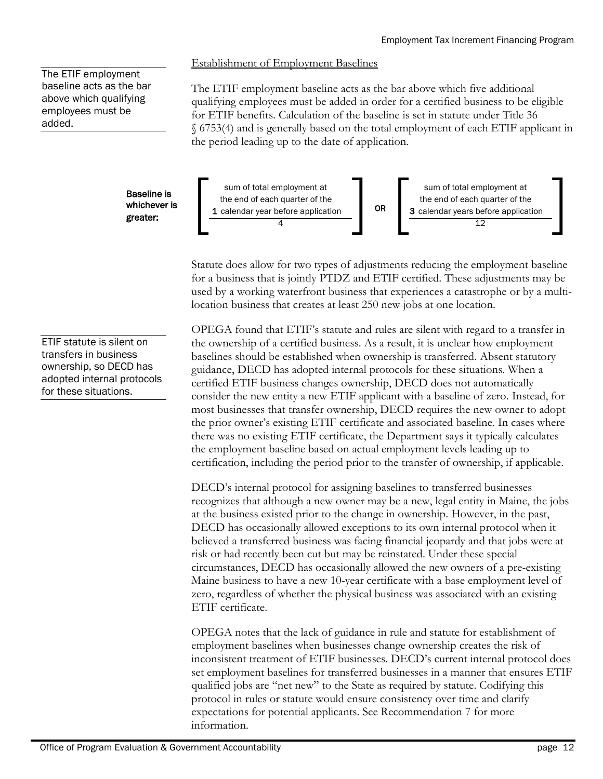#### The ETIF employment baseline acts as the bar above which qualifying employees must be added.

Establishment of Employment Baselines

The ETIF employment baseline acts as the bar above which five additional qualifying employees must be added in order for a certified business to be eligible for ETIF benefits. Calculation of the baseline is set in statute under Title 36 § 6753(4) and is generally based on the total employment of each ETIF applicant in the period leading up to the date of application.



Statute does allow for two types of adjustments reducing the employment baseline for a business that is jointly PTDZ and ETIF certified. These adjustments may be used by a working waterfront business that experiences a catastrophe or by a multilocation business that creates at least 250 new jobs at one location.

OPEGA found that ETIF's statute and rules are silent with regard to a transfer in the ownership of a certified business. As a result, it is unclear how employment baselines should be established when ownership is transferred. Absent statutory guidance, DECD has adopted internal protocols for these situations. When a certified ETIF business changes ownership, DECD does not automatically consider the new entity a new ETIF applicant with a baseline of zero. Instead, for most businesses that transfer ownership, DECD requires the new owner to adopt the prior owner's existing ETIF certificate and associated baseline. In cases where there was no existing ETIF certificate, the Department says it typically calculates the employment baseline based on actual employment levels leading up to certification, including the period prior to the transfer of ownership, if applicable.

DECD's internal protocol for assigning baselines to transferred businesses recognizes that although a new owner may be a new, legal entity in Maine, the jobs at the business existed prior to the change in ownership. However, in the past, DECD has occasionally allowed exceptions to its own internal protocol when it believed a transferred business was facing financial jeopardy and that jobs were at risk or had recently been cut but may be reinstated. Under these special circumstances, DECD has occasionally allowed the new owners of a pre-existing Maine business to have a new 10-year certificate with a base employment level of zero, regardless of whether the physical business was associated with an existing ETIF certificate.

OPEGA notes that the lack of guidance in rule and statute for establishment of employment baselines when businesses change ownership creates the risk of inconsistent treatment of ETIF businesses. DECD's current internal protocol does set employment baselines for transferred businesses in a manner that ensures ETIF qualified jobs are "net new" to the State as required by statute. Codifying this protocol in rules or statute would ensure consistency over time and clarify expectations for potential applicants. See Recommendation 7 for more information.

whichever is greater:

ETIF statute is silent on transfers in business ownership, so DECD has adopted internal protocols for these situations.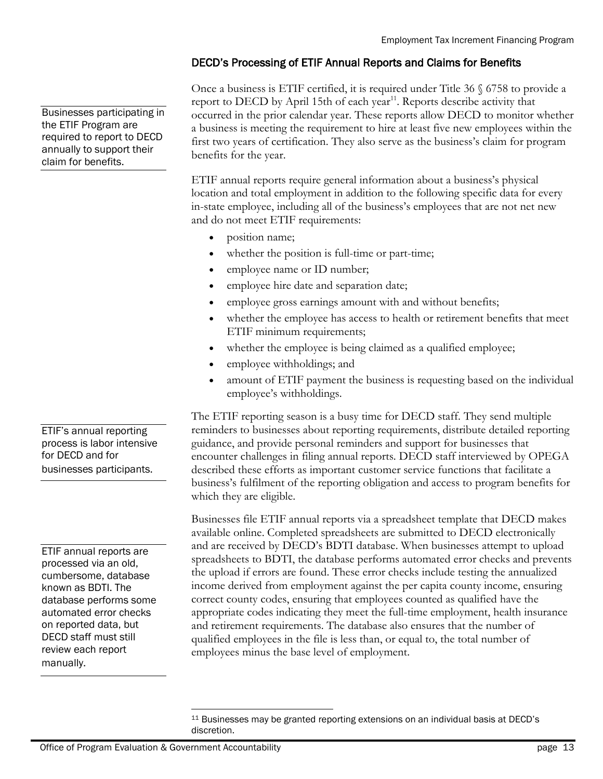### DECD's Processing of ETIF Annual Reports and Claims for Benefits

Once a business is ETIF certified, it is required under Title 36 § 6758 to provide a report to DECD by April 15th of each year $11$ . Reports describe activity that occurred in the prior calendar year. These reports allow DECD to monitor whether a business is meeting the requirement to hire at least five new employees within the first two years of certification. They also serve as the business's claim for program benefits for the year.

ETIF annual reports require general information about a business's physical location and total employment in addition to the following specific data for every in-state employee, including all of the business's employees that are not net new and do not meet ETIF requirements:

- position name;
- whether the position is full-time or part-time;
- employee name or ID number;
- employee hire date and separation date;
- employee gross earnings amount with and without benefits;
- whether the employee has access to health or retirement benefits that meet ETIF minimum requirements;
- whether the employee is being claimed as a qualified employee;
- employee withholdings; and
- amount of ETIF payment the business is requesting based on the individual employee's withholdings.

The ETIF reporting season is a busy time for DECD staff. They send multiple reminders to businesses about reporting requirements, distribute detailed reporting guidance, and provide personal reminders and support for businesses that encounter challenges in filing annual reports. DECD staff interviewed by OPEGA described these efforts as important customer service functions that facilitate a business's fulfilment of the reporting obligation and access to program benefits for which they are eligible.

Businesses file ETIF annual reports via a spreadsheet template that DECD makes available online. Completed spreadsheets are submitted to DECD electronically and are received by DECD's BDTI database. When businesses attempt to upload spreadsheets to BDTI, the database performs automated error checks and prevents the upload if errors are found. These error checks include testing the annualized income derived from employment against the per capita county income, ensuring correct county codes, ensuring that employees counted as qualified have the appropriate codes indicating they meet the full-time employment, health insurance and retirement requirements. The database also ensures that the number of qualified employees in the file is less than, or equal to, the total number of employees minus the base level of employment.

Businesses participating in the ETIF Program are required to report to DECD annually to support their claim for benefits.

ETIF's annual reporting process is labor intensive for DECD and for businesses participants.

ETIF annual reports are processed via an old, cumbersome, database known as BDTI. The database performs some automated error checks on reported data, but DECD staff must still review each report manually.

 $\overline{a}$ <sup>11</sup> Businesses may be granted reporting extensions on an individual basis at DECD's discretion.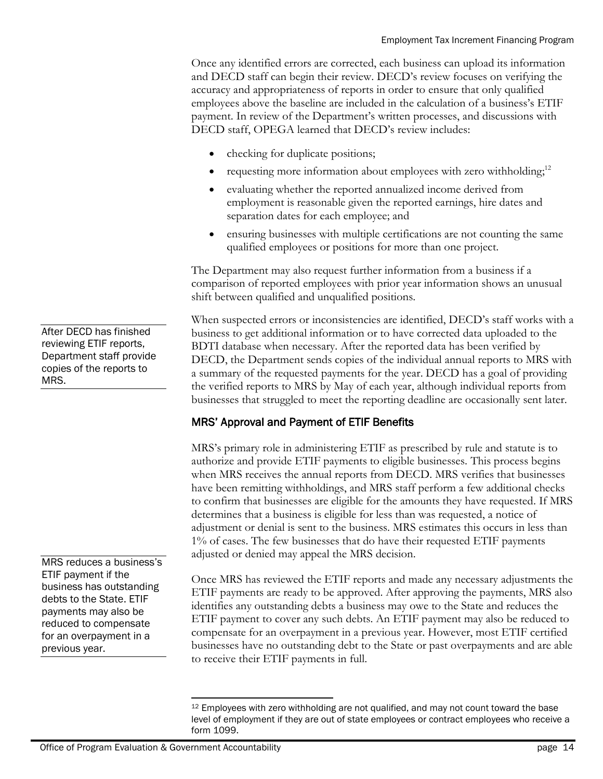Once any identified errors are corrected, each business can upload its information and DECD staff can begin their review. DECD's review focuses on verifying the accuracy and appropriateness of reports in order to ensure that only qualified employees above the baseline are included in the calculation of a business's ETIF payment. In review of the Department's written processes, and discussions with DECD staff, OPEGA learned that DECD's review includes:

- checking for duplicate positions;
- requesting more information about employees with zero withholding;<sup>12</sup>
- evaluating whether the reported annualized income derived from employment is reasonable given the reported earnings, hire dates and separation dates for each employee; and
- ensuring businesses with multiple certifications are not counting the same qualified employees or positions for more than one project.

The Department may also request further information from a business if a comparison of reported employees with prior year information shows an unusual shift between qualified and unqualified positions.

When suspected errors or inconsistencies are identified, DECD's staff works with a business to get additional information or to have corrected data uploaded to the BDTI database when necessary. After the reported data has been verified by DECD, the Department sends copies of the individual annual reports to MRS with a summary of the requested payments for the year. DECD has a goal of providing the verified reports to MRS by May of each year, although individual reports from businesses that struggled to meet the reporting deadline are occasionally sent later.

### MRS' Approval and Payment of ETIF Benefits

MRS's primary role in administering ETIF as prescribed by rule and statute is to authorize and provide ETIF payments to eligible businesses. This process begins when MRS receives the annual reports from DECD. MRS verifies that businesses have been remitting withholdings, and MRS staff perform a few additional checks to confirm that businesses are eligible for the amounts they have requested. If MRS determines that a business is eligible for less than was requested, a notice of adjustment or denial is sent to the business. MRS estimates this occurs in less than 1% of cases. The few businesses that do have their requested ETIF payments adjusted or denied may appeal the MRS decision.

Once MRS has reviewed the ETIF reports and made any necessary adjustments the ETIF payments are ready to be approved. After approving the payments, MRS also identifies any outstanding debts a business may owe to the State and reduces the ETIF payment to cover any such debts. An ETIF payment may also be reduced to compensate for an overpayment in a previous year. However, most ETIF certified businesses have no outstanding debt to the State or past overpayments and are able to receive their ETIF payments in full.

After DECD has finished reviewing ETIF reports, Department staff provide copies of the reports to MRS.

MRS reduces a business's ETIF payment if the business has outstanding debts to the State. ETIF payments may also be reduced to compensate for an overpayment in a previous year.

l <sup>12</sup> Employees with zero withholding are not qualified, and may not count toward the base level of employment if they are out of state employees or contract employees who receive a form 1099.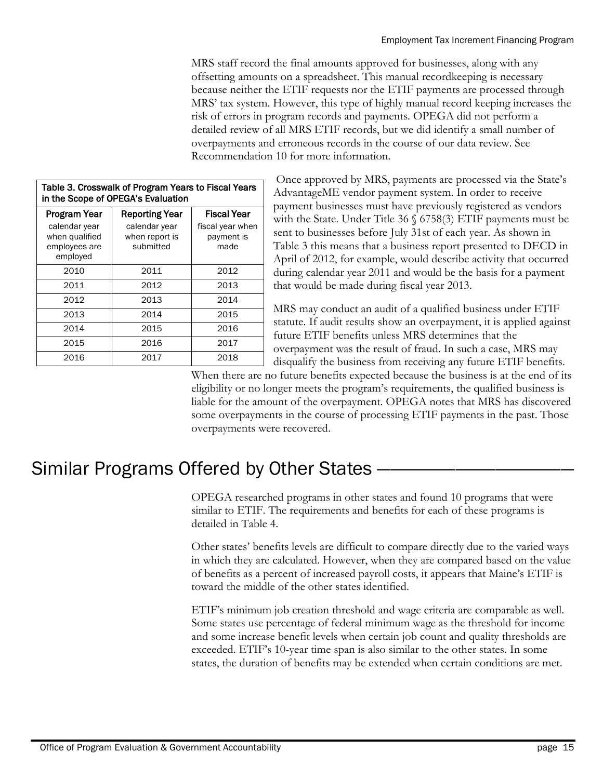MRS staff record the final amounts approved for businesses, along with any offsetting amounts on a spreadsheet. This manual recordkeeping is necessary because neither the ETIF requests nor the ETIF payments are processed through MRS' tax system. However, this type of highly manual record keeping increases the risk of errors in program records and payments. OPEGA did not perform a detailed review of all MRS ETIF records, but we did identify a small number of overpayments and erroneous records in the course of our data review. See Recommendation 10 for more information.

| in the Scope of OPEGA's Evaluation                           |                                              |                                        |  |  |  |  |  |  |  |
|--------------------------------------------------------------|----------------------------------------------|----------------------------------------|--|--|--|--|--|--|--|
| Program Year                                                 | <b>Reporting Year</b>                        | <b>Fiscal Year</b>                     |  |  |  |  |  |  |  |
| calendar year<br>when qualified<br>employees are<br>employed | calendar year<br>when report is<br>submitted | fiscal year when<br>payment is<br>made |  |  |  |  |  |  |  |
| 2010                                                         | 2011                                         | 2012                                   |  |  |  |  |  |  |  |
| 2011                                                         | 2012                                         | 2013                                   |  |  |  |  |  |  |  |
| 2012                                                         | 2013                                         | 2014                                   |  |  |  |  |  |  |  |
| 2013                                                         | 2014                                         | 2015                                   |  |  |  |  |  |  |  |
| 2014                                                         | 2015                                         | 2016                                   |  |  |  |  |  |  |  |
| 2015                                                         | 2016                                         | 2017                                   |  |  |  |  |  |  |  |
| 2016                                                         | 2017                                         | 2018                                   |  |  |  |  |  |  |  |

#### | Table 3. Crosswalk of Program Years to Fiscal Years | in the Scope of OPEGA's Evaluation

Once approved by MRS, payments are processed via the State's AdvantageME vendor payment system. In order to receive payment businesses must have previously registered as vendors with the State. Under Title 36 § 6758(3) ETIF payments must be sent to businesses before July 31st of each year. As shown in Table 3 this means that a business report presented to DECD in April of 2012, for example, would describe activity that occurred during calendar year 2011 and would be the basis for a payment that would be made during fiscal year 2013.

MRS may conduct an audit of a qualified business under ETIF statute. If audit results show an overpayment, it is applied against future ETIF benefits unless MRS determines that the overpayment was the result of fraud. In such a case, MRS may disqualify the business from receiving any future ETIF benefits.

When there are no future benefits expected because the business is at the end of its eligibility or no longer meets the program's requirements, the qualified business is liable for the amount of the overpayment. OPEGA notes that MRS has discovered some overpayments in the course of processing ETIF payments in the past. Those overpayments were recovered.

# Similar Programs Offered by Other States –

OPEGA researched programs in other states and found 10 programs that were similar to ETIF. The requirements and benefits for each of these programs is detailed in Table 4.

Other states' benefits levels are difficult to compare directly due to the varied ways in which they are calculated. However, when they are compared based on the value of benefits as a percent of increased payroll costs, it appears that Maine's ETIF is toward the middle of the other states identified.

ETIF's minimum job creation threshold and wage criteria are comparable as well. Some states use percentage of federal minimum wage as the threshold for income and some increase benefit levels when certain job count and quality thresholds are exceeded. ETIF's 10-year time span is also similar to the other states. In some states, the duration of benefits may be extended when certain conditions are met.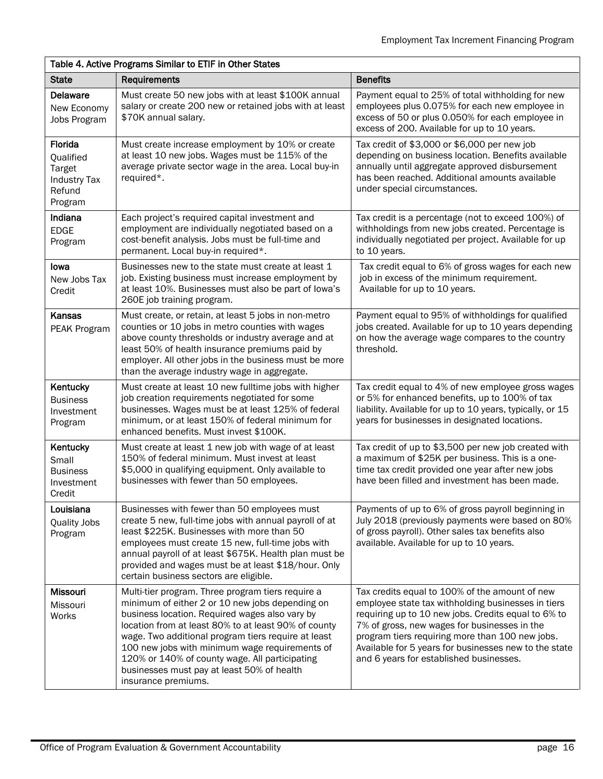#### Table 4. Active Programs Similar to ETIF in Other States State Requirements Benefits Benefits Benefits Delaware New Economy Jobs Program Must create 50 new jobs with at least \$100K annual salary or create 200 new or retained jobs with at least \$70K annual salary. Payment equal to 25% of total withholding for new employees plus 0.075% for each new employee in excess of 50 or plus 0.050% for each employee in excess of 200. Available for up to 10 years. Florida **Qualified** Target Industry Tax Refund Program Must create increase employment by 10% or create at least 10 new jobs. Wages must be 115% of the average private sector wage in the area. Local buy-in required\*. Tax credit of \$3,000 or \$6,000 per new job depending on business location. Benefits available annually until aggregate approved disbursement has been reached. Additional amounts available under special circumstances. Indiana EDGE Program Each project's required capital investment and employment are individually negotiated based on a cost-benefit analysis. Jobs must be full-time and permanent. Local buy-in required\*. Tax credit is a percentage (not to exceed 100%) of withholdings from new jobs created. Percentage is individually negotiated per project. Available for up to 10 years. Iowa New Jobs Tax **Credit** Businesses new to the state must create at least 1 job. Existing business must increase employment by at least 10%. Businesses must also be part of Iowa's 260E job training program. Tax credit equal to 6% of gross wages for each new job in excess of the minimum requirement. Available for up to 10 years. Kansas PEAK Program Must create, or retain, at least 5 jobs in non-metro counties or 10 jobs in metro counties with wages above county thresholds or industry average and at least 50% of health insurance premiums paid by employer. All other jobs in the business must be more than the average industry wage in aggregate. Payment equal to 95% of withholdings for qualified jobs created. Available for up to 10 years depending on how the average wage compares to the country threshold. **Kentucky Business** Investment Program Must create at least 10 new fulltime jobs with higher job creation requirements negotiated for some businesses. Wages must be at least 125% of federal minimum, or at least 150% of federal minimum for enhanced benefits. Must invest \$100K. Tax credit equal to 4% of new employee gross wages or 5% for enhanced benefits, up to 100% of tax liability. Available for up to 10 years, typically, or 15 years for businesses in designated locations. Kentucky Small **Business** Investment **Credit** Must create at least 1 new job with wage of at least 150% of federal minimum. Must invest at least \$5,000 in qualifying equipment. Only available to businesses with fewer than 50 employees. Tax credit of up to \$3,500 per new job created with a maximum of \$25K per business. This is a onetime tax credit provided one year after new jobs have been filled and investment has been made. Louisiana Quality Jobs Program Businesses with fewer than 50 employees must create 5 new, full-time jobs with annual payroll of at least \$225K. Businesses with more than 50 employees must create 15 new, full-time jobs with annual payroll of at least \$675K. Health plan must be provided and wages must be at least \$18/hour. Only certain business sectors are eligible. Payments of up to 6% of gross payroll beginning in July 2018 (previously payments were based on 80% of gross payroll). Other sales tax benefits also available. Available for up to 10 years. **Missouri** Missouri Works Multi-tier program. Three program tiers require a minimum of either 2 or 10 new jobs depending on business location. Required wages also vary by location from at least 80% to at least 90% of county wage. Two additional program tiers require at least 100 new jobs with minimum wage requirements of 120% or 140% of county wage. All participating businesses must pay at least 50% of health insurance premiums. Tax credits equal to 100% of the amount of new employee state tax withholding businesses in tiers requiring up to 10 new jobs. Credits equal to 6% to 7% of gross, new wages for businesses in the program tiers requiring more than 100 new jobs. Available for 5 years for businesses new to the state and 6 years for established businesses.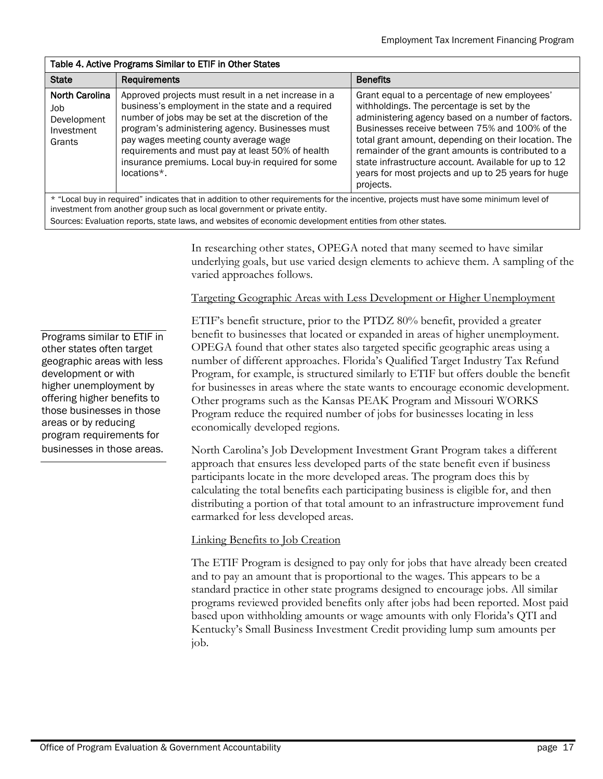#### Table 4. Active Programs Similar to ETIF in Other States

| <b>State</b>                                                                                                                                                                                                        | <b>Requirements</b>                                                                                                                                                                                                                                                                                                                                                                  | <b>Benefits</b>                                                                                                                                                                                                                                                                                                                                                                                                                               |  |  |  |  |  |  |
|---------------------------------------------------------------------------------------------------------------------------------------------------------------------------------------------------------------------|--------------------------------------------------------------------------------------------------------------------------------------------------------------------------------------------------------------------------------------------------------------------------------------------------------------------------------------------------------------------------------------|-----------------------------------------------------------------------------------------------------------------------------------------------------------------------------------------------------------------------------------------------------------------------------------------------------------------------------------------------------------------------------------------------------------------------------------------------|--|--|--|--|--|--|
| <b>North Carolina</b><br>Job<br>Development<br>Investment<br>Grants                                                                                                                                                 | Approved projects must result in a net increase in a<br>business's employment in the state and a required<br>number of jobs may be set at the discretion of the<br>program's administering agency. Businesses must<br>pay wages meeting county average wage<br>requirements and must pay at least 50% of health<br>insurance premiums. Local buy-in required for some<br>locations*. | Grant equal to a percentage of new employees'<br>withholdings. The percentage is set by the<br>administering agency based on a number of factors.<br>Businesses receive between 75% and 100% of the<br>total grant amount, depending on their location. The<br>remainder of the grant amounts is contributed to a<br>state infrastructure account. Available for up to 12<br>years for most projects and up to 25 years for huge<br>projects. |  |  |  |  |  |  |
| * "Local buy in required" indicates that in addition to other requirements for the incentive, projects must have some minimum level of<br>investment from another group such as local government or private entity. |                                                                                                                                                                                                                                                                                                                                                                                      |                                                                                                                                                                                                                                                                                                                                                                                                                                               |  |  |  |  |  |  |

Sources: Evaluation reports, state laws, and websites of economic development entities from other states.

In researching other states, OPEGA noted that many seemed to have similar underlying goals, but use varied design elements to achieve them. A sampling of the varied approaches follows.

#### Targeting Geographic Areas with Less Development or Higher Unemployment

ETIF's benefit structure, prior to the PTDZ 80% benefit, provided a greater benefit to businesses that located or expanded in areas of higher unemployment. OPEGA found that other states also targeted specific geographic areas using a number of different approaches. Florida's Qualified Target Industry Tax Refund Program, for example, is structured similarly to ETIF but offers double the benefit for businesses in areas where the state wants to encourage economic development. Other programs such as the Kansas PEAK Program and Missouri WORKS Program reduce the required number of jobs for businesses locating in less economically developed regions.

North Carolina's Job Development Investment Grant Program takes a different approach that ensures less developed parts of the state benefit even if business participants locate in the more developed areas. The program does this by calculating the total benefits each participating business is eligible for, and then distributing a portion of that total amount to an infrastructure improvement fund earmarked for less developed areas.

#### Linking Benefits to Job Creation

The ETIF Program is designed to pay only for jobs that have already been created and to pay an amount that is proportional to the wages. This appears to be a standard practice in other state programs designed to encourage jobs. All similar programs reviewed provided benefits only after jobs had been reported. Most paid based upon withholding amounts or wage amounts with only Florida's QTI and Kentucky's Small Business Investment Credit providing lump sum amounts per job.

Programs similar to ETIF in other states often target geographic areas with less development or with higher unemployment by offering higher benefits to those businesses in those areas or by reducing program requirements for businesses in those areas.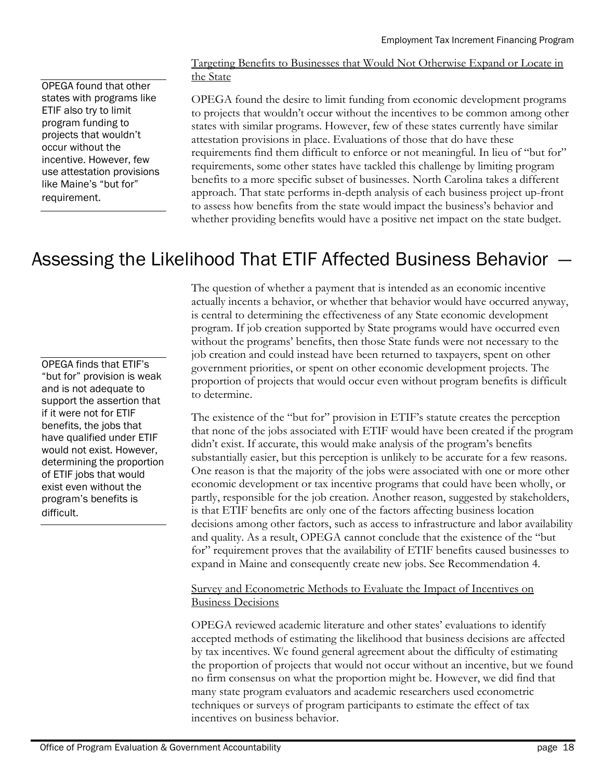OPEGA found that other states with programs like ETIF also try to limit program funding to projects that wouldn't occur without the incentive. However, few use attestation provisions like Maine's "but for" requirement.

#### Targeting Benefits to Businesses that Would Not Otherwise Expand or Locate in the State

OPEGA found the desire to limit funding from economic development programs to projects that wouldn't occur without the incentives to be common among other states with similar programs. However, few of these states currently have similar attestation provisions in place. Evaluations of those that do have these requirements find them difficult to enforce or not meaningful. In lieu of "but for" requirements, some other states have tackled this challenge by limiting program benefits to a more specific subset of businesses. North Carolina takes a different approach. That state performs in-depth analysis of each business project up-front to assess how benefits from the state would impact the business's behavior and whether providing benefits would have a positive net impact on the state budget.

# Assessing the Likelihood That ETIF Affected Business Behavior ―

OPEGA finds that ETIF's "but for" provision is weak and is not adequate to support the assertion that if it were not for ETIF benefits, the jobs that have qualified under ETIF would not exist. However, determining the proportion of ETIF jobs that would exist even without the program's benefits is difficult.

The question of whether a payment that is intended as an economic incentive actually incents a behavior, or whether that behavior would have occurred anyway, is central to determining the effectiveness of any State economic development program. If job creation supported by State programs would have occurred even without the programs' benefits, then those State funds were not necessary to the job creation and could instead have been returned to taxpayers, spent on other government priorities, or spent on other economic development projects. The proportion of projects that would occur even without program benefits is difficult to determine.

The existence of the "but for" provision in ETIF's statute creates the perception that none of the jobs associated with ETIF would have been created if the program didn't exist. If accurate, this would make analysis of the program's benefits substantially easier, but this perception is unlikely to be accurate for a few reasons. One reason is that the majority of the jobs were associated with one or more other economic development or tax incentive programs that could have been wholly, or partly, responsible for the job creation. Another reason, suggested by stakeholders, is that ETIF benefits are only one of the factors affecting business location decisions among other factors, such as access to infrastructure and labor availability and quality. As a result, OPEGA cannot conclude that the existence of the "but for" requirement proves that the availability of ETIF benefits caused businesses to expand in Maine and consequently create new jobs. See Recommendation 4.

#### Survey and Econometric Methods to Evaluate the Impact of Incentives on Business Decisions

OPEGA reviewed academic literature and other states' evaluations to identify accepted methods of estimating the likelihood that business decisions are affected by tax incentives. We found general agreement about the difficulty of estimating the proportion of projects that would not occur without an incentive, but we found no firm consensus on what the proportion might be. However, we did find that many state program evaluators and academic researchers used econometric techniques or surveys of program participants to estimate the effect of tax incentives on business behavior.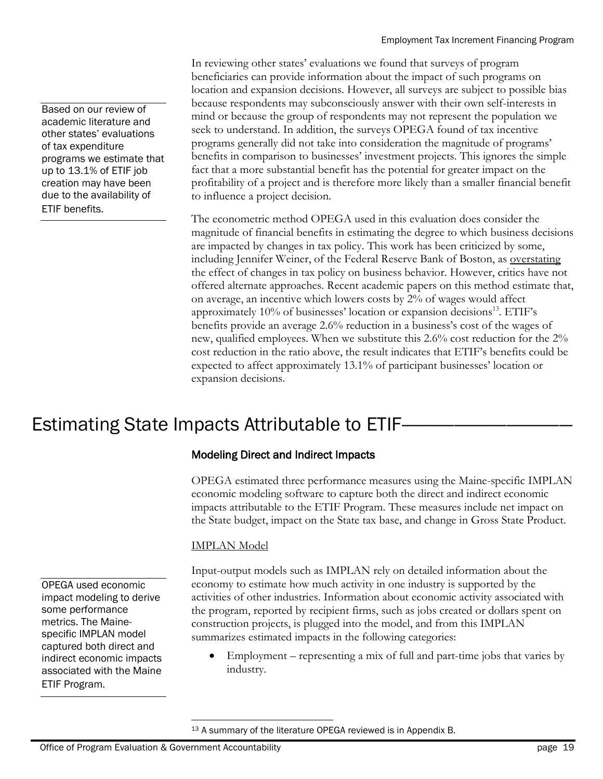In reviewing other states' evaluations we found that surveys of program beneficiaries can provide information about the impact of such programs on location and expansion decisions. However, all surveys are subject to possible bias because respondents may subconsciously answer with their own self-interests in mind or because the group of respondents may not represent the population we seek to understand. In addition, the surveys OPEGA found of tax incentive programs generally did not take into consideration the magnitude of programs' benefits in comparison to businesses' investment projects. This ignores the simple fact that a more substantial benefit has the potential for greater impact on the profitability of a project and is therefore more likely than a smaller financial benefit to influence a project decision.

The econometric method OPEGA used in this evaluation does consider the magnitude of financial benefits in estimating the degree to which business decisions are impacted by changes in tax policy. This work has been criticized by some, including Jennifer Weiner, of the Federal Reserve Bank of Boston, as overstating the effect of changes in tax policy on business behavior. However, critics have not offered alternate approaches. Recent academic papers on this method estimate that, on average, an incentive which lowers costs by 2% of wages would affect approximately 10% of businesses' location or expansion decisions<sup>13</sup>. ETIF's benefits provide an average 2.6% reduction in a business's cost of the wages of new, qualified employees. When we substitute this 2.6% cost reduction for the 2% cost reduction in the ratio above, the result indicates that ETIF's benefits could be expected to affect approximately 13.1% of participant businesses' location or expansion decisions.

# Estimating State Impacts Attributable to ETIF-

#### Modeling Direct and Indirect Impacts

OPEGA estimated three performance measures using the Maine-specific IMPLAN economic modeling software to capture both the direct and indirect economic impacts attributable to the ETIF Program. These measures include net impact on the State budget, impact on the State tax base, and change in Gross State Product.

#### IMPLAN Model

Input-output models such as IMPLAN rely on detailed information about the economy to estimate how much activity in one industry is supported by the activities of other industries. Information about economic activity associated with the program, reported by recipient firms, such as jobs created or dollars spent on construction projects, is plugged into the model, and from this IMPLAN summarizes estimated impacts in the following categories:

 Employment – representing a mix of full and part-time jobs that varies by industry.

<sup>13</sup> A summary of the literature OPEGA reviewed is in Appendix B.

 $\overline{a}$ 

Based on our review of academic literature and other states' evaluations of tax expenditure programs we estimate that up to 13.1% of ETIF job creation may have been due to the availability of ETIF benefits.

OPEGA used economic impact modeling to derive

some performance metrics. The Mainespecific IMPLAN model captured both direct and indirect economic impacts associated with the Maine

ETIF Program.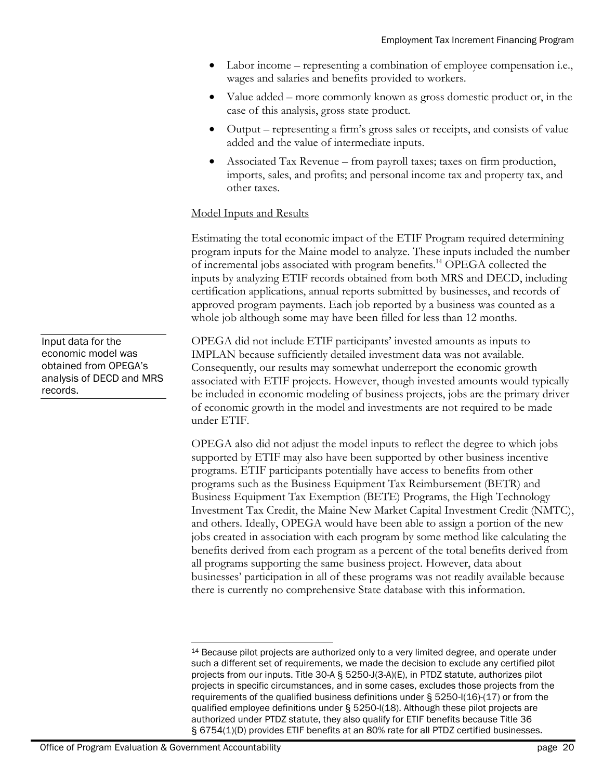- Labor income representing a combination of employee compensation i.e., wages and salaries and benefits provided to workers.
- Value added more commonly known as gross domestic product or, in the case of this analysis, gross state product.
- Output representing a firm's gross sales or receipts, and consists of value added and the value of intermediate inputs.
- Associated Tax Revenue from payroll taxes; taxes on firm production, imports, sales, and profits; and personal income tax and property tax, and other taxes.

#### Model Inputs and Results

Estimating the total economic impact of the ETIF Program required determining program inputs for the Maine model to analyze. These inputs included the number of incremental jobs associated with program benefits.<sup>14</sup> OPEGA collected the inputs by analyzing ETIF records obtained from both MRS and DECD, including certification applications, annual reports submitted by businesses, and records of approved program payments. Each job reported by a business was counted as a whole job although some may have been filled for less than 12 months.

OPEGA did not include ETIF participants' invested amounts as inputs to IMPLAN because sufficiently detailed investment data was not available. Consequently, our results may somewhat underreport the economic growth associated with ETIF projects. However, though invested amounts would typically be included in economic modeling of business projects, jobs are the primary driver of economic growth in the model and investments are not required to be made under ETIF.

OPEGA also did not adjust the model inputs to reflect the degree to which jobs supported by ETIF may also have been supported by other business incentive programs. ETIF participants potentially have access to benefits from other programs such as the Business Equipment Tax Reimbursement (BETR) and Business Equipment Tax Exemption (BETE) Programs, the High Technology Investment Tax Credit, the Maine New Market Capital Investment Credit (NMTC), and others. Ideally, OPEGA would have been able to assign a portion of the new jobs created in association with each program by some method like calculating the benefits derived from each program as a percent of the total benefits derived from all programs supporting the same business project. However, data about businesses' participation in all of these programs was not readily available because there is currently no comprehensive State database with this information.

Input data for the economic model was obtained from OPEGA's analysis of DECD and MRS records.

l <sup>14</sup> Because pilot projects are authorized only to a very limited degree, and operate under such a different set of requirements, we made the decision to exclude any certified pilot projects from our inputs. Title 30-A § 5250-J(3-A)(E), in PTDZ statute, authorizes pilot projects in specific circumstances, and in some cases, excludes those projects from the requirements of the qualified business definitions under § 5250-I(16)-(17) or from the qualified employee definitions under § 5250-I(18). Although these pilot projects are authorized under PTDZ statute, they also qualify for ETIF benefits because Title 36 § 6754(1)(D) provides ETIF benefits at an 80% rate for all PTDZ certified businesses.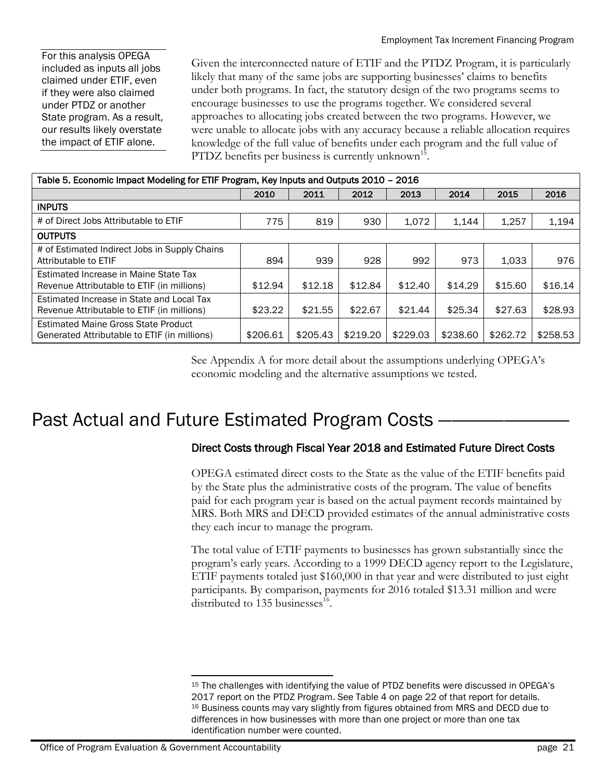For this analysis OPEGA included as inputs all jobs claimed under ETIF, even if they were also claimed under PTDZ or another State program. As a result, our results likely overstate the impact of ETIF alone.

Given the interconnected nature of ETIF and the PTDZ Program, it is particularly likely that many of the same jobs are supporting businesses' claims to benefits under both programs. In fact, the statutory design of the two programs seems to encourage businesses to use the programs together. We considered several approaches to allocating jobs created between the two programs. However, we were unable to allocate jobs with any accuracy because a reliable allocation requires knowledge of the full value of benefits under each program and the full value of PTDZ benefits per business is currently unknown<sup>15</sup>.

| Table 5. Economic Impact Modeling for ETIF Program, Key Inputs and Outputs 2010 - 2016  |          |          |          |          |          |          |          |  |
|-----------------------------------------------------------------------------------------|----------|----------|----------|----------|----------|----------|----------|--|
|                                                                                         | 2010     | 2011     | 2012     | 2013     | 2014     | 2015     | 2016     |  |
| <b>INPUTS</b>                                                                           |          |          |          |          |          |          |          |  |
| # of Direct Jobs Attributable to ETIF                                                   | 775      | 819      | 930      | 1,072    | 1.144    | 1,257    | 1,194    |  |
| <b>OUTPUTS</b>                                                                          |          |          |          |          |          |          |          |  |
| # of Estimated Indirect Jobs in Supply Chains<br>Attributable to ETIF                   | 894      | 939      | 928      | 992      | 973      | 1.033    | 976      |  |
| Estimated Increase in Maine State Tax<br>Revenue Attributable to ETIF (in millions)     | \$12.94  | \$12.18  | \$12.84  | \$12.40  | \$14.29  | \$15.60  | \$16.14  |  |
| Estimated Increase in State and Local Tax<br>Revenue Attributable to ETIF (in millions) | \$23.22  | \$21.55  | \$22.67  | \$21.44  | \$25.34  | \$27.63  | \$28.93  |  |
| Estimated Maine Gross State Product<br>Generated Attributable to ETIF (in millions)     | \$206.61 | \$205.43 | \$219.20 | \$229.03 | \$238.60 | \$262.72 | \$258.53 |  |

See Appendix A for more detail about the assumptions underlying OPEGA's economic modeling and the alternative assumptions we tested.

# Past Actual and Future Estimated Program Costs

### Direct Costs through Fiscal Year 2018 and Estimated Future Direct Costs

OPEGA estimated direct costs to the State as the value of the ETIF benefits paid by the State plus the administrative costs of the program. The value of benefits paid for each program year is based on the actual payment records maintained by MRS. Both MRS and DECD provided estimates of the annual administrative costs they each incur to manage the program.

The total value of ETIF payments to businesses has grown substantially since the program's early years. According to a 1999 DECD agency report to the Legislature, ETIF payments totaled just \$160,000 in that year and were distributed to just eight participants. By comparison, payments for 2016 totaled \$13.31 million and were distributed to 135 businesses<sup>16</sup>.

 $\overline{a}$ <sup>15</sup> The challenges with identifying the value of PTDZ benefits were discussed in OPEGA's 2017 report on the PTDZ Program. See Table 4 on page 22 of that report for details. <sup>16</sup> Business counts may vary slightly from figures obtained from MRS and DECD due to differences in how businesses with more than one project or more than one tax identification number were counted.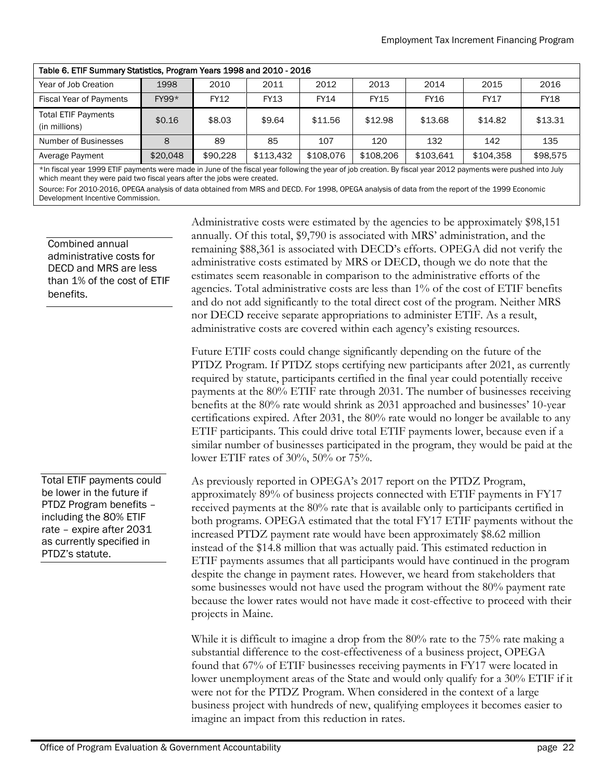| Table 6. ETIF Summary Statistics, Program Years 1998 and 2010 - 2016 |          |          |             |             |             |             |             |             |  |  |
|----------------------------------------------------------------------|----------|----------|-------------|-------------|-------------|-------------|-------------|-------------|--|--|
| Year of Job Creation                                                 | 1998     | 2010     | 2011        | 2012        | 2013        | 2014        | 2015        | 2016        |  |  |
| <b>Fiscal Year of Payments</b>                                       | $FY99*$  | FY12     | <b>FY13</b> | <b>FY14</b> | <b>FY15</b> | <b>FY16</b> | <b>FY17</b> | <b>FY18</b> |  |  |
| <b>Total ETIF Payments</b><br>(in millions)                          | \$0.16   | \$8.03   | \$9.64      | \$11.56     | \$12.98     | \$13.68     | \$14.82     | \$13.31     |  |  |
| Number of Businesses                                                 | 8        | 89       | 85          | 107         | 120         | 132         | 142         | 135         |  |  |
| Average Payment                                                      | \$20,048 | \$90,228 | \$113.432   | \$108,076   | \$108,206   | \$103,641   | \$104.358   | \$98,575    |  |  |

\*In fiscal year 1999 ETIF payments were made in June of the fiscal year following the year of job creation. By fiscal year 2012 payments were pushed into July which meant they were paid two fiscal years after the jobs were created.

Source: For 2010-2016, OPEGA analysis of data obtained from MRS and DECD. For 1998, OPEGA analysis of data from the report of the 1999 Economic Development Incentive Commission.

Combined annual administrative costs for DECD and MRS are less than 1% of the cost of ETIF benefits.

Total ETIF payments could be lower in the future if PTDZ Program benefits – including the 80% ETIF rate – expire after 2031 as currently specified in PTDZ's statute.

Administrative costs were estimated by the agencies to be approximately \$98,151 annually. Of this total, \$9,790 is associated with MRS' administration, and the remaining \$88,361 is associated with DECD's efforts. OPEGA did not verify the administrative costs estimated by MRS or DECD, though we do note that the estimates seem reasonable in comparison to the administrative efforts of the agencies. Total administrative costs are less than 1% of the cost of ETIF benefits and do not add significantly to the total direct cost of the program. Neither MRS nor DECD receive separate appropriations to administer ETIF. As a result, administrative costs are covered within each agency's existing resources.

Future ETIF costs could change significantly depending on the future of the PTDZ Program. If PTDZ stops certifying new participants after 2021, as currently required by statute, participants certified in the final year could potentially receive payments at the 80% ETIF rate through 2031. The number of businesses receiving benefits at the 80% rate would shrink as 2031 approached and businesses' 10-year certifications expired. After 2031, the 80% rate would no longer be available to any ETIF participants. This could drive total ETIF payments lower, because even if a similar number of businesses participated in the program, they would be paid at the lower ETIF rates of 30%, 50% or 75%.

As previously reported in OPEGA's 2017 report on the PTDZ Program, approximately 89% of business projects connected with ETIF payments in FY17 received payments at the 80% rate that is available only to participants certified in both programs. OPEGA estimated that the total FY17 ETIF payments without the increased PTDZ payment rate would have been approximately \$8.62 million instead of the \$14.8 million that was actually paid. This estimated reduction in ETIF payments assumes that all participants would have continued in the program despite the change in payment rates. However, we heard from stakeholders that some businesses would not have used the program without the 80% payment rate because the lower rates would not have made it cost-effective to proceed with their projects in Maine.

While it is difficult to imagine a drop from the 80% rate to the 75% rate making a substantial difference to the cost-effectiveness of a business project, OPEGA found that 67% of ETIF businesses receiving payments in FY17 were located in lower unemployment areas of the State and would only qualify for a 30% ETIF if it were not for the PTDZ Program. When considered in the context of a large business project with hundreds of new, qualifying employees it becomes easier to imagine an impact from this reduction in rates.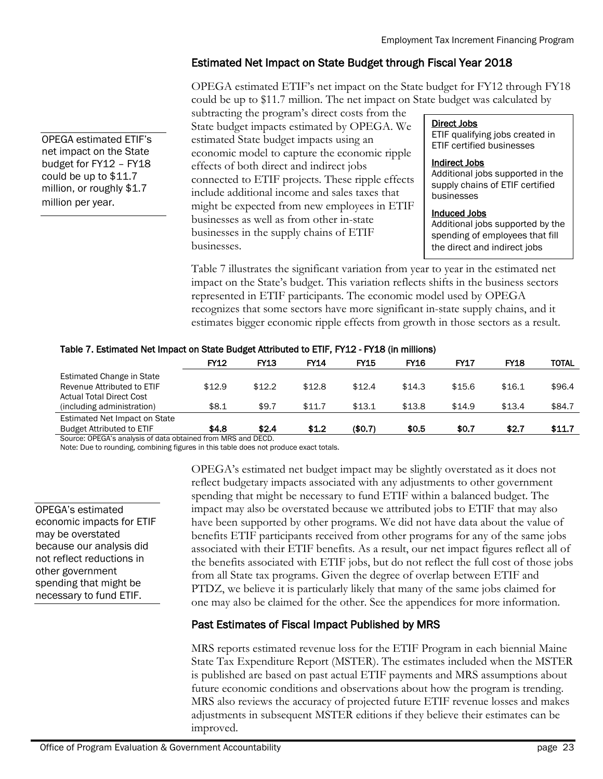### Estimated Net Impact on State Budget through Fiscal Year 2018

OPEGA estimated ETIF's net impact on the State budget for FY12 through FY18 could be up to \$11.7 million. The net impact on State budget was calculated by

subtracting the program's direct costs from the State budget impacts estimated by OPEGA. We estimated State budget impacts using an economic model to capture the economic ripple effects of both direct and indirect jobs connected to ETIF projects. These ripple effects include additional income and sales taxes that might be expected from new employees in ETIF businesses as well as from other in-state businesses in the supply chains of ETIF businesses.

#### Direct Jobs

ETIF qualifying jobs created in ETIF certified businesses

#### Indirect Jobs

Additional jobs supported in the supply chains of ETIF certified businesses

#### Induced Jobs

Additional jobs supported by the spending of employees that fill the direct and indirect jobs

Table 7 illustrates the significant variation from year to year in the estimated net impact on the State's budget. This variation reflects shifts in the business sectors represented in ETIF participants. The economic model used by OPEGA recognizes that some sectors have more significant in-state supply chains, and it estimates bigger economic ripple effects from growth in those sectors as a result.

#### Table 7. Estimated Net Impact on State Budget Attributed to ETIF, FY12 - FY18 (in millions)

|                                                                                     | <b>FY12</b> | <b>FY13</b> | <b>FY14</b> | <b>FY15</b> | <b>FY16</b> | <b>FY17</b> | <b>FY18</b> | TOTAL  |
|-------------------------------------------------------------------------------------|-------------|-------------|-------------|-------------|-------------|-------------|-------------|--------|
| Estimated Change in State<br>Revenue Attributed to ETIF<br>Actual Total Direct Cost | \$12.9      | \$12.2      | \$12.8      | \$12.4      | \$14.3      | \$15.6      | \$16.1      | \$96.4 |
| (including administration)                                                          | \$8.1       | \$9.7       | \$11.7      | \$13.1      | \$13.8      | \$14.9      | \$13.4      | \$84.7 |
| Estimated Net Impact on State<br><b>Budget Attributed to ETIF</b>                   | \$4.8       | \$2.4       | \$1.2       | (\$0.7)     | \$0.5       | \$0.7       | \$2.7       | \$11.7 |

Source: OPEGA's analysis of data obtained from MRS and DECD.

Note: Due to rounding, combining figures in this table does not produce exact totals.

OPEGA's estimated economic impacts for ETIF may be overstated because our analysis did not reflect reductions in other government spending that might be necessary to fund ETIF.

OPEGA estimated ETIF's net impact on the State budget for FY12 – FY18 could be up to \$11.7 million, or roughly \$1.7

million per year.

OPEGA's estimated net budget impact may be slightly overstated as it does not reflect budgetary impacts associated with any adjustments to other government spending that might be necessary to fund ETIF within a balanced budget. The impact may also be overstated because we attributed jobs to ETIF that may also have been supported by other programs. We did not have data about the value of benefits ETIF participants received from other programs for any of the same jobs associated with their ETIF benefits. As a result, our net impact figures reflect all of the benefits associated with ETIF jobs, but do not reflect the full cost of those jobs from all State tax programs. Given the degree of overlap between ETIF and PTDZ, we believe it is particularly likely that many of the same jobs claimed for one may also be claimed for the other. See the appendices for more information.

### Past Estimates of Fiscal Impact Published by MRS

MRS reports estimated revenue loss for the ETIF Program in each biennial Maine State Tax Expenditure Report (MSTER). The estimates included when the MSTER is published are based on past actual ETIF payments and MRS assumptions about future economic conditions and observations about how the program is trending. MRS also reviews the accuracy of projected future ETIF revenue losses and makes adjustments in subsequent MSTER editions if they believe their estimates can be improved.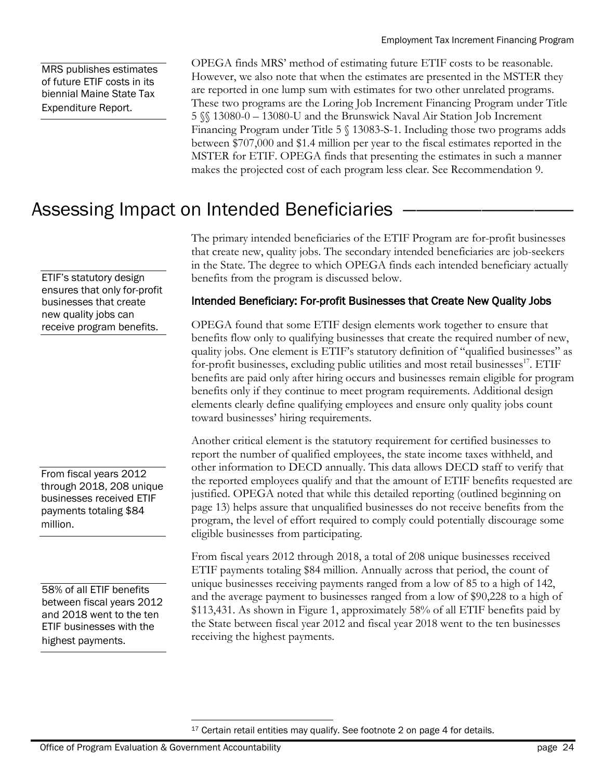MRS publishes estimates of future ETIF costs in its biennial Maine State Tax Expenditure Report.

OPEGA finds MRS' method of estimating future ETIF costs to be reasonable. However, we also note that when the estimates are presented in the MSTER they are reported in one lump sum with estimates for two other unrelated programs. These two programs are the Loring Job Increment Financing Program under Title 5 §§ 13080-0 – 13080-U and the Brunswick Naval Air Station Job Increment Financing Program under Title 5  $\frac{13083 - S-1}{1}$ . Including those two programs adds between \$707,000 and \$1.4 million per year to the fiscal estimates reported in the MSTER for ETIF. OPEGA finds that presenting the estimates in such a manner makes the projected cost of each program less clear. See Recommendation 9.

# Assessing Impact on Intended Beneficiaries

The primary intended beneficiaries of the ETIF Program are for-profit businesses that create new, quality jobs. The secondary intended beneficiaries are job-seekers in the State. The degree to which OPEGA finds each intended beneficiary actually benefits from the program is discussed below.

### Intended Beneficiary: For-profit Businesses that Create New Quality Jobs

OPEGA found that some ETIF design elements work together to ensure that benefits flow only to qualifying businesses that create the required number of new, quality jobs. One element is ETIF's statutory definition of "qualified businesses" as for-profit businesses, excluding public utilities and most retail businesses<sup>17</sup>. ETIF benefits are paid only after hiring occurs and businesses remain eligible for program benefits only if they continue to meet program requirements. Additional design elements clearly define qualifying employees and ensure only quality jobs count toward businesses' hiring requirements.

Another critical element is the statutory requirement for certified businesses to report the number of qualified employees, the state income taxes withheld, and other information to DECD annually. This data allows DECD staff to verify that the reported employees qualify and that the amount of ETIF benefits requested are justified. OPEGA noted that while this detailed reporting (outlined beginning on page 13) helps assure that unqualified businesses do not receive benefits from the program, the level of effort required to comply could potentially discourage some eligible businesses from participating.

From fiscal years 2012 through 2018, a total of 208 unique businesses received ETIF payments totaling \$84 million. Annually across that period, the count of unique businesses receiving payments ranged from a low of 85 to a high of 142, and the average payment to businesses ranged from a low of \$90,228 to a high of \$113,431. As shown in Figure 1, approximately 58% of all ETIF benefits paid by the State between fiscal year 2012 and fiscal year 2018 went to the ten businesses receiving the highest payments.

ETIF's statutory design ensures that only for-profit businesses that create new quality jobs can receive program benefits.

From fiscal years 2012 through 2018, 208 unique businesses received ETIF payments totaling \$84 million.

58% of all ETIF benefits between fiscal years 2012 and 2018 went to the ten ETIF businesses with the highest payments.

 $\overline{a}$ <sup>17</sup> Certain retail entities may qualify. See footnote 2 on page 4 for details.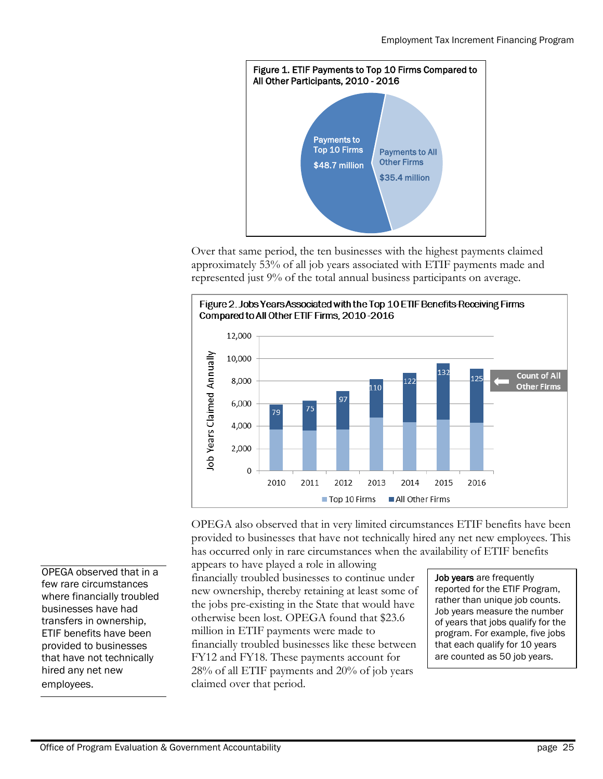

Over that same period, the ten businesses with the highest payments claimed approximately 53% of all job years associated with ETIF payments made and represented just 9% of the total annual business participants on average.



OPEGA also observed that in very limited circumstances ETIF benefits have been provided to businesses that have not technically hired any net new employees. This has occurred only in rare circumstances when the availability of ETIF benefits appears to have played a role in allowing

financially troubled businesses to continue under new ownership, thereby retaining at least some of the jobs pre-existing in the State that would have otherwise been lost. OPEGA found that \$23.6 million in ETIF payments were made to financially troubled businesses like these between FY12 and FY18. These payments account for 28% of all ETIF payments and 20% of job years claimed over that period.

Job years are frequently reported for the ETIF Program, rather than unique job counts. Job years measure the number of years that jobs qualify for the program. For example, five jobs that each qualify for 10 years are counted as 50 job years.

OPEGA observed that in a few rare circumstances where financially troubled businesses have had transfers in ownership, ETIF benefits have been provided to businesses that have not technically hired any net new employees.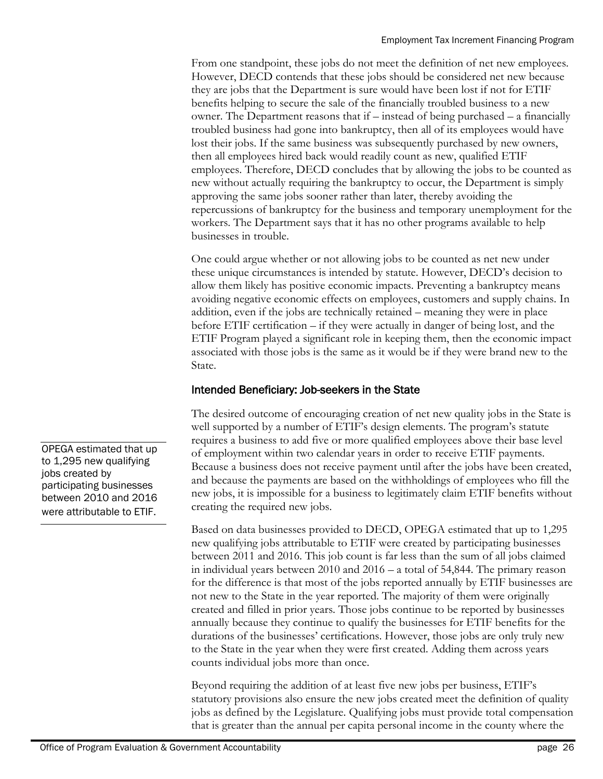From one standpoint, these jobs do not meet the definition of net new employees. However, DECD contends that these jobs should be considered net new because they are jobs that the Department is sure would have been lost if not for ETIF benefits helping to secure the sale of the financially troubled business to a new owner. The Department reasons that if – instead of being purchased – a financially troubled business had gone into bankruptcy, then all of its employees would have lost their jobs. If the same business was subsequently purchased by new owners, then all employees hired back would readily count as new, qualified ETIF employees. Therefore, DECD concludes that by allowing the jobs to be counted as new without actually requiring the bankruptcy to occur, the Department is simply approving the same jobs sooner rather than later, thereby avoiding the repercussions of bankruptcy for the business and temporary unemployment for the workers. The Department says that it has no other programs available to help businesses in trouble.

One could argue whether or not allowing jobs to be counted as net new under these unique circumstances is intended by statute. However, DECD's decision to allow them likely has positive economic impacts. Preventing a bankruptcy means avoiding negative economic effects on employees, customers and supply chains. In addition, even if the jobs are technically retained – meaning they were in place before ETIF certification – if they were actually in danger of being lost, and the ETIF Program played a significant role in keeping them, then the economic impact associated with those jobs is the same as it would be if they were brand new to the State.

#### Intended Beneficiary: Job-seekers in the State

The desired outcome of encouraging creation of net new quality jobs in the State is well supported by a number of ETIF's design elements. The program's statute requires a business to add five or more qualified employees above their base level of employment within two calendar years in order to receive ETIF payments. Because a business does not receive payment until after the jobs have been created, and because the payments are based on the withholdings of employees who fill the new jobs, it is impossible for a business to legitimately claim ETIF benefits without creating the required new jobs.

Based on data businesses provided to DECD, OPEGA estimated that up to 1,295 new qualifying jobs attributable to ETIF were created by participating businesses between 2011 and 2016. This job count is far less than the sum of all jobs claimed in individual years between 2010 and 2016 – a total of 54,844. The primary reason for the difference is that most of the jobs reported annually by ETIF businesses are not new to the State in the year reported. The majority of them were originally created and filled in prior years. Those jobs continue to be reported by businesses annually because they continue to qualify the businesses for ETIF benefits for the durations of the businesses' certifications. However, those jobs are only truly new to the State in the year when they were first created. Adding them across years counts individual jobs more than once.

Beyond requiring the addition of at least five new jobs per business, ETIF's statutory provisions also ensure the new jobs created meet the definition of quality jobs as defined by the Legislature. Qualifying jobs must provide total compensation that is greater than the annual per capita personal income in the county where the

OPEGA estimated that up to 1,295 new qualifying jobs created by participating businesses between 2010 and 2016 were attributable to ETIF.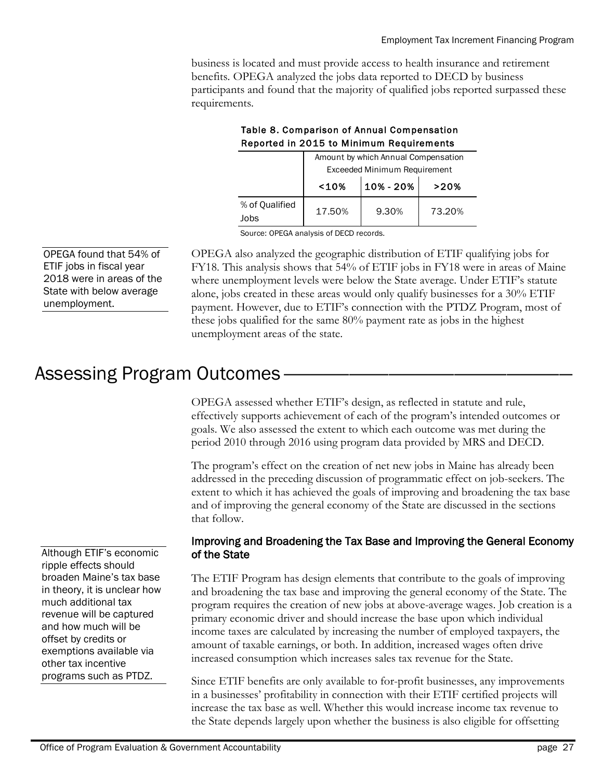business is located and must provide access to health insurance and retirement benefits. OPEGA analyzed the jobs data reported to DECD by business participants and found that the majority of qualified jobs reported surpassed these requirements.

|                        | Amount by which Annual Compensation |           |        |  |  |  |  |
|------------------------|-------------------------------------|-----------|--------|--|--|--|--|
|                        | Exceeded Minimum Requirement        |           |        |  |  |  |  |
|                        | 10%                                 | 10% - 20% | >20%   |  |  |  |  |
| % of Qualified<br>Jobs | 17.50%                              | 9.30%     | 73.20% |  |  |  |  |

#### Table 8. Comparison of Annual Compensation Reported in 2015 to Minimum Requirements

Source: OPEGA analysis of DECD records.

OPEGA found that 54% of ETIF jobs in fiscal year 2018 were in areas of the State with below average unemployment.

OPEGA also analyzed the geographic distribution of ETIF qualifying jobs for FY18. This analysis shows that 54% of ETIF jobs in FY18 were in areas of Maine where unemployment levels were below the State average. Under ETIF's statute alone, jobs created in these areas would only qualify businesses for a 30% ETIF payment. However, due to ETIF's connection with the PTDZ Program, most of these jobs qualified for the same 80% payment rate as jobs in the highest unemployment areas of the state.

# Assessing Program Outcomes

OPEGA assessed whether ETIF's design, as reflected in statute and rule, effectively supports achievement of each of the program's intended outcomes or goals. We also assessed the extent to which each outcome was met during the period 2010 through 2016 using program data provided by MRS and DECD.

The program's effect on the creation of net new jobs in Maine has already been addressed in the preceding discussion of programmatic effect on job-seekers. The extent to which it has achieved the goals of improving and broadening the tax base and of improving the general economy of the State are discussed in the sections that follow.

#### Improving and Broadening the Tax Base and Improving the General Economy of the State

The ETIF Program has design elements that contribute to the goals of improving and broadening the tax base and improving the general economy of the State. The program requires the creation of new jobs at above-average wages. Job creation is a primary economic driver and should increase the base upon which individual income taxes are calculated by increasing the number of employed taxpayers, the amount of taxable earnings, or both. In addition, increased wages often drive increased consumption which increases sales tax revenue for the State.

Since ETIF benefits are only available to for-profit businesses, any improvements in a businesses' profitability in connection with their ETIF certified projects will increase the tax base as well. Whether this would increase income tax revenue to the State depends largely upon whether the business is also eligible for offsetting

Although ETIF's economic ripple effects should broaden Maine's tax base in theory, it is unclear how much additional tax revenue will be captured and how much will be offset by credits or exemptions available via other tax incentive programs such as PTDZ.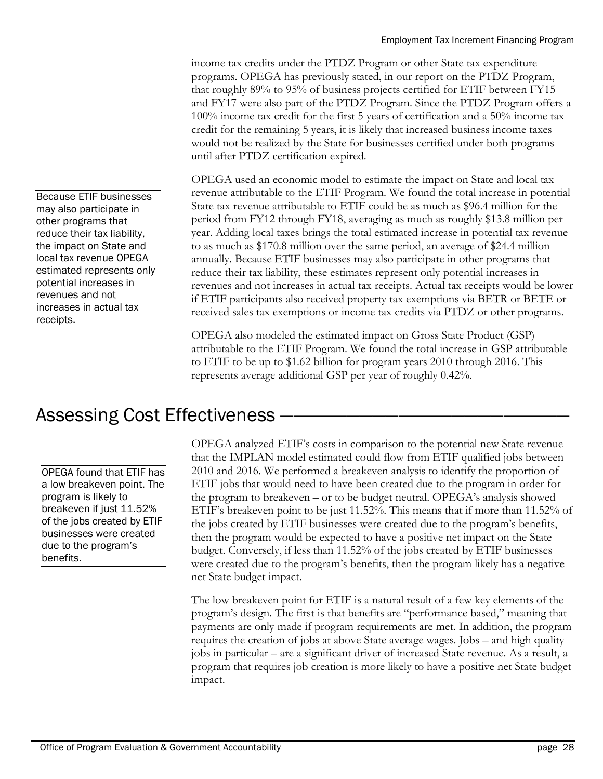income tax credits under the PTDZ Program or other State tax expenditure programs. OPEGA has previously stated, in our report on the PTDZ Program, that roughly 89% to 95% of business projects certified for ETIF between FY15 and FY17 were also part of the PTDZ Program. Since the PTDZ Program offers a 100% income tax credit for the first 5 years of certification and a 50% income tax credit for the remaining 5 years, it is likely that increased business income taxes would not be realized by the State for businesses certified under both programs until after PTDZ certification expired.

OPEGA used an economic model to estimate the impact on State and local tax revenue attributable to the ETIF Program. We found the total increase in potential State tax revenue attributable to ETIF could be as much as \$96.4 million for the period from FY12 through FY18, averaging as much as roughly \$13.8 million per year. Adding local taxes brings the total estimated increase in potential tax revenue to as much as \$170.8 million over the same period, an average of \$24.4 million annually. Because ETIF businesses may also participate in other programs that reduce their tax liability, these estimates represent only potential increases in revenues and not increases in actual tax receipts. Actual tax receipts would be lower if ETIF participants also received property tax exemptions via BETR or BETE or received sales tax exemptions or income tax credits via PTDZ or other programs.

OPEGA also modeled the estimated impact on Gross State Product (GSP) attributable to the ETIF Program. We found the total increase in GSP attributable to ETIF to be up to \$1.62 billion for program years 2010 through 2016. This represents average additional GSP per year of roughly 0.42%.

# Assessing Cost Effectiveness -

OPEGA found that ETIF has a low breakeven point. The program is likely to breakeven if just 11.52% of the jobs created by ETIF businesses were created due to the program's benefits.

OPEGA analyzed ETIF's costs in comparison to the potential new State revenue that the IMPLAN model estimated could flow from ETIF qualified jobs between 2010 and 2016. We performed a breakeven analysis to identify the proportion of ETIF jobs that would need to have been created due to the program in order for the program to breakeven – or to be budget neutral. OPEGA's analysis showed ETIF's breakeven point to be just 11.52%. This means that if more than 11.52% of the jobs created by ETIF businesses were created due to the program's benefits, then the program would be expected to have a positive net impact on the State budget. Conversely, if less than 11.52% of the jobs created by ETIF businesses were created due to the program's benefits, then the program likely has a negative net State budget impact.

The low breakeven point for ETIF is a natural result of a few key elements of the program's design. The first is that benefits are "performance based," meaning that payments are only made if program requirements are met. In addition, the program requires the creation of jobs at above State average wages. Jobs – and high quality jobs in particular – are a significant driver of increased State revenue. As a result, a program that requires job creation is more likely to have a positive net State budget impact.

Because ETIF businesses may also participate in other programs that reduce their tax liability, the impact on State and local tax revenue OPEGA estimated represents only potential increases in revenues and not increases in actual tax receipts.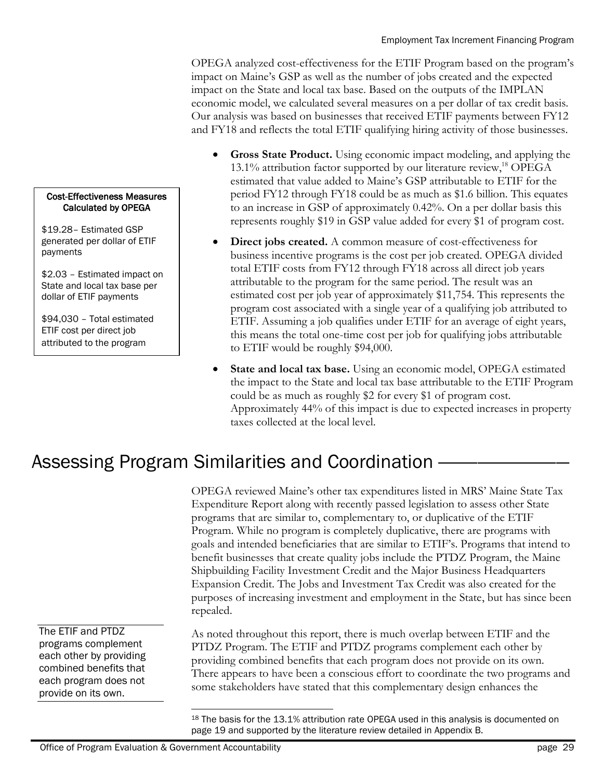OPEGA analyzed cost-effectiveness for the ETIF Program based on the program's impact on Maine's GSP as well as the number of jobs created and the expected impact on the State and local tax base. Based on the outputs of the IMPLAN economic model, we calculated several measures on a per dollar of tax credit basis. Our analysis was based on businesses that received ETIF payments between FY12 and FY18 and reflects the total ETIF qualifying hiring activity of those businesses.

- **Gross State Product.** Using economic impact modeling, and applying the 13.1% attribution factor supported by our literature review,<sup>18</sup> OPEGA estimated that value added to Maine's GSP attributable to ETIF for the period FY12 through FY18 could be as much as \$1.6 billion. This equates to an increase in GSP of approximately 0.42%. On a per dollar basis this represents roughly \$19 in GSP value added for every \$1 of program cost.
- **Direct jobs created.** A common measure of cost-effectiveness for business incentive programs is the cost per job created. OPEGA divided total ETIF costs from FY12 through FY18 across all direct job years attributable to the program for the same period. The result was an estimated cost per job year of approximately \$11,754. This represents the program cost associated with a single year of a qualifying job attributed to ETIF. Assuming a job qualifies under ETIF for an average of eight years, this means the total one-time cost per job for qualifying jobs attributable to ETIF would be roughly \$94,000.
- **State and local tax base.** Using an economic model, OPEGA estimated the impact to the State and local tax base attributable to the ETIF Program could be as much as roughly \$2 for every \$1 of program cost. Approximately 44% of this impact is due to expected increases in property taxes collected at the local level.

# Assessing Program Similarities and Coordination -

OPEGA reviewed Maine's other tax expenditures listed in MRS' Maine State Tax Expenditure Report along with recently passed legislation to assess other State programs that are similar to, complementary to, or duplicative of the ETIF Program. While no program is completely duplicative, there are programs with goals and intended beneficiaries that are similar to ETIF's. Programs that intend to benefit businesses that create quality jobs include the PTDZ Program, the Maine Shipbuilding Facility Investment Credit and the Major Business Headquarters Expansion Credit. The Jobs and Investment Tax Credit was also created for the purposes of increasing investment and employment in the State, but has since been repealed.

As noted throughout this report, there is much overlap between ETIF and the PTDZ Program. The ETIF and PTDZ programs complement each other by providing combined benefits that each program does not provide on its own. There appears to have been a conscious effort to coordinate the two programs and some stakeholders have stated that this complementary design enhances the

#### Cost-Effectiveness Measures Calculated by OPEGA

\$19.28– Estimated GSP generated per dollar of ETIF payments

\$2.03 – Estimated impact on State and local tax base per dollar of ETIF payments

\$94,030 – Total estimated ETIF cost per direct job attributed to the program

The ETIF and PTDZ programs complement each other by providing combined benefits that each program does not provide on its own.

 $\overline{a}$ 

<sup>&</sup>lt;sup>18</sup> The basis for the 13.1% attribution rate OPEGA used in this analysis is documented on page 19 and supported by the literature review detailed in Appendix B.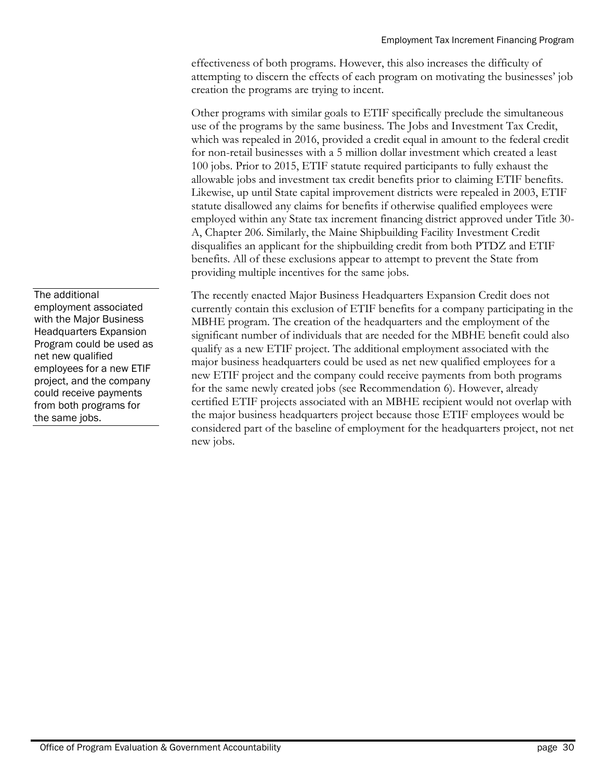effectiveness of both programs. However, this also increases the difficulty of attempting to discern the effects of each program on motivating the businesses' job creation the programs are trying to incent.

Other programs with similar goals to ETIF specifically preclude the simultaneous use of the programs by the same business. The Jobs and Investment Tax Credit, which was repealed in 2016, provided a credit equal in amount to the federal credit for non-retail businesses with a 5 million dollar investment which created a least 100 jobs. Prior to 2015, ETIF statute required participants to fully exhaust the allowable jobs and investment tax credit benefits prior to claiming ETIF benefits. Likewise, up until State capital improvement districts were repealed in 2003, ETIF statute disallowed any claims for benefits if otherwise qualified employees were employed within any State tax increment financing district approved under Title 30- A, Chapter 206. Similarly, the Maine Shipbuilding Facility Investment Credit disqualifies an applicant for the shipbuilding credit from both PTDZ and ETIF benefits. All of these exclusions appear to attempt to prevent the State from providing multiple incentives for the same jobs.

The recently enacted Major Business Headquarters Expansion Credit does not currently contain this exclusion of ETIF benefits for a company participating in the MBHE program. The creation of the headquarters and the employment of the significant number of individuals that are needed for the MBHE benefit could also qualify as a new ETIF project. The additional employment associated with the major business headquarters could be used as net new qualified employees for a new ETIF project and the company could receive payments from both programs for the same newly created jobs (see Recommendation 6). However, already certified ETIF projects associated with an MBHE recipient would not overlap with the major business headquarters project because those ETIF employees would be considered part of the baseline of employment for the headquarters project, not net new jobs.

The additional employment associated with the Major Business Headquarters Expansion Program could be used as net new qualified employees for a new ETIF project, and the company could receive payments from both programs for the same jobs.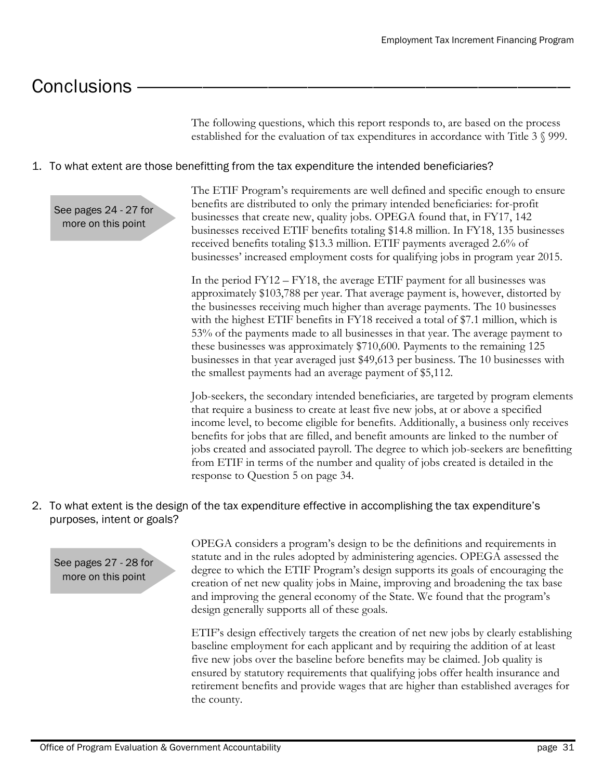# Conclusions

The following questions, which this report responds to, are based on the process established for the evaluation of tax expenditures in accordance with Title 3 § 999.

#### 1. To what extent are those benefitting from the tax expenditure the intended beneficiaries?

See pages 24 - 27 for more on this point

The ETIF Program's requirements are well defined and specific enough to ensure benefits are distributed to only the primary intended beneficiaries: for-profit businesses that create new, quality jobs. OPEGA found that, in FY17, 142 businesses received ETIF benefits totaling \$14.8 million. In FY18, 135 businesses received benefits totaling \$13.3 million. ETIF payments averaged 2.6% of businesses' increased employment costs for qualifying jobs in program year 2015.

In the period FY12 – FY18, the average ETIF payment for all businesses was approximately \$103,788 per year. That average payment is, however, distorted by the businesses receiving much higher than average payments. The 10 businesses with the highest ETIF benefits in FY18 received a total of \$7.1 million, which is 53% of the payments made to all businesses in that year. The average payment to these businesses was approximately \$710,600. Payments to the remaining 125 businesses in that year averaged just \$49,613 per business. The 10 businesses with the smallest payments had an average payment of \$5,112.

Job-seekers, the secondary intended beneficiaries, are targeted by program elements that require a business to create at least five new jobs, at or above a specified income level, to become eligible for benefits. Additionally, a business only receives benefits for jobs that are filled, and benefit amounts are linked to the number of jobs created and associated payroll. The degree to which job-seekers are benefitting from ETIF in terms of the number and quality of jobs created is detailed in the response to Question 5 on page 34.

2. To what extent is the design of the tax expenditure effective in accomplishing the tax expenditure's purposes, intent or goals?

See pages 27 - 28 for more on this point

OPEGA considers a program's design to be the definitions and requirements in statute and in the rules adopted by administering agencies. OPEGA assessed the degree to which the ETIF Program's design supports its goals of encouraging the creation of net new quality jobs in Maine, improving and broadening the tax base and improving the general economy of the State. We found that the program's design generally supports all of these goals.

ETIF's design effectively targets the creation of net new jobs by clearly establishing baseline employment for each applicant and by requiring the addition of at least five new jobs over the baseline before benefits may be claimed. Job quality is ensured by statutory requirements that qualifying jobs offer health insurance and retirement benefits and provide wages that are higher than established averages for the county.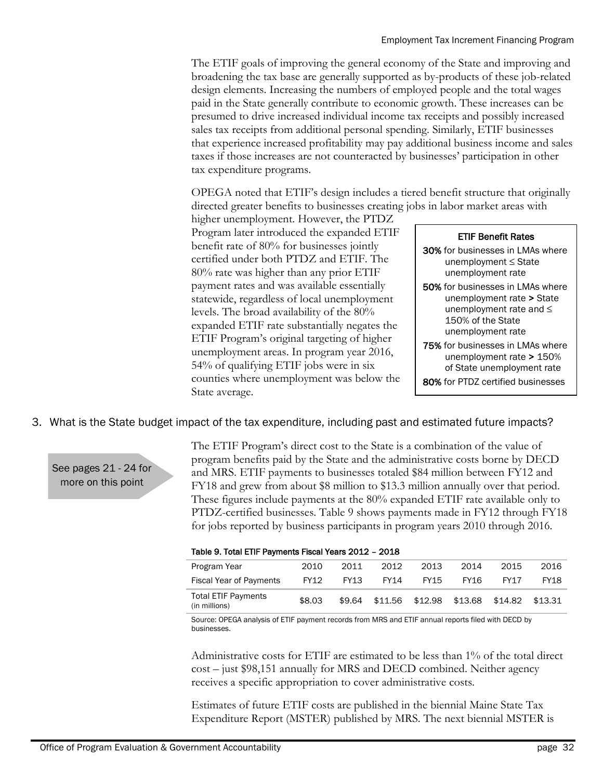The ETIF goals of improving the general economy of the State and improving and broadening the tax base are generally supported as by-products of these job-related design elements. Increasing the numbers of employed people and the total wages paid in the State generally contribute to economic growth. These increases can be presumed to drive increased individual income tax receipts and possibly increased sales tax receipts from additional personal spending. Similarly, ETIF businesses that experience increased profitability may pay additional business income and sales taxes if those increases are not counteracted by businesses' participation in other tax expenditure programs.

OPEGA noted that ETIF's design includes a tiered benefit structure that originally directed greater benefits to businesses creating jobs in labor market areas with

higher unemployment. However, the PTDZ Program later introduced the expanded ETIF benefit rate of 80% for businesses jointly certified under both PTDZ and ETIF. The 80% rate was higher than any prior ETIF payment rates and was available essentially statewide, regardless of local unemployment levels. The broad availability of the 80% expanded ETIF rate substantially negates the ETIF Program's original targeting of higher unemployment areas. In program year 2016, 54% of qualifying ETIF jobs were in six counties where unemployment was below the State average. FIFI Benefit rate of 80% for businesses jointly<br>
benefit rate of 80% for businesses jointly<br>
certified under both PTDZ and ETIF. The<br>
80% rate was higher than any prior ETIF<br>
statewide, regardless of local unemployment at

| <b>ETIF Benefit Rates</b> |
|---------------------------|
|---------------------------|

- 30% for businesses in LMAs where unemployment ≤ State unemployment rate
- 50% for businesses in LMAs where unemployment rate > State unemployment rate and ≤ 150% of the State unemployment rate
- 75% for businesses in LMAs where unemployment rate > 150% of State unemployment rate
- 80% for PTDZ certified businesses

#### 3. What is the State budget impact of the tax expenditure, including past and estimated future impacts?

See pages 21 - 24 for more on this point

The ETIF Program's direct cost to the State is a combination of the value of program benefits paid by the State and the administrative costs borne by DECD and MRS. ETIF payments to businesses totaled \$84 million between FY12 and FY18 and grew from about \$8 million to \$13.3 million annually over that period. These figures include payments at the 80% expanded ETIF rate available only to PTDZ-certified businesses. Table 9 shows payments made in FY12 through FY18 for jobs reported by business participants in program years 2010 through 2016.

Table 9. Total ETIF Payments Fiscal Years 2012 – 2018

| Program Year                                | 2010   | 2011 | 2012                                           | 2013 | 2014        | 2015 | 2016        |
|---------------------------------------------|--------|------|------------------------------------------------|------|-------------|------|-------------|
| <b>Fiscal Year of Payments</b>              | FY12   | FY13 | FY14                                           | FY15 | <b>FY16</b> | FY17 | <b>FY18</b> |
| <b>Total ETIF Payments</b><br>(in millions) | \$8.03 |      | \$9.64 \$11.56 \$12.98 \$13.68 \$14.82 \$13.31 |      |             |      |             |

Source: OPEGA analysis of ETIF payment records from MRS and ETIF annual reports filed with DECD by businesses.

Administrative costs for ETIF are estimated to be less than 1% of the total direct cost – just \$98,151 annually for MRS and DECD combined. Neither agency receives a specific appropriation to cover administrative costs.

Estimates of future ETIF costs are published in the biennial Maine State Tax Expenditure Report (MSTER) published by MRS. The next biennial MSTER is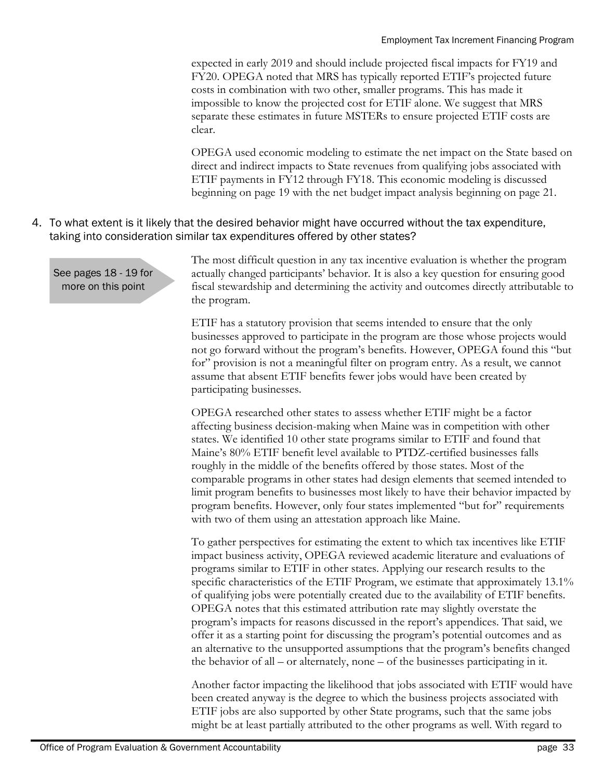expected in early 2019 and should include projected fiscal impacts for FY19 and FY20. OPEGA noted that MRS has typically reported ETIF's projected future costs in combination with two other, smaller programs. This has made it impossible to know the projected cost for ETIF alone. We suggest that MRS separate these estimates in future MSTERs to ensure projected ETIF costs are clear.

OPEGA used economic modeling to estimate the net impact on the State based on direct and indirect impacts to State revenues from qualifying jobs associated with ETIF payments in FY12 through FY18. This economic modeling is discussed beginning on page 19 with the net budget impact analysis beginning on page 21.

4. To what extent is it likely that the desired behavior might have occurred without the tax expenditure, taking into consideration similar tax expenditures offered by other states?

See pages 18 - 19 for more on this point

The most difficult question in any tax incentive evaluation is whether the program actually changed participants' behavior. It is also a key question for ensuring good fiscal stewardship and determining the activity and outcomes directly attributable to the program.

ETIF has a statutory provision that seems intended to ensure that the only businesses approved to participate in the program are those whose projects would not go forward without the program's benefits. However, OPEGA found this "but for" provision is not a meaningful filter on program entry. As a result, we cannot assume that absent ETIF benefits fewer jobs would have been created by participating businesses.

OPEGA researched other states to assess whether ETIF might be a factor affecting business decision-making when Maine was in competition with other states. We identified 10 other state programs similar to ETIF and found that Maine's 80% ETIF benefit level available to PTDZ-certified businesses falls roughly in the middle of the benefits offered by those states. Most of the comparable programs in other states had design elements that seemed intended to limit program benefits to businesses most likely to have their behavior impacted by program benefits. However, only four states implemented "but for" requirements with two of them using an attestation approach like Maine.

To gather perspectives for estimating the extent to which tax incentives like ETIF impact business activity, OPEGA reviewed academic literature and evaluations of programs similar to ETIF in other states. Applying our research results to the specific characteristics of the ETIF Program, we estimate that approximately 13.1% of qualifying jobs were potentially created due to the availability of ETIF benefits. OPEGA notes that this estimated attribution rate may slightly overstate the program's impacts for reasons discussed in the report's appendices. That said, we offer it as a starting point for discussing the program's potential outcomes and as an alternative to the unsupported assumptions that the program's benefits changed the behavior of all – or alternately, none – of the businesses participating in it.

Another factor impacting the likelihood that jobs associated with ETIF would have been created anyway is the degree to which the business projects associated with ETIF jobs are also supported by other State programs, such that the same jobs might be at least partially attributed to the other programs as well. With regard to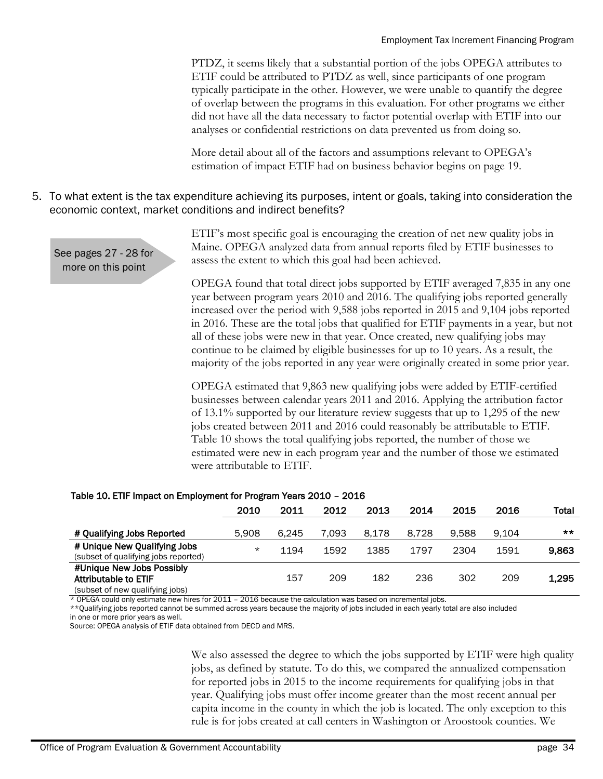PTDZ, it seems likely that a substantial portion of the jobs OPEGA attributes to ETIF could be attributed to PTDZ as well, since participants of one program typically participate in the other. However, we were unable to quantify the degree of overlap between the programs in this evaluation. For other programs we either did not have all the data necessary to factor potential overlap with ETIF into our analyses or confidential restrictions on data prevented us from doing so.

More detail about all of the factors and assumptions relevant to OPEGA's estimation of impact ETIF had on business behavior begins on page 19.

#### 5. To what extent is the tax expenditure achieving its purposes, intent or goals, taking into consideration the economic context, market conditions and indirect benefits?

See pages 27 - 28 for more on this point

ETIF's most specific goal is encouraging the creation of net new quality jobs in Maine. OPEGA analyzed data from annual reports filed by ETIF businesses to assess the extent to which this goal had been achieved.

OPEGA found that total direct jobs supported by ETIF averaged 7,835 in any one year between program years 2010 and 2016. The qualifying jobs reported generally increased over the period with 9,588 jobs reported in 2015 and 9,104 jobs reported in 2016. These are the total jobs that qualified for ETIF payments in a year, but not all of these jobs were new in that year. Once created, new qualifying jobs may continue to be claimed by eligible businesses for up to 10 years. As a result, the majority of the jobs reported in any year were originally created in some prior year.

OPEGA estimated that 9,863 new qualifying jobs were added by ETIF-certified businesses between calendar years 2011 and 2016. Applying the attribution factor of 13.1% supported by our literature review suggests that up to 1,295 of the new jobs created between 2011 and 2016 could reasonably be attributable to ETIF. Table 10 shows the total qualifying jobs reported, the number of those we estimated were new in each program year and the number of those we estimated were attributable to ETIF.

#### Table 10. ETIF Impact on Employment for Program Years 2010 – 2016

|                                                                                             | 2010    | 2011  | 2012  | 2013  | 2014  | 2015  | 2016  | Total |
|---------------------------------------------------------------------------------------------|---------|-------|-------|-------|-------|-------|-------|-------|
| # Qualifying Jobs Reported                                                                  | 5.908   | 6.245 | 7.093 | 8.178 | 8.728 | 9.588 | 9.104 | $***$ |
| # Unique New Qualifying Jobs<br>(subset of qualifying jobs reported)                        | $\star$ | 1194  | 1592  | 1385  | 1797  | 2304  | 1591  | 9.863 |
| #Unique New Jobs Possibly<br><b>Attributable to ETIF</b><br>(subset of new qualifying jobs) |         | 157   | 209   | 182   | 236   | 302   | 209   | 1,295 |

\* OPEGA could only estimate new hires for 2011 – 2016 because the calculation was based on incremental jobs.

\*\*Qualifying jobs reported cannot be summed across years because the majority of jobs included in each yearly total are also included

in one or more prior years as well.

Source: OPEGA analysis of ETIF data obtained from DECD and MRS.

We also assessed the degree to which the jobs supported by ETIF were high quality jobs, as defined by statute. To do this, we compared the annualized compensation for reported jobs in 2015 to the income requirements for qualifying jobs in that year. Qualifying jobs must offer income greater than the most recent annual per capita income in the county in which the job is located. The only exception to this rule is for jobs created at call centers in Washington or Aroostook counties. We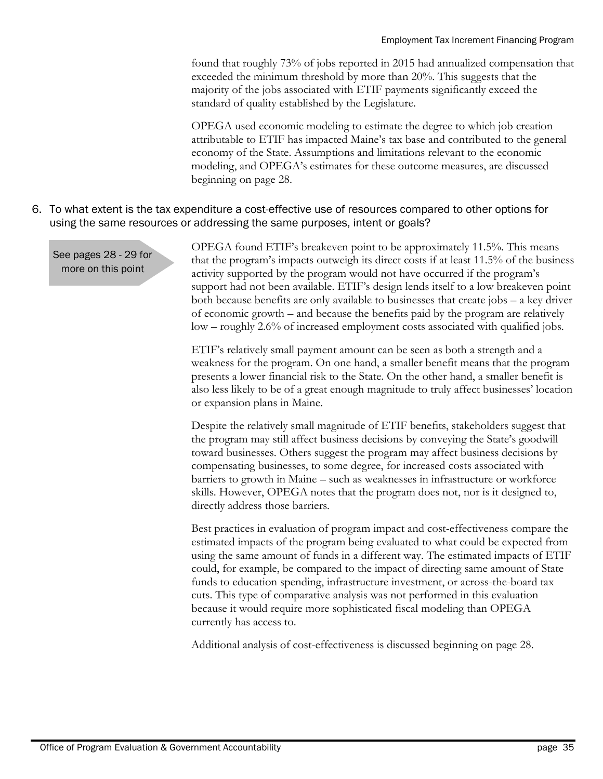found that roughly 73% of jobs reported in 2015 had annualized compensation that exceeded the minimum threshold by more than 20%. This suggests that the majority of the jobs associated with ETIF payments significantly exceed the standard of quality established by the Legislature.

OPEGA used economic modeling to estimate the degree to which job creation attributable to ETIF has impacted Maine's tax base and contributed to the general economy of the State. Assumptions and limitations relevant to the economic modeling, and OPEGA's estimates for these outcome measures, are discussed beginning on page 28.

#### 6. To what extent is the tax expenditure a cost-effective use of resources compared to other options for using the same resources or addressing the same purposes, intent or goals?

See pages 28 - 29 for more on this point

OPEGA found ETIF's breakeven point to be approximately 11.5%. This means that the program's impacts outweigh its direct costs if at least 11.5% of the business activity supported by the program would not have occurred if the program's support had not been available. ETIF's design lends itself to a low breakeven point both because benefits are only available to businesses that create jobs – a key driver of economic growth – and because the benefits paid by the program are relatively low – roughly 2.6% of increased employment costs associated with qualified jobs.

ETIF's relatively small payment amount can be seen as both a strength and a weakness for the program. On one hand, a smaller benefit means that the program presents a lower financial risk to the State. On the other hand, a smaller benefit is also less likely to be of a great enough magnitude to truly affect businesses' location or expansion plans in Maine.

Despite the relatively small magnitude of ETIF benefits, stakeholders suggest that the program may still affect business decisions by conveying the State's goodwill toward businesses. Others suggest the program may affect business decisions by compensating businesses, to some degree, for increased costs associated with barriers to growth in Maine – such as weaknesses in infrastructure or workforce skills. However, OPEGA notes that the program does not, nor is it designed to, directly address those barriers.

Best practices in evaluation of program impact and cost-effectiveness compare the estimated impacts of the program being evaluated to what could be expected from using the same amount of funds in a different way. The estimated impacts of ETIF could, for example, be compared to the impact of directing same amount of State funds to education spending, infrastructure investment, or across-the-board tax cuts. This type of comparative analysis was not performed in this evaluation because it would require more sophisticated fiscal modeling than OPEGA currently has access to.

Additional analysis of cost-effectiveness is discussed beginning on page 28.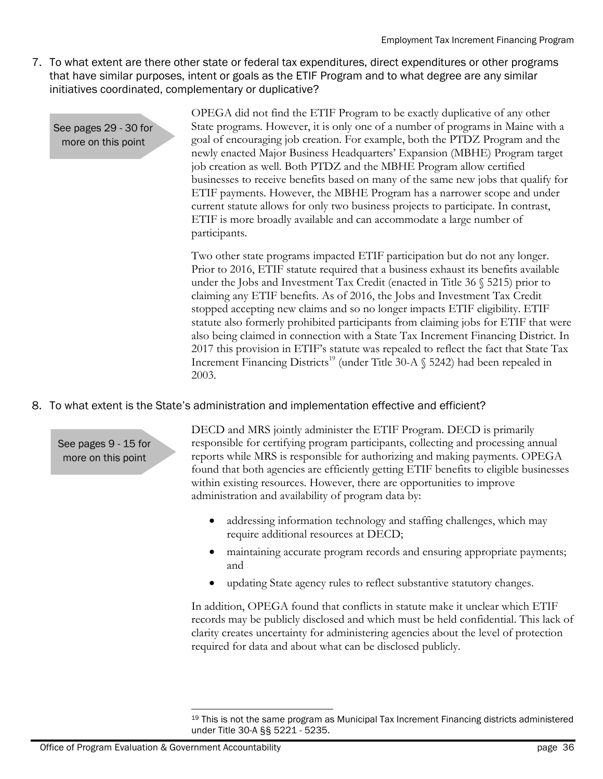7. To what extent are there other state or federal tax expenditures, direct expenditures or other programs that have similar purposes, intent or goals as the ETIF Program and to what degree are any similar initiatives coordinated, complementary or duplicative?

See pages 29 - 30 for more on this point

OPEGA did not find the ETIF Program to be exactly duplicative of any other State programs. However, it is only one of a number of programs in Maine with a goal of encouraging job creation. For example, both the PTDZ Program and the newly enacted Major Business Headquarters' Expansion (MBHE) Program target job creation as well. Both PTDZ and the MBHE Program allow certified businesses to receive benefits based on many of the same new jobs that qualify for ETIF payments. However, the MBHE Program has a narrower scope and under current statute allows for only two business projects to participate. In contrast, ETIF is more broadly available and can accommodate a large number of participants.

Two other state programs impacted ETIF participation but do not any longer. Prior to 2016, ETIF statute required that a business exhaust its benefits available under the Jobs and Investment Tax Credit (enacted in Title 36 § 5215) prior to claiming any ETIF benefits. As of 2016, the Jobs and Investment Tax Credit stopped accepting new claims and so no longer impacts ETIF eligibility. ETIF statute also formerly prohibited participants from claiming jobs for ETIF that were also being claimed in connection with a State Tax Increment Financing District. In 2017 this provision in ETIF's statute was repealed to reflect the fact that State Tax Increment Financing Districts<sup>19</sup> (under Title 30-A  $\S$  5242) had been repealed in 2003.

### 8. To what extent is the State's administration and implementation effective and efficient?

See pages 9 - 15 for more on this point

DECD and MRS jointly administer the ETIF Program. DECD is primarily responsible for certifying program participants, collecting and processing annual reports while MRS is responsible for authorizing and making payments. OPEGA found that both agencies are efficiently getting ETIF benefits to eligible businesses within existing resources. However, there are opportunities to improve administration and availability of program data by:

- addressing information technology and staffing challenges, which may require additional resources at DECD;
- maintaining accurate program records and ensuring appropriate payments; and
- updating State agency rules to reflect substantive statutory changes.

In addition, OPEGA found that conflicts in statute make it unclear which ETIF records may be publicly disclosed and which must be held confidential. This lack of clarity creates uncertainty for administering agencies about the level of protection required for data and about what can be disclosed publicly.

 $\overline{a}$ <sup>19</sup> This is not the same program as Municipal Tax Increment Financing districts administered under Title 30-A §§ 5221 - 5235.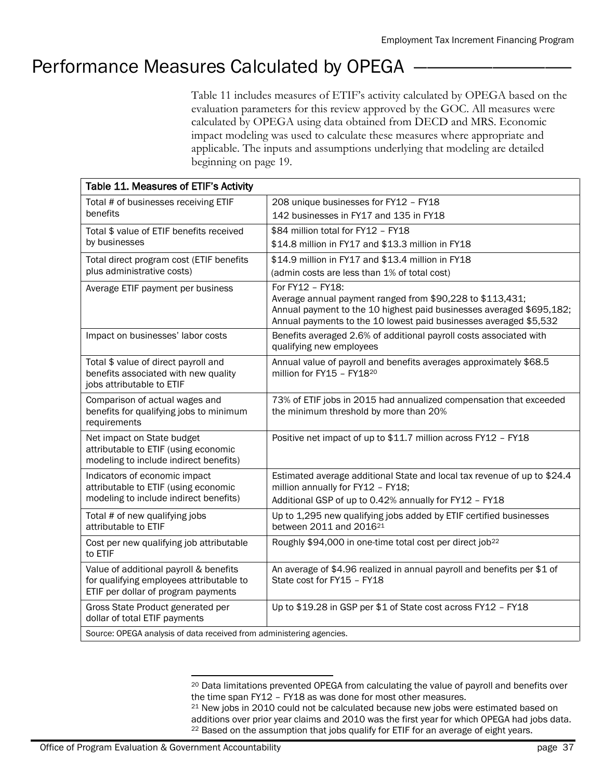# Performance Measures Calculated by OPEGA

Table 11 includes measures of ETIF's activity calculated by OPEGA based on the evaluation parameters for this review approved by the GOC. All measures were calculated by OPEGA using data obtained from DECD and MRS. Economic impact modeling was used to calculate these measures where appropriate and applicable. The inputs and assumptions underlying that modeling are detailed beginning on page 19.

| Table 11. Measures of ETIF's Activity                                           |                                                                                                                                   |
|---------------------------------------------------------------------------------|-----------------------------------------------------------------------------------------------------------------------------------|
| Total # of businesses receiving ETIF                                            | 208 unique businesses for FY12 - FY18                                                                                             |
| benefits                                                                        | 142 businesses in FY17 and 135 in FY18                                                                                            |
| Total \$ value of ETIF benefits received                                        | \$84 million total for FY12 - FY18                                                                                                |
| by businesses                                                                   | \$14.8 million in FY17 and \$13.3 million in FY18                                                                                 |
| Total direct program cost (ETIF benefits                                        | \$14.9 million in FY17 and \$13.4 million in FY18                                                                                 |
| plus administrative costs)                                                      | (admin costs are less than 1% of total cost)                                                                                      |
| Average ETIF payment per business                                               | For FY12 - FY18:                                                                                                                  |
|                                                                                 | Average annual payment ranged from \$90,228 to \$113,431;<br>Annual payment to the 10 highest paid businesses averaged \$695,182; |
|                                                                                 | Annual payments to the 10 lowest paid businesses averaged \$5,532                                                                 |
| Impact on businesses' labor costs                                               | Benefits averaged 2.6% of additional payroll costs associated with                                                                |
|                                                                                 | qualifying new employees                                                                                                          |
| Total \$ value of direct payroll and                                            | Annual value of payroll and benefits averages approximately \$68.5                                                                |
| benefits associated with new quality<br>jobs attributable to ETIF               | million for FY15 - FY1820                                                                                                         |
| Comparison of actual wages and                                                  | 73% of ETIF jobs in 2015 had annualized compensation that exceeded                                                                |
| benefits for qualifying jobs to minimum                                         | the minimum threshold by more than 20%                                                                                            |
| requirements                                                                    |                                                                                                                                   |
| Net impact on State budget                                                      | Positive net impact of up to \$11.7 million across FY12 - FY18                                                                    |
| attributable to ETIF (using economic                                            |                                                                                                                                   |
| modeling to include indirect benefits)                                          |                                                                                                                                   |
| Indicators of economic impact<br>attributable to ETIF (using economic           | Estimated average additional State and local tax revenue of up to \$24.4<br>million annually for FY12 - FY18;                     |
| modeling to include indirect benefits)                                          | Additional GSP of up to 0.42% annually for FY12 - FY18                                                                            |
| Total # of new qualifying jobs                                                  | Up to 1,295 new qualifying jobs added by ETIF certified businesses                                                                |
| attributable to ETIF                                                            | between 2011 and 2016 <sup>21</sup>                                                                                               |
| Cost per new qualifying job attributable                                        | Roughly \$94,000 in one-time total cost per direct job <sup>22</sup>                                                              |
| to ETIF                                                                         |                                                                                                                                   |
| Value of additional payroll & benefits                                          | An average of \$4.96 realized in annual payroll and benefits per \$1 of                                                           |
| for qualifying employees attributable to<br>ETIF per dollar of program payments | State cost for FY15 - FY18                                                                                                        |
|                                                                                 |                                                                                                                                   |
| Gross State Product generated per<br>dollar of total ETIF payments              | Up to \$19.28 in GSP per \$1 of State cost across FY12 - FY18                                                                     |
| Source: OPEGA analysis of data received from administering agencies.            |                                                                                                                                   |

 $\overline{a}$ 

<sup>20</sup> Data limitations prevented OPEGA from calculating the value of payroll and benefits over the time span FY12 – FY18 as was done for most other measures. <sup>21</sup> New jobs in 2010 could not be calculated because new jobs were estimated based on

additions over prior year claims and 2010 was the first year for which OPEGA had jobs data. <sup>22</sup> Based on the assumption that jobs qualify for ETIF for an average of eight years.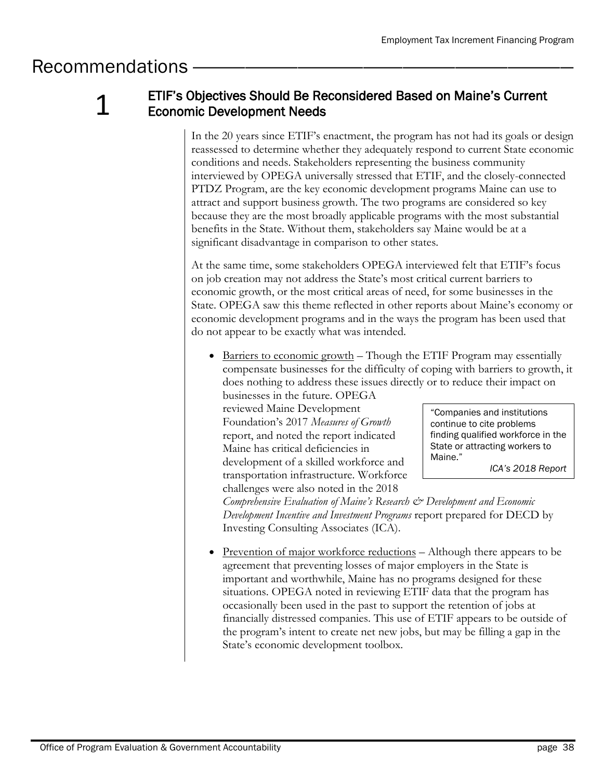# Recommendations —

1

# ETIF's Objectives Should Be Reconsidered Based on Maine's Current Economic Development Needs

In the 20 years since ETIF's enactment, the program has not had its goals or design reassessed to determine whether they adequately respond to current State economic conditions and needs. Stakeholders representing the business community interviewed by OPEGA universally stressed that ETIF, and the closely-connected PTDZ Program, are the key economic development programs Maine can use to attract and support business growth. The two programs are considered so key because they are the most broadly applicable programs with the most substantial benefits in the State. Without them, stakeholders say Maine would be at a significant disadvantage in comparison to other states.

At the same time, some stakeholders OPEGA interviewed felt that ETIF's focus on job creation may not address the State's most critical current barriers to economic growth, or the most critical areas of need, for some businesses in the State. OPEGA saw this theme reflected in other reports about Maine's economy or economic development programs and in the ways the program has been used that do not appear to be exactly what was intended.

 $\bullet$  Barriers to economic growth – Though the ETIF Program may essentially compensate businesses for the difficulty of coping with barriers to growth, it does nothing to address these issues directly or to reduce their impact on

businesses in the future. OPEGA reviewed Maine Development Foundation's 2017 *Measures of Growth* report, and noted the report indicated Maine has critical deficiencies in development of a skilled workforce and transportation infrastructure. Workforce challenges were also noted in the 2018

"Companies and institutions continue to cite problems finding qualified workforce in the State or attracting workers to Maine."

*ICA's 2018 Report*

*Comprehensive Evaluation of Maine's Research & Development and Economic Development Incentive and Investment Programs* report prepared for DECD by Investing Consulting Associates (ICA).

Prevention of major workforce reductions – Although there appears to be agreement that preventing losses of major employers in the State is important and worthwhile, Maine has no programs designed for these situations. OPEGA noted in reviewing ETIF data that the program has occasionally been used in the past to support the retention of jobs at financially distressed companies. This use of ETIF appears to be outside of the program's intent to create net new jobs, but may be filling a gap in the State's economic development toolbox.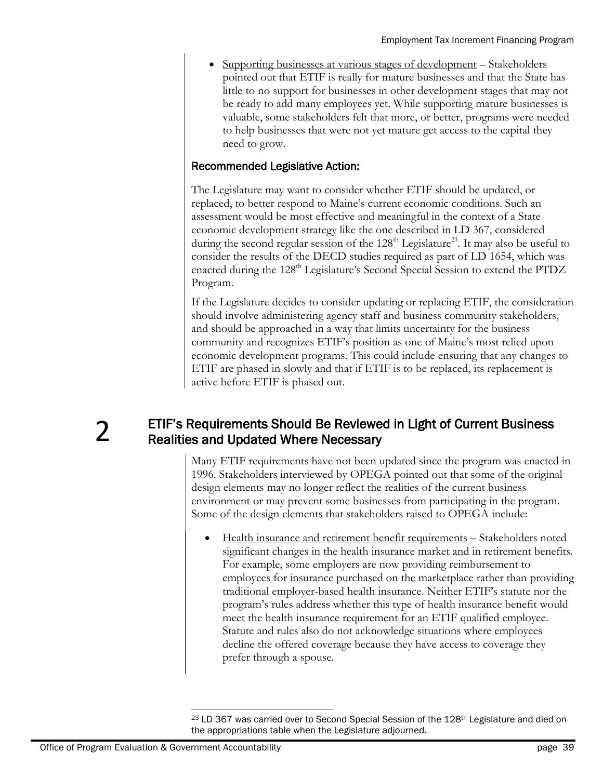Supporting businesses at various stages of development – Stakeholders pointed out that ETIF is really for mature businesses and that the State has little to no support for businesses in other development stages that may not be ready to add many employees yet. While supporting mature businesses is valuable, some stakeholders felt that more, or better, programs were needed to help businesses that were not yet mature get access to the capital they need to grow.

### Recommended Legislative Action:

The Legislature may want to consider whether ETIF should be updated, or replaced, to better respond to Maine's current economic conditions. Such an assessment would be most effective and meaningful in the context of a State economic development strategy like the one described in LD 367, considered during the second regular session of the  $128<sup>th</sup>$  Legislature<sup>23</sup>. It may also be useful to consider the results of the DECD studies required as part of LD 1654, which was enacted during the 128<sup>th</sup> Legislature's Second Special Session to extend the PTDZ Program.

If the Legislature decides to consider updating or replacing ETIF, the consideration should involve administering agency staff and business community stakeholders, and should be approached in a way that limits uncertainty for the business community and recognizes ETIF's position as one of Maine's most relied upon economic development programs. This could include ensuring that any changes to ETIF are phased in slowly and that if ETIF is to be replaced, its replacement is active before ETIF is phased out.

 $\boldsymbol{\mathcal{V}}$ 

### ETIF's Requirements Should Be Reviewed in Light of Current Business Realities and Updated Where Necessary

Many ETIF requirements have not been updated since the program was enacted in 1996. Stakeholders interviewed by OPEGA pointed out that some of the original design elements may no longer reflect the realities of the current business environment or may prevent some businesses from participating in the program. Some of the design elements that stakeholders raised to OPEGA include:

 Health insurance and retirement benefit requirements – Stakeholders noted significant changes in the health insurance market and in retirement benefits. For example, some employers are now providing reimbursement to employees for insurance purchased on the marketplace rather than providing traditional employer-based health insurance. Neither ETIF's statute nor the program's rules address whether this type of health insurance benefit would meet the health insurance requirement for an ETIF qualified employee. Statute and rules also do not acknowledge situations where employees decline the offered coverage because they have access to coverage they prefer through a spouse.

 $\overline{a}$ <sup>23</sup> LD 367 was carried over to Second Special Session of the 128<sup>th</sup> Legislature and died on the appropriations table when the Legislature adjourned.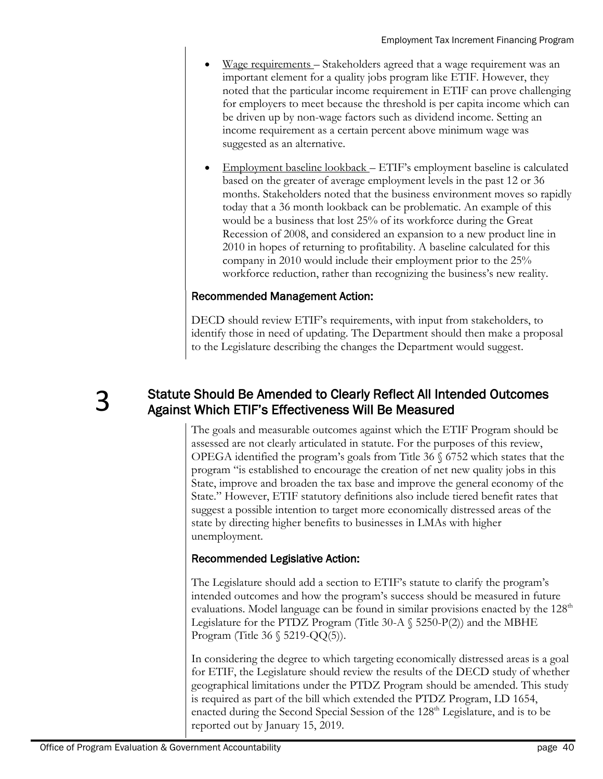- Wage requirements Stakeholders agreed that a wage requirement was an important element for a quality jobs program like ETIF. However, they noted that the particular income requirement in ETIF can prove challenging for employers to meet because the threshold is per capita income which can be driven up by non-wage factors such as dividend income. Setting an income requirement as a certain percent above minimum wage was suggested as an alternative.
- Employment baseline lookback ETIF's employment baseline is calculated based on the greater of average employment levels in the past 12 or 36 months. Stakeholders noted that the business environment moves so rapidly today that a 36 month lookback can be problematic. An example of this would be a business that lost 25% of its workforce during the Great Recession of 2008, and considered an expansion to a new product line in 2010 in hopes of returning to profitability. A baseline calculated for this company in 2010 would include their employment prior to the 25% workforce reduction, rather than recognizing the business's new reality.

### Recommended Management Action:

DECD should review ETIF's requirements, with input from stakeholders, to identify those in need of updating. The Department should then make a proposal to the Legislature describing the changes the Department would suggest.

3

# Statute Should Be Amended to Clearly Reflect All Intended Outcomes Against Which ETIF's Effectiveness Will Be Measured

The goals and measurable outcomes against which the ETIF Program should be assessed are not clearly articulated in statute. For the purposes of this review, OPEGA identified the program's goals from Title  $36 \text{ } \text{\textdegree{}}6752$  which states that the program "is established to encourage the creation of net new quality jobs in this State, improve and broaden the tax base and improve the general economy of the State." However, ETIF statutory definitions also include tiered benefit rates that suggest a possible intention to target more economically distressed areas of the state by directing higher benefits to businesses in LMAs with higher unemployment.

### Recommended Legislative Action:

The Legislature should add a section to ETIF's statute to clarify the program's intended outcomes and how the program's success should be measured in future evaluations. Model language can be found in similar provisions enacted by the  $128<sup>th</sup>$ Legislature for the PTDZ Program (Title 30-A  $\S$  5250-P(2)) and the MBHE Program (Title 36  $\S$  5219-QQ(5)).

In considering the degree to which targeting economically distressed areas is a goal for ETIF, the Legislature should review the results of the DECD study of whether geographical limitations under the PTDZ Program should be amended. This study is required as part of the bill which extended the PTDZ Program, LD 1654, enacted during the Second Special Session of the  $128<sup>th</sup>$  Legislature, and is to be reported out by January 15, 2019.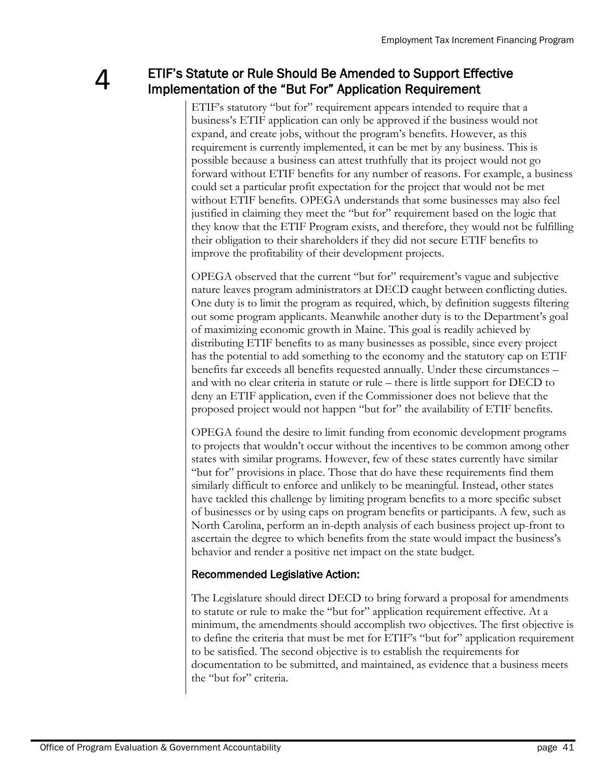# ETIF's Statute or Rule Should Be Amended to Support Effective Implementation of the "But For" Application Requirement

ETIF's statutory "but for" requirement appears intended to require that a business's ETIF application can only be approved if the business would not expand, and create jobs, without the program's benefits. However, as this requirement is currently implemented, it can be met by any business. This is possible because a business can attest truthfully that its project would not go forward without ETIF benefits for any number of reasons. For example, a business could set a particular profit expectation for the project that would not be met without ETIF benefits. OPEGA understands that some businesses may also feel justified in claiming they meet the "but for" requirement based on the logic that they know that the ETIF Program exists, and therefore, they would not be fulfilling their obligation to their shareholders if they did not secure ETIF benefits to improve the profitability of their development projects.

OPEGA observed that the current "but for" requirement's vague and subjective nature leaves program administrators at DECD caught between conflicting duties. One duty is to limit the program as required, which, by definition suggests filtering out some program applicants. Meanwhile another duty is to the Department's goal of maximizing economic growth in Maine. This goal is readily achieved by distributing ETIF benefits to as many businesses as possible, since every project has the potential to add something to the economy and the statutory cap on ETIF benefits far exceeds all benefits requested annually. Under these circumstances – and with no clear criteria in statute or rule – there is little support for DECD to deny an ETIF application, even if the Commissioner does not believe that the proposed project would not happen "but for" the availability of ETIF benefits.

OPEGA found the desire to limit funding from economic development programs to projects that wouldn't occur without the incentives to be common among other states with similar programs. However, few of these states currently have similar "but for" provisions in place. Those that do have these requirements find them similarly difficult to enforce and unlikely to be meaningful. Instead, other states have tackled this challenge by limiting program benefits to a more specific subset of businesses or by using caps on program benefits or participants. A few, such as North Carolina, perform an in-depth analysis of each business project up-front to ascertain the degree to which benefits from the state would impact the business's behavior and render a positive net impact on the state budget.

### Recommended Legislative Action:

The Legislature should direct DECD to bring forward a proposal for amendments to statute or rule to make the "but for" application requirement effective. At a minimum, the amendments should accomplish two objectives. The first objective is to define the criteria that must be met for ETIF's "but for" application requirement to be satisfied. The second objective is to establish the requirements for documentation to be submitted, and maintained, as evidence that a business meets the "but for" criteria.

 $\Delta$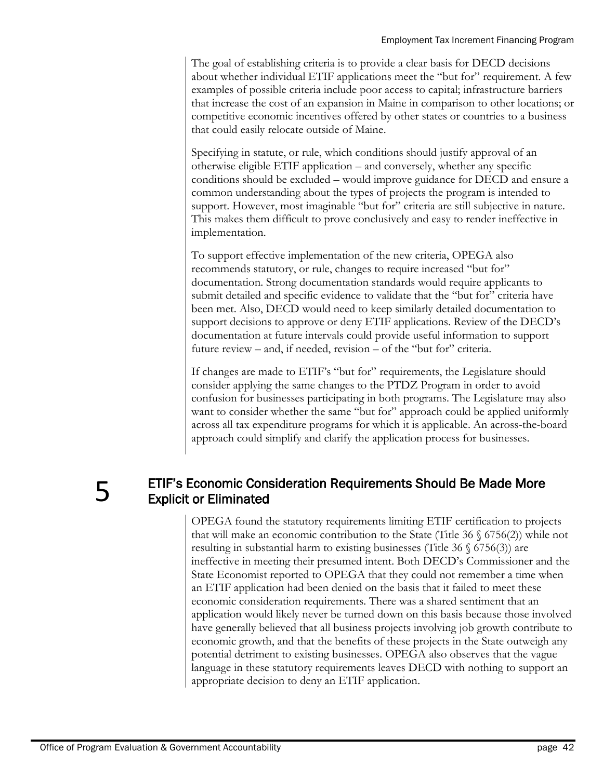The goal of establishing criteria is to provide a clear basis for DECD decisions about whether individual ETIF applications meet the "but for" requirement. A few examples of possible criteria include poor access to capital; infrastructure barriers that increase the cost of an expansion in Maine in comparison to other locations; or competitive economic incentives offered by other states or countries to a business that could easily relocate outside of Maine.

Specifying in statute, or rule, which conditions should justify approval of an otherwise eligible ETIF application – and conversely, whether any specific conditions should be excluded – would improve guidance for DECD and ensure a common understanding about the types of projects the program is intended to support. However, most imaginable "but for" criteria are still subjective in nature. This makes them difficult to prove conclusively and easy to render ineffective in implementation.

To support effective implementation of the new criteria, OPEGA also recommends statutory, or rule, changes to require increased "but for" documentation. Strong documentation standards would require applicants to submit detailed and specific evidence to validate that the "but for" criteria have been met. Also, DECD would need to keep similarly detailed documentation to support decisions to approve or deny ETIF applications. Review of the DECD's documentation at future intervals could provide useful information to support future review – and, if needed, revision – of the "but for" criteria.

If changes are made to ETIF's "but for" requirements, the Legislature should consider applying the same changes to the PTDZ Program in order to avoid confusion for businesses participating in both programs. The Legislature may also want to consider whether the same "but for" approach could be applied uniformly across all tax expenditure programs for which it is applicable. An across-the-board approach could simplify and clarify the application process for businesses.

5

# ETIF's Economic Consideration Requirements Should Be Made More Explicit or Eliminated

OPEGA found the statutory requirements limiting ETIF certification to projects that will make an economic contribution to the State (Title 36  $\S$  6756(2)) while not resulting in substantial harm to existing businesses (Title  $36 \text{ } (6756(3))$ ) are ineffective in meeting their presumed intent. Both DECD's Commissioner and the State Economist reported to OPEGA that they could not remember a time when an ETIF application had been denied on the basis that it failed to meet these economic consideration requirements. There was a shared sentiment that an application would likely never be turned down on this basis because those involved have generally believed that all business projects involving job growth contribute to economic growth, and that the benefits of these projects in the State outweigh any potential detriment to existing businesses. OPEGA also observes that the vague language in these statutory requirements leaves DECD with nothing to support an appropriate decision to deny an ETIF application.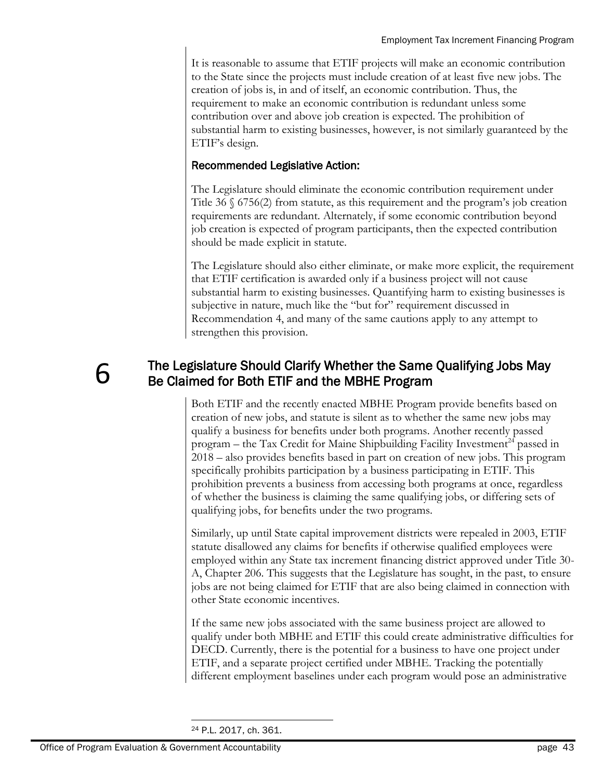It is reasonable to assume that ETIF projects will make an economic contribution to the State since the projects must include creation of at least five new jobs. The creation of jobs is, in and of itself, an economic contribution. Thus, the requirement to make an economic contribution is redundant unless some contribution over and above job creation is expected. The prohibition of substantial harm to existing businesses, however, is not similarly guaranteed by the ETIF's design.

### Recommended Legislative Action:

The Legislature should eliminate the economic contribution requirement under Title 36 § 6756(2) from statute, as this requirement and the program's job creation requirements are redundant. Alternately, if some economic contribution beyond job creation is expected of program participants, then the expected contribution should be made explicit in statute.

The Legislature should also either eliminate, or make more explicit, the requirement that ETIF certification is awarded only if a business project will not cause substantial harm to existing businesses. Quantifying harm to existing businesses is subjective in nature, much like the "but for" requirement discussed in Recommendation 4, and many of the same cautions apply to any attempt to strengthen this provision.

# 6

# The Legislature Should Clarify Whether the Same Qualifying Jobs May Be Claimed for Both ETIF and the MBHE Program

Both ETIF and the recently enacted MBHE Program provide benefits based on creation of new jobs, and statute is silent as to whether the same new jobs may qualify a business for benefits under both programs. Another recently passed program – the Tax Credit for Maine Shipbuilding Facility Investment<sup>24</sup> passed in 2018 – also provides benefits based in part on creation of new jobs. This program specifically prohibits participation by a business participating in ETIF. This prohibition prevents a business from accessing both programs at once, regardless of whether the business is claiming the same qualifying jobs, or differing sets of qualifying jobs, for benefits under the two programs.

Similarly, up until State capital improvement districts were repealed in 2003, ETIF statute disallowed any claims for benefits if otherwise qualified employees were employed within any State tax increment financing district approved under Title 30- A, Chapter 206. This suggests that the Legislature has sought, in the past, to ensure jobs are not being claimed for ETIF that are also being claimed in connection with other State economic incentives.

If the same new jobs associated with the same business project are allowed to qualify under both MBHE and ETIF this could create administrative difficulties for DECD. Currently, there is the potential for a business to have one project under ETIF, and a separate project certified under MBHE. Tracking the potentially different employment baselines under each program would pose an administrative

 $\overline{a}$ <sup>24</sup> P.L. 2017, ch. 361.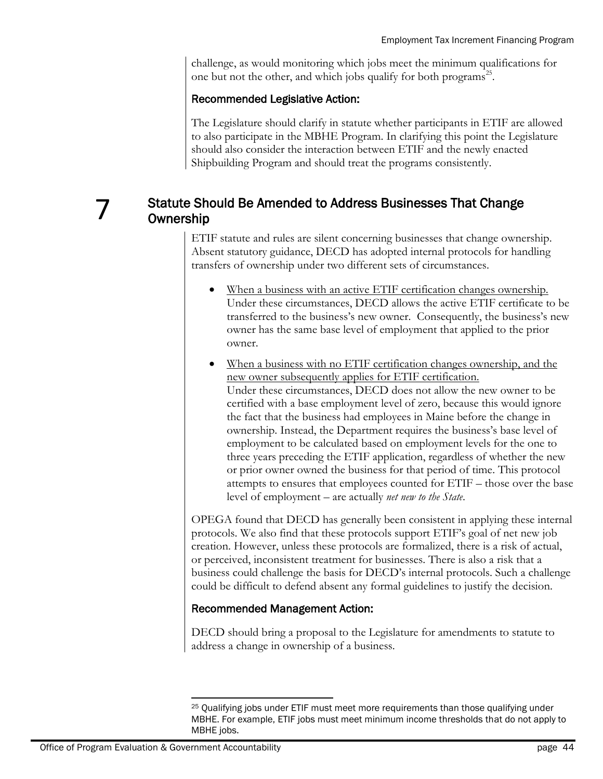challenge, as would monitoring which jobs meet the minimum qualifications for one but not the other, and which jobs qualify for both programs<sup>25</sup>.

### Recommended Legislative Action:

The Legislature should clarify in statute whether participants in ETIF are allowed to also participate in the MBHE Program. In clarifying this point the Legislature should also consider the interaction between ETIF and the newly enacted Shipbuilding Program and should treat the programs consistently.

# 7

### Statute Should Be Amended to Address Businesses That Change **Ownership**

ETIF statute and rules are silent concerning businesses that change ownership. Absent statutory guidance, DECD has adopted internal protocols for handling transfers of ownership under two different sets of circumstances.

- When a business with an active ETIF certification changes ownership. Under these circumstances, DECD allows the active ETIF certificate to be transferred to the business's new owner. Consequently, the business's new owner has the same base level of employment that applied to the prior owner.
- When a business with no ETIF certification changes ownership, and the new owner subsequently applies for ETIF certification. Under these circumstances, DECD does not allow the new owner to be certified with a base employment level of zero, because this would ignore the fact that the business had employees in Maine before the change in ownership. Instead, the Department requires the business's base level of employment to be calculated based on employment levels for the one to three years preceding the ETIF application, regardless of whether the new or prior owner owned the business for that period of time. This protocol attempts to ensures that employees counted for ETIF – those over the base level of employment – are actually *net new to the State*.

OPEGA found that DECD has generally been consistent in applying these internal protocols. We also find that these protocols support ETIF's goal of net new job creation. However, unless these protocols are formalized, there is a risk of actual, or perceived, inconsistent treatment for businesses. There is also a risk that a business could challenge the basis for DECD's internal protocols. Such a challenge could be difficult to defend absent any formal guidelines to justify the decision.

### Recommended Management Action:

DECD should bring a proposal to the Legislature for amendments to statute to address a change in ownership of a business.

l <sup>25</sup> Qualifying jobs under ETIF must meet more requirements than those qualifying under MBHE. For example, ETIF jobs must meet minimum income thresholds that do not apply to MBHE jobs.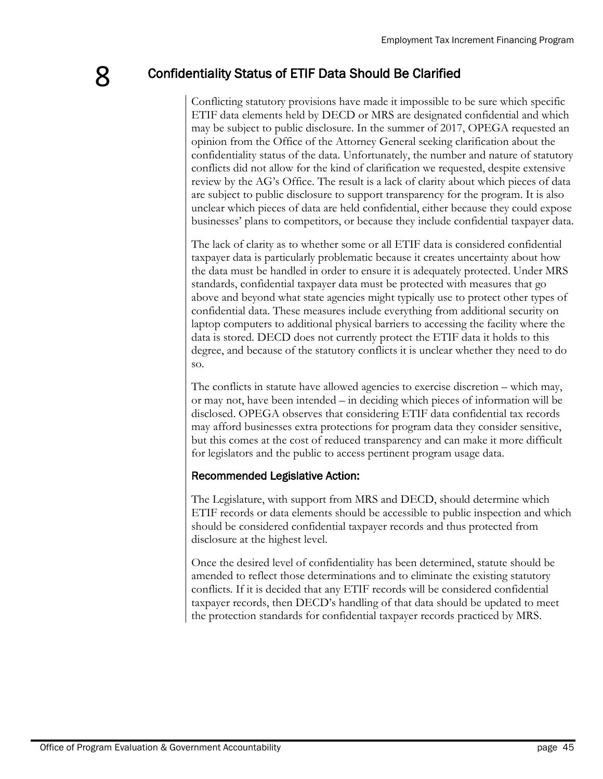# Confidentiality Status of ETIF Data Should Be Clarified

Conflicting statutory provisions have made it impossible to be sure which specific ETIF data elements held by DECD or MRS are designated confidential and which may be subject to public disclosure. In the summer of 2017, OPEGA requested an opinion from the Office of the Attorney General seeking clarification about the confidentiality status of the data. Unfortunately, the number and nature of statutory conflicts did not allow for the kind of clarification we requested, despite extensive review by the AG's Office. The result is a lack of clarity about which pieces of data are subject to public disclosure to support transparency for the program. It is also unclear which pieces of data are held confidential, either because they could expose businesses' plans to competitors, or because they include confidential taxpayer data.

The lack of clarity as to whether some or all ETIF data is considered confidential taxpayer data is particularly problematic because it creates uncertainty about how the data must be handled in order to ensure it is adequately protected. Under MRS standards, confidential taxpayer data must be protected with measures that go above and beyond what state agencies might typically use to protect other types of confidential data. These measures include everything from additional security on laptop computers to additional physical barriers to accessing the facility where the data is stored. DECD does not currently protect the ETIF data it holds to this degree, and because of the statutory conflicts it is unclear whether they need to do so.

The conflicts in statute have allowed agencies to exercise discretion – which may, or may not, have been intended – in deciding which pieces of information will be disclosed. OPEGA observes that considering ETIF data confidential tax records may afford businesses extra protections for program data they consider sensitive, but this comes at the cost of reduced transparency and can make it more difficult for legislators and the public to access pertinent program usage data.

### Recommended Legislative Action:

The Legislature, with support from MRS and DECD, should determine which ETIF records or data elements should be accessible to public inspection and which should be considered confidential taxpayer records and thus protected from disclosure at the highest level.

Once the desired level of confidentiality has been determined, statute should be amended to reflect those determinations and to eliminate the existing statutory conflicts. If it is decided that any ETIF records will be considered confidential taxpayer records, then DECD's handling of that data should be updated to meet the protection standards for confidential taxpayer records practiced by MRS.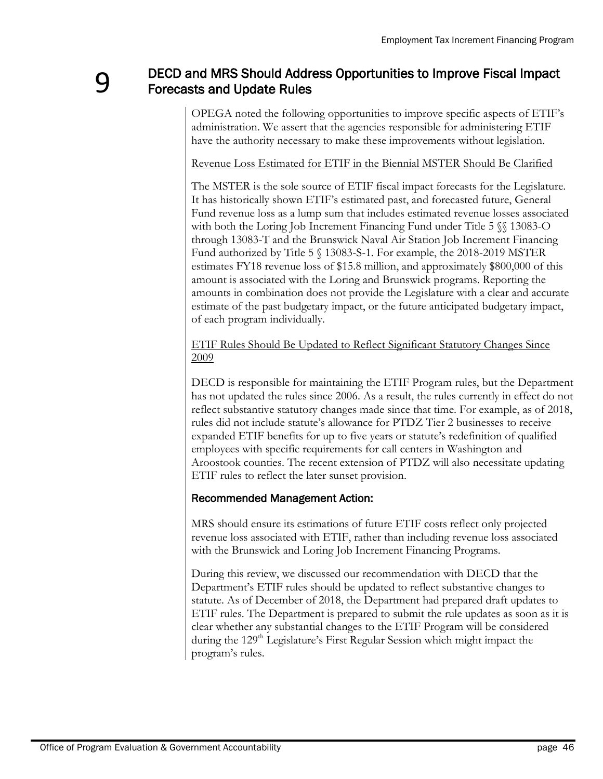### DECD and MRS Should Address Opportunities to Improve Fiscal Impact Forecasts and Update Rules

OPEGA noted the following opportunities to improve specific aspects of ETIF's administration. We assert that the agencies responsible for administering ETIF have the authority necessary to make these improvements without legislation.

#### Revenue Loss Estimated for ETIF in the Biennial MSTER Should Be Clarified

The MSTER is the sole source of ETIF fiscal impact forecasts for the Legislature. It has historically shown ETIF's estimated past, and forecasted future, General Fund revenue loss as a lump sum that includes estimated revenue losses associated with both the Loring Job Increment Financing Fund under Title 5  $\$  13083-O through 13083-T and the Brunswick Naval Air Station Job Increment Financing Fund authorized by Title 5 § 13083-S-1. For example, the 2018-2019 MSTER estimates FY18 revenue loss of \$15.8 million, and approximately \$800,000 of this amount is associated with the Loring and Brunswick programs. Reporting the amounts in combination does not provide the Legislature with a clear and accurate estimate of the past budgetary impact, or the future anticipated budgetary impact, of each program individually.

ETIF Rules Should Be Updated to Reflect Significant Statutory Changes Since 2009

DECD is responsible for maintaining the ETIF Program rules, but the Department has not updated the rules since 2006. As a result, the rules currently in effect do not reflect substantive statutory changes made since that time. For example, as of 2018, rules did not include statute's allowance for PTDZ Tier 2 businesses to receive expanded ETIF benefits for up to five years or statute's redefinition of qualified employees with specific requirements for call centers in Washington and Aroostook counties. The recent extension of PTDZ will also necessitate updating ETIF rules to reflect the later sunset provision.

### Recommended Management Action:

MRS should ensure its estimations of future ETIF costs reflect only projected revenue loss associated with ETIF, rather than including revenue loss associated with the Brunswick and Loring Job Increment Financing Programs.

During this review, we discussed our recommendation with DECD that the Department's ETIF rules should be updated to reflect substantive changes to statute. As of December of 2018, the Department had prepared draft updates to ETIF rules. The Department is prepared to submit the rule updates as soon as it is clear whether any substantial changes to the ETIF Program will be considered during the 129<sup>th</sup> Legislature's First Regular Session which might impact the program's rules.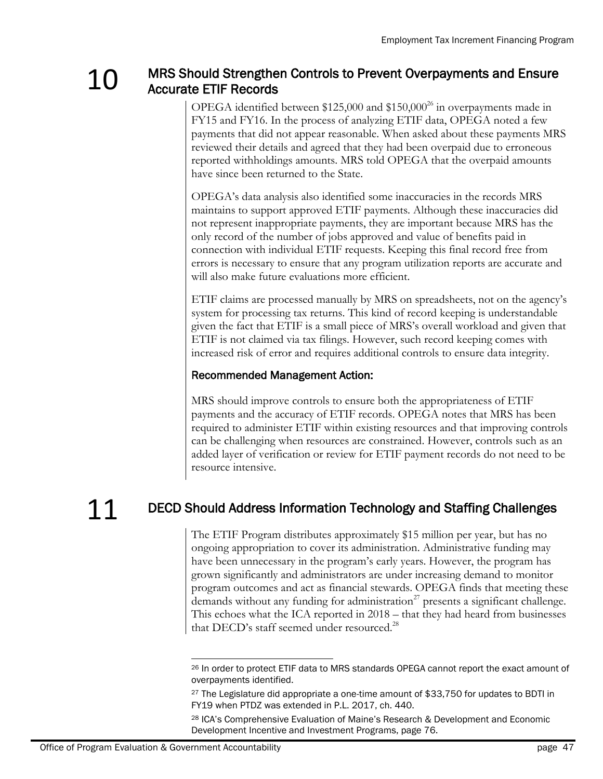### 1 O MRS Should Strengthen Controls to Prevent Overpayments and Ensure Accurate ETIF Records

OPEGA identified between  $$125,000$  and  $$150,000^{26}$  in overpayments made in FY15 and FY16. In the process of analyzing ETIF data, OPEGA noted a few payments that did not appear reasonable. When asked about these payments MRS reviewed their details and agreed that they had been overpaid due to erroneous reported withholdings amounts. MRS told OPEGA that the overpaid amounts have since been returned to the State.

OPEGA's data analysis also identified some inaccuracies in the records MRS maintains to support approved ETIF payments. Although these inaccuracies did not represent inappropriate payments, they are important because MRS has the only record of the number of jobs approved and value of benefits paid in connection with individual ETIF requests. Keeping this final record free from errors is necessary to ensure that any program utilization reports are accurate and will also make future evaluations more efficient.

ETIF claims are processed manually by MRS on spreadsheets, not on the agency's system for processing tax returns. This kind of record keeping is understandable given the fact that ETIF is a small piece of MRS's overall workload and given that ETIF is not claimed via tax filings. However, such record keeping comes with increased risk of error and requires additional controls to ensure data integrity.

### Recommended Management Action:

MRS should improve controls to ensure both the appropriateness of ETIF payments and the accuracy of ETIF records. OPEGA notes that MRS has been required to administer ETIF within existing resources and that improving controls can be challenging when resources are constrained. However, controls such as an added layer of verification or review for ETIF payment records do not need to be resource intensive.

# 11 DECD Should Address Information Technology and Staffing Challenges

The ETIF Program distributes approximately \$15 million per year, but has no ongoing appropriation to cover its administration. Administrative funding may have been unnecessary in the program's early years. However, the program has grown significantly and administrators are under increasing demand to monitor program outcomes and act as financial stewards. OPEGA finds that meeting these demands without any funding for administration<sup>27</sup> presents a significant challenge. This echoes what the ICA reported in 2018 – that they had heard from businesses that DECD's staff seemed under resourced.<sup>28</sup>

 $\overline{\phantom{a}}$ <sup>26</sup> In order to protect ETIF data to MRS standards OPEGA cannot report the exact amount of overpayments identified.

<sup>&</sup>lt;sup>27</sup> The Legislature did appropriate a one-time amount of \$33,750 for updates to BDTI in FY19 when PTDZ was extended in P.L. 2017, ch. 440.

<sup>28</sup> ICA's Comprehensive Evaluation of Maine's Research & Development and Economic Development Incentive and Investment Programs, page 76.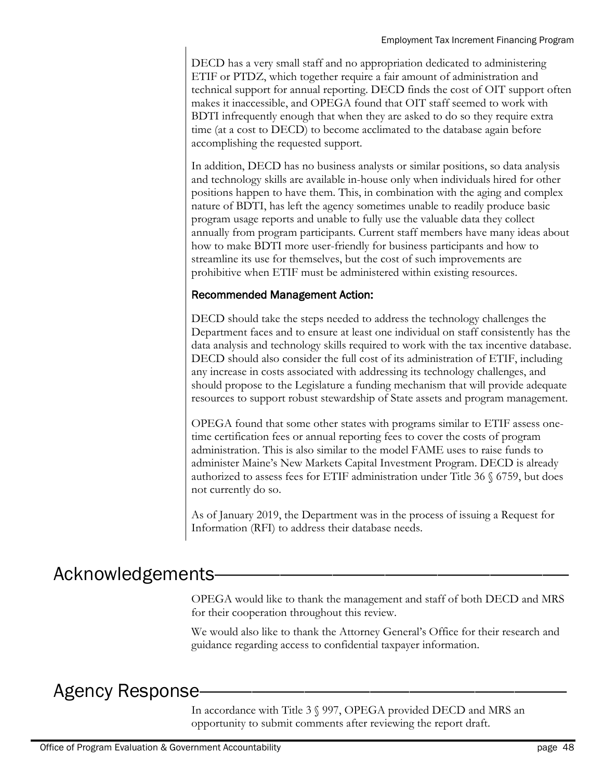DECD has a very small staff and no appropriation dedicated to administering ETIF or PTDZ, which together require a fair amount of administration and technical support for annual reporting. DECD finds the cost of OIT support often makes it inaccessible, and OPEGA found that OIT staff seemed to work with BDTI infrequently enough that when they are asked to do so they require extra time (at a cost to DECD) to become acclimated to the database again before accomplishing the requested support.

In addition, DECD has no business analysts or similar positions, so data analysis and technology skills are available in-house only when individuals hired for other positions happen to have them. This, in combination with the aging and complex nature of BDTI, has left the agency sometimes unable to readily produce basic program usage reports and unable to fully use the valuable data they collect annually from program participants. Current staff members have many ideas about how to make BDTI more user-friendly for business participants and how to streamline its use for themselves, but the cost of such improvements are prohibitive when ETIF must be administered within existing resources.

### Recommended Management Action:

DECD should take the steps needed to address the technology challenges the Department faces and to ensure at least one individual on staff consistently has the data analysis and technology skills required to work with the tax incentive database. DECD should also consider the full cost of its administration of ETIF, including any increase in costs associated with addressing its technology challenges, and should propose to the Legislature a funding mechanism that will provide adequate resources to support robust stewardship of State assets and program management.

OPEGA found that some other states with programs similar to ETIF assess onetime certification fees or annual reporting fees to cover the costs of program administration. This is also similar to the model FAME uses to raise funds to administer Maine's New Markets Capital Investment Program. DECD is already authorized to assess fees for ETIF administration under Title 36 § 6759, but does not currently do so.

As of January 2019, the Department was in the process of issuing a Request for Information (RFI) to address their database needs.

# Acknowledgements

OPEGA would like to thank the management and staff of both DECD and MRS for their cooperation throughout this review.

We would also like to thank the Attorney General's Office for their research and guidance regarding access to confidential taxpayer information.

# Agency Response

In accordance with Title 3 § 997, OPEGA provided DECD and MRS an opportunity to submit comments after reviewing the report draft.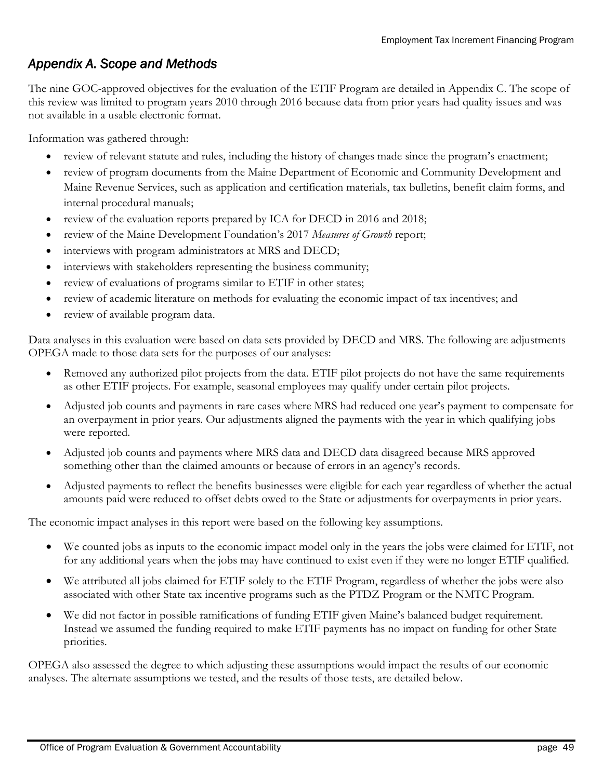# *Appendix A. Scope and Methods*

The nine GOC-approved objectives for the evaluation of the ETIF Program are detailed in Appendix C. The scope of this review was limited to program years 2010 through 2016 because data from prior years had quality issues and was not available in a usable electronic format.

Information was gathered through:

- review of relevant statute and rules, including the history of changes made since the program's enactment;
- review of program documents from the Maine Department of Economic and Community Development and Maine Revenue Services, such as application and certification materials, tax bulletins, benefit claim forms, and internal procedural manuals;
- review of the evaluation reports prepared by ICA for DECD in 2016 and 2018;
- review of the Maine Development Foundation's 2017 *Measures of Growth* report;
- interviews with program administrators at MRS and DECD;
- interviews with stakeholders representing the business community;
- review of evaluations of programs similar to ETIF in other states;
- review of academic literature on methods for evaluating the economic impact of tax incentives; and
- review of available program data.

Data analyses in this evaluation were based on data sets provided by DECD and MRS. The following are adjustments OPEGA made to those data sets for the purposes of our analyses:

- Removed any authorized pilot projects from the data. ETIF pilot projects do not have the same requirements as other ETIF projects. For example, seasonal employees may qualify under certain pilot projects.
- Adjusted job counts and payments in rare cases where MRS had reduced one year's payment to compensate for an overpayment in prior years. Our adjustments aligned the payments with the year in which qualifying jobs were reported.
- Adjusted job counts and payments where MRS data and DECD data disagreed because MRS approved something other than the claimed amounts or because of errors in an agency's records.
- Adjusted payments to reflect the benefits businesses were eligible for each year regardless of whether the actual amounts paid were reduced to offset debts owed to the State or adjustments for overpayments in prior years.

The economic impact analyses in this report were based on the following key assumptions.

- We counted jobs as inputs to the economic impact model only in the years the jobs were claimed for ETIF, not for any additional years when the jobs may have continued to exist even if they were no longer ETIF qualified.
- We attributed all jobs claimed for ETIF solely to the ETIF Program, regardless of whether the jobs were also associated with other State tax incentive programs such as the PTDZ Program or the NMTC Program.
- We did not factor in possible ramifications of funding ETIF given Maine's balanced budget requirement. Instead we assumed the funding required to make ETIF payments has no impact on funding for other State priorities.

OPEGA also assessed the degree to which adjusting these assumptions would impact the results of our economic analyses. The alternate assumptions we tested, and the results of those tests, are detailed below.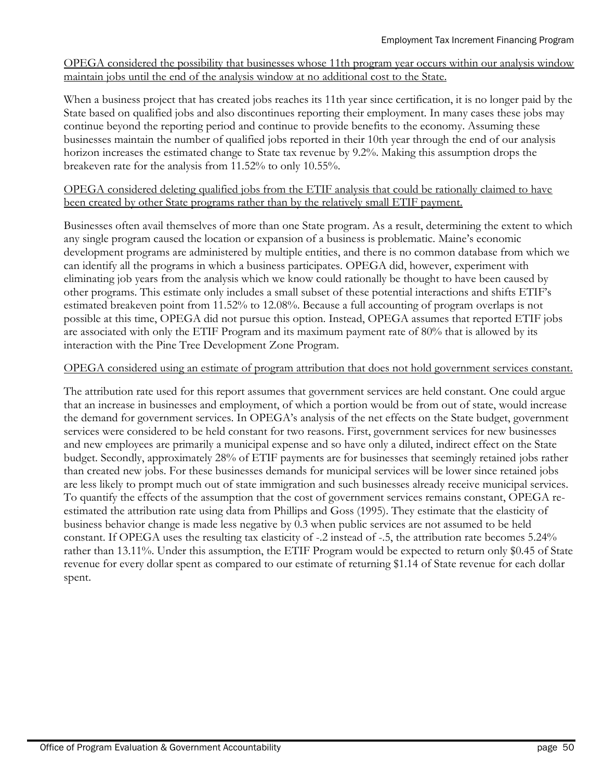OPEGA considered the possibility that businesses whose 11th program year occurs within our analysis window maintain jobs until the end of the analysis window at no additional cost to the State.

When a business project that has created jobs reaches its 11th year since certification, it is no longer paid by the State based on qualified jobs and also discontinues reporting their employment. In many cases these jobs may continue beyond the reporting period and continue to provide benefits to the economy. Assuming these businesses maintain the number of qualified jobs reported in their 10th year through the end of our analysis horizon increases the estimated change to State tax revenue by 9.2%. Making this assumption drops the breakeven rate for the analysis from 11.52% to only 10.55%.

#### OPEGA considered deleting qualified jobs from the ETIF analysis that could be rationally claimed to have been created by other State programs rather than by the relatively small ETIF payment.

Businesses often avail themselves of more than one State program. As a result, determining the extent to which any single program caused the location or expansion of a business is problematic. Maine's economic development programs are administered by multiple entities, and there is no common database from which we can identify all the programs in which a business participates. OPEGA did, however, experiment with eliminating job years from the analysis which we know could rationally be thought to have been caused by other programs. This estimate only includes a small subset of these potential interactions and shifts ETIF's estimated breakeven point from 11.52% to 12.08%. Because a full accounting of program overlaps is not possible at this time, OPEGA did not pursue this option. Instead, OPEGA assumes that reported ETIF jobs are associated with only the ETIF Program and its maximum payment rate of 80% that is allowed by its interaction with the Pine Tree Development Zone Program.

#### OPEGA considered using an estimate of program attribution that does not hold government services constant.

The attribution rate used for this report assumes that government services are held constant. One could argue that an increase in businesses and employment, of which a portion would be from out of state, would increase the demand for government services. In OPEGA's analysis of the net effects on the State budget, government services were considered to be held constant for two reasons. First, government services for new businesses and new employees are primarily a municipal expense and so have only a diluted, indirect effect on the State budget. Secondly, approximately 28% of ETIF payments are for businesses that seemingly retained jobs rather than created new jobs. For these businesses demands for municipal services will be lower since retained jobs are less likely to prompt much out of state immigration and such businesses already receive municipal services. To quantify the effects of the assumption that the cost of government services remains constant, OPEGA reestimated the attribution rate using data from Phillips and Goss (1995). They estimate that the elasticity of business behavior change is made less negative by 0.3 when public services are not assumed to be held constant. If OPEGA uses the resulting tax elasticity of -.2 instead of -.5, the attribution rate becomes 5.24% rather than 13.11%. Under this assumption, the ETIF Program would be expected to return only \$0.45 of State revenue for every dollar spent as compared to our estimate of returning \$1.14 of State revenue for each dollar spent.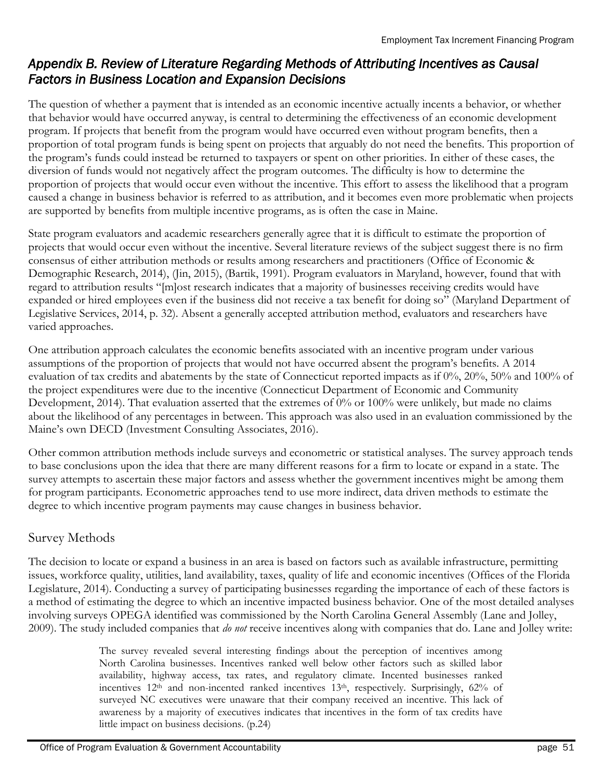# *Appendix B. Review of Literature Regarding Methods of Attributing Incentives as Causal Factors in Business Location and Expansion Decisions*

The question of whether a payment that is intended as an economic incentive actually incents a behavior, or whether that behavior would have occurred anyway, is central to determining the effectiveness of an economic development program. If projects that benefit from the program would have occurred even without program benefits, then a proportion of total program funds is being spent on projects that arguably do not need the benefits. This proportion of the program's funds could instead be returned to taxpayers or spent on other priorities. In either of these cases, the diversion of funds would not negatively affect the program outcomes. The difficulty is how to determine the proportion of projects that would occur even without the incentive. This effort to assess the likelihood that a program caused a change in business behavior is referred to as attribution, and it becomes even more problematic when projects are supported by benefits from multiple incentive programs, as is often the case in Maine.

State program evaluators and academic researchers generally agree that it is difficult to estimate the proportion of projects that would occur even without the incentive. Several literature reviews of the subject suggest there is no firm consensus of either attribution methods or results among researchers and practitioners (Office of Economic & Demographic Research, 2014), (Jin, 2015), (Bartik, 1991). Program evaluators in Maryland, however, found that with regard to attribution results "[m]ost research indicates that a majority of businesses receiving credits would have expanded or hired employees even if the business did not receive a tax benefit for doing so" (Maryland Department of Legislative Services, 2014, p. 32). Absent a generally accepted attribution method, evaluators and researchers have varied approaches.

One attribution approach calculates the economic benefits associated with an incentive program under various assumptions of the proportion of projects that would not have occurred absent the program's benefits. A 2014 evaluation of tax credits and abatements by the state of Connecticut reported impacts as if 0%, 20%, 50% and 100% of the project expenditures were due to the incentive (Connecticut Department of Economic and Community Development, 2014). That evaluation asserted that the extremes of 0% or 100% were unlikely, but made no claims about the likelihood of any percentages in between. This approach was also used in an evaluation commissioned by the Maine's own DECD (Investment Consulting Associates, 2016).

Other common attribution methods include surveys and econometric or statistical analyses. The survey approach tends to base conclusions upon the idea that there are many different reasons for a firm to locate or expand in a state. The survey attempts to ascertain these major factors and assess whether the government incentives might be among them for program participants. Econometric approaches tend to use more indirect, data driven methods to estimate the degree to which incentive program payments may cause changes in business behavior.

### Survey Methods

The decision to locate or expand a business in an area is based on factors such as available infrastructure, permitting issues, workforce quality, utilities, land availability, taxes, quality of life and economic incentives (Offices of the Florida Legislature, 2014). Conducting a survey of participating businesses regarding the importance of each of these factors is a method of estimating the degree to which an incentive impacted business behavior. One of the most detailed analyses involving surveys OPEGA identified was commissioned by the North Carolina General Assembly (Lane and Jolley, 2009). The study included companies that *do not* receive incentives along with companies that do. Lane and Jolley write:

> The survey revealed several interesting findings about the perception of incentives among North Carolina businesses. Incentives ranked well below other factors such as skilled labor availability, highway access, tax rates, and regulatory climate. Incented businesses ranked incentives 12<sup>th</sup> and non-incented ranked incentives 13<sup>th</sup>, respectively. Surprisingly, 62% of surveyed NC executives were unaware that their company received an incentive. This lack of awareness by a majority of executives indicates that incentives in the form of tax credits have little impact on business decisions. (p.24)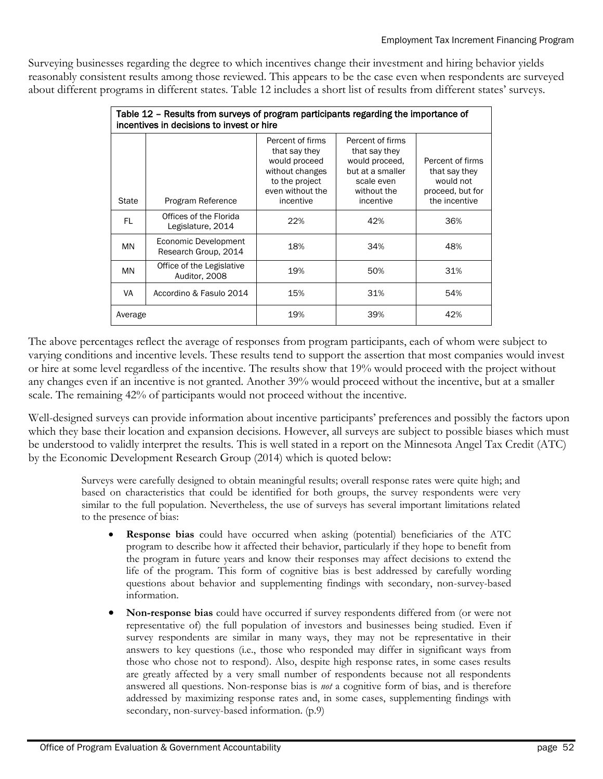Surveying businesses regarding the degree to which incentives change their investment and hiring behavior yields reasonably consistent results among those reviewed. This appears to be the case even when respondents are surveyed about different programs in different states. Table 12 includes a short list of results from different states' surveys.

|         | Table 12 - Results from surveys of program participants regarding the importance of<br>incentives in decisions to invest or hire |                                                                                                                          |                                                                                                                   |                                                                                     |
|---------|----------------------------------------------------------------------------------------------------------------------------------|--------------------------------------------------------------------------------------------------------------------------|-------------------------------------------------------------------------------------------------------------------|-------------------------------------------------------------------------------------|
| State   | Program Reference                                                                                                                | Percent of firms<br>that say they<br>would proceed<br>without changes<br>to the project<br>even without the<br>incentive | Percent of firms<br>that say they<br>would proceed.<br>but at a smaller<br>scale even<br>without the<br>incentive | Percent of firms<br>that say they<br>would not<br>proceed, but for<br>the incentive |
| FL      | Offices of the Florida<br>Legislature, 2014                                                                                      | 22%                                                                                                                      | 42%                                                                                                               | 36%                                                                                 |
| MN      | Economic Development<br>Research Group, 2014                                                                                     | 18%                                                                                                                      | 34%                                                                                                               | 48%                                                                                 |
| MN      | Office of the Legislative<br>Auditor, 2008                                                                                       | 19%                                                                                                                      | 50%                                                                                                               | 31%                                                                                 |
| VA      | Accordino & Fasulo 2014                                                                                                          | 15%                                                                                                                      | 31%                                                                                                               | 54%                                                                                 |
| Average |                                                                                                                                  | 19%                                                                                                                      | 39%                                                                                                               | 42%                                                                                 |

The above percentages reflect the average of responses from program participants, each of whom were subject to varying conditions and incentive levels. These results tend to support the assertion that most companies would invest or hire at some level regardless of the incentive. The results show that 19% would proceed with the project without any changes even if an incentive is not granted. Another 39% would proceed without the incentive, but at a smaller scale. The remaining 42% of participants would not proceed without the incentive.

Well-designed surveys can provide information about incentive participants' preferences and possibly the factors upon which they base their location and expansion decisions. However, all surveys are subject to possible biases which must be understood to validly interpret the results. This is well stated in a report on the Minnesota Angel Tax Credit (ATC) by the Economic Development Research Group (2014) which is quoted below:

Surveys were carefully designed to obtain meaningful results; overall response rates were quite high; and based on characteristics that could be identified for both groups, the survey respondents were very similar to the full population. Nevertheless, the use of surveys has several important limitations related to the presence of bias:

- **Response bias** could have occurred when asking (potential) beneficiaries of the ATC program to describe how it affected their behavior, particularly if they hope to benefit from the program in future years and know their responses may affect decisions to extend the life of the program. This form of cognitive bias is best addressed by carefully wording questions about behavior and supplementing findings with secondary, non-survey-based information.
- **Non-response bias** could have occurred if survey respondents differed from (or were not representative of) the full population of investors and businesses being studied. Even if survey respondents are similar in many ways, they may not be representative in their answers to key questions (i.e., those who responded may differ in significant ways from those who chose not to respond). Also, despite high response rates, in some cases results are greatly affected by a very small number of respondents because not all respondents answered all questions. Non-response bias is *not* a cognitive form of bias, and is therefore addressed by maximizing response rates and, in some cases, supplementing findings with secondary, non-survey-based information. (p.9)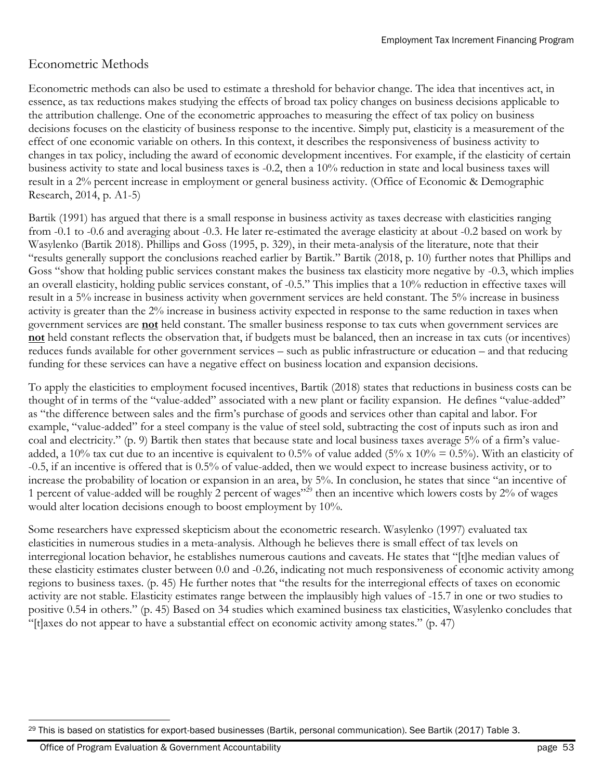### Econometric Methods

Econometric methods can also be used to estimate a threshold for behavior change. The idea that incentives act, in essence, as tax reductions makes studying the effects of broad tax policy changes on business decisions applicable to the attribution challenge. One of the econometric approaches to measuring the effect of tax policy on business decisions focuses on the elasticity of business response to the incentive. Simply put, elasticity is a measurement of the effect of one economic variable on others. In this context, it describes the responsiveness of business activity to changes in tax policy, including the award of economic development incentives. For example, if the elasticity of certain business activity to state and local business taxes is -0.2, then a 10% reduction in state and local business taxes will result in a 2% percent increase in employment or general business activity. (Office of Economic & Demographic Research, 2014, p. A1-5)

Bartik (1991) has argued that there is a small response in business activity as taxes decrease with elasticities ranging from -0.1 to -0.6 and averaging about -0.3. He later re-estimated the average elasticity at about -0.2 based on work by Wasylenko (Bartik 2018). Phillips and Goss (1995, p. 329), in their meta-analysis of the literature, note that their "results generally support the conclusions reached earlier by Bartik." Bartik (2018, p. 10) further notes that Phillips and Goss "show that holding public services constant makes the business tax elasticity more negative by -0.3, which implies an overall elasticity, holding public services constant, of -0.5." This implies that a 10% reduction in effective taxes will result in a 5% increase in business activity when government services are held constant. The 5% increase in business activity is greater than the 2% increase in business activity expected in response to the same reduction in taxes when government services are **not** held constant. The smaller business response to tax cuts when government services are **not** held constant reflects the observation that, if budgets must be balanced, then an increase in tax cuts (or incentives) reduces funds available for other government services – such as public infrastructure or education – and that reducing funding for these services can have a negative effect on business location and expansion decisions.

To apply the elasticities to employment focused incentives, Bartik (2018) states that reductions in business costs can be thought of in terms of the "value-added" associated with a new plant or facility expansion. He defines "value-added" as "the difference between sales and the firm's purchase of goods and services other than capital and labor. For example, "value-added" for a steel company is the value of steel sold, subtracting the cost of inputs such as iron and coal and electricity." (p. 9) Bartik then states that because state and local business taxes average 5% of a firm's valueadded, a 10% tax cut due to an incentive is equivalent to 0.5% of value added (5% x 10% = 0.5%). With an elasticity of -0.5, if an incentive is offered that is 0.5% of value-added, then we would expect to increase business activity, or to increase the probability of location or expansion in an area, by 5%. In conclusion, he states that since "an incentive of 1 percent of value-added will be roughly 2 percent of wages"<sup>29</sup> then an incentive which lowers costs by 2% of wages would alter location decisions enough to boost employment by 10%.

Some researchers have expressed skepticism about the econometric research. Wasylenko (1997) evaluated tax elasticities in numerous studies in a meta-analysis. Although he believes there is small effect of tax levels on interregional location behavior, he establishes numerous cautions and caveats. He states that "[t]he median values of these elasticity estimates cluster between 0.0 and -0.26, indicating not much responsiveness of economic activity among regions to business taxes. (p. 45) He further notes that "the results for the interregional effects of taxes on economic activity are not stable. Elasticity estimates range between the implausibly high values of -15.7 in one or two studies to positive 0.54 in others." (p. 45) Based on 34 studies which examined business tax elasticities, Wasylenko concludes that "[t]axes do not appear to have a substantial effect on economic activity among states." (p. 47)

 $\overline{a}$ <sup>29</sup> This is based on statistics for export-based businesses (Bartik, personal communication). See Bartik (2017) Table 3.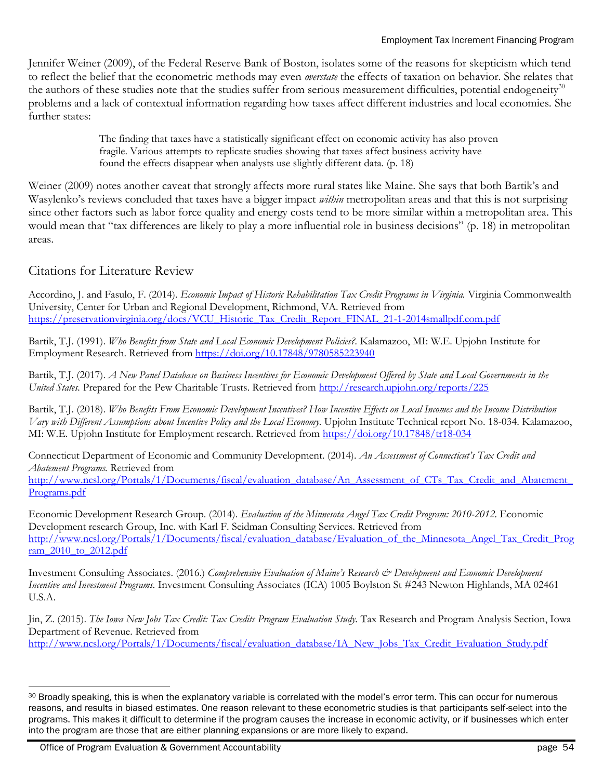Jennifer Weiner (2009), of the Federal Reserve Bank of Boston, isolates some of the reasons for skepticism which tend to reflect the belief that the econometric methods may even *overstate* the effects of taxation on behavior. She relates that the authors of these studies note that the studies suffer from serious measurement difficulties, potential endogeneity<sup>30</sup> problems and a lack of contextual information regarding how taxes affect different industries and local economies. She further states:

> The finding that taxes have a statistically significant effect on economic activity has also proven fragile. Various attempts to replicate studies showing that taxes affect business activity have found the effects disappear when analysts use slightly different data. (p. 18)

Weiner (2009) notes another caveat that strongly affects more rural states like Maine. She says that both Bartik's and Wasylenko's reviews concluded that taxes have a bigger impact *within* metropolitan areas and that this is not surprising since other factors such as labor force quality and energy costs tend to be more similar within a metropolitan area. This would mean that "tax differences are likely to play a more influential role in business decisions" (p. 18) in metropolitan areas.

### Citations for Literature Review

Accordino, J. and Fasulo, F. (2014). *Economic Impact of Historic Rehabilitation Tax Credit Programs in Virginia.* Virginia Commonwealth University, Center for Urban and Regional Development, Richmond, VA. Retrieved from [https://preservationvirginia.org/docs/VCU\\_Historic\\_Tax\\_Credit\\_Report\\_FINAL\\_21-1-2014smallpdf.com.pdf](https://preservationvirginia.org/docs/VCU_Historic_Tax_Credit_Report_FINAL_21-1-2014smallpdf.com.pdf)

Bartik, T.J. (1991). *Who Benefits from State and Local Economic Development Policies?.* Kalamazoo, MI: W.E. Upjohn Institute for Employment Research. Retrieved from<https://doi.org/10.17848/9780585223940>

Bartik, T.J. (2017). *A New Panel Database on Business Incentives for Economic Development Offered by State and Local Governments in the United States.* Prepared for the Pew Charitable Trusts. Retrieved from<http://research.upjohn.org/reports/225>

Bartik, T.J. (2018). *Who Benefits From Economic Development Incentives? How Incentive Effects on Local Incomes and the Income Distribution Vary with Different Assumptions about Incentive Policy and the Local Economy.* Upjohn Institute Technical report No. 18-034. Kalamazoo, MI: W.E. Upjohn Institute for Employment research. Retrieved from <https://doi.org/10.17848/tr18-034>

Connecticut Department of Economic and Community Development. (2014). *An Assessment of Connecticut's Tax Credit and Abatement Programs.* Retrieved from

http://www.ncsl.org/Portals/1/Documents/fiscal/evaluation\_database/An\_Assessment\_of\_CTs\_Tax\_Credit\_and\_Abatement [Programs.pdf](http://www.ncsl.org/Portals/1/Documents/fiscal/evaluation_database/An_Assessment_of_CTs_Tax_Credit_and_Abatement_Programs.pdf)

Economic Development Research Group. (2014). *Evaluation of the Minnesota Angel Tax Credit Program: 2010-2012.* Economic Development research Group, Inc. with Karl F. Seidman Consulting Services. Retrieved from [http://www.ncsl.org/Portals/1/Documents/fiscal/evaluation\\_database/Evaluation\\_of\\_the\\_Minnesota\\_Angel\\_Tax\\_Credit\\_Prog](http://www.ncsl.org/Portals/1/Documents/fiscal/evaluation_database/Evaluation_of_the_Minnesota_Angel_Tax_Credit_Program_2010_to_2012.pdf) [ram\\_2010\\_to\\_2012.pdf](http://www.ncsl.org/Portals/1/Documents/fiscal/evaluation_database/Evaluation_of_the_Minnesota_Angel_Tax_Credit_Program_2010_to_2012.pdf)

Investment Consulting Associates. (2016.) *Comprehensive Evaluation of Maine's Research & Development and Economic Development Incentive and Investment Programs.* Investment Consulting Associates (ICA) 1005 Boylston St #243 Newton Highlands, MA 02461 U.S.A.

Jin, Z. (2015). *The Iowa New Jobs Tax Credit: Tax Credits Program Evaluation Study.* Tax Research and Program Analysis Section, Iowa Department of Revenue. Retrieved from [http://www.ncsl.org/Portals/1/Documents/fiscal/evaluation\\_database/IA\\_New\\_Jobs\\_Tax\\_Credit\\_Evaluation\\_Study.pdf](http://www.ncsl.org/Portals/1/Documents/fiscal/evaluation_database/IA_New_Jobs_Tax_Credit_Evaluation_Study.pdf)

Office of Program Evaluation & Government Accountability **page 54** and page 54

<sup>30</sup> Broadly speaking, this is when the explanatory variable is correlated with the model's error term. This can occur for numerous reasons, and results in biased estimates. One reason relevant to these econometric studies is that participants self-select into the programs. This makes it difficult to determine if the program causes the increase in economic activity, or if businesses which enter into the program are those that are either planning expansions or are more likely to expand.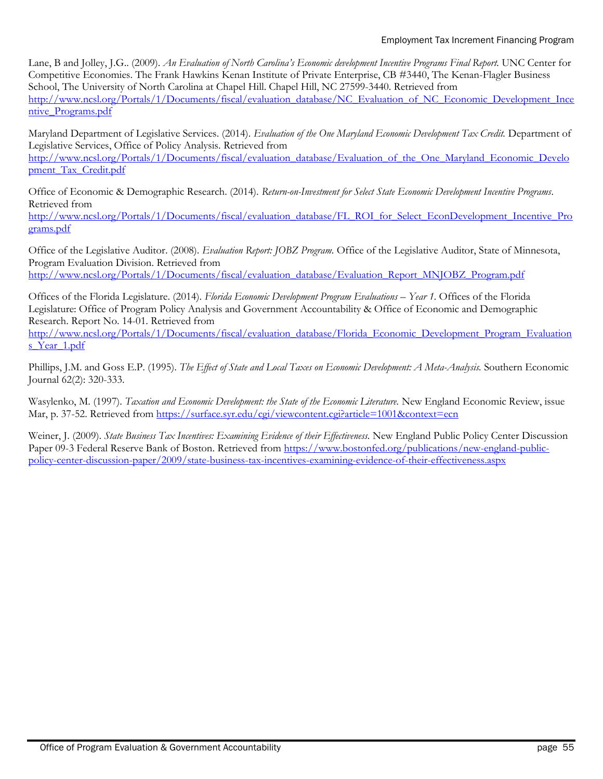#### Employment Tax Increment Financing Program

Lane, B and Jolley, J.G.. (2009). *An Evaluation of North Carolina's Economic development Incentive Programs Final Report.* UNC Center for Competitive Economies. The Frank Hawkins Kenan Institute of Private Enterprise, CB #3440, The Kenan-Flagler Business School, The University of North Carolina at Chapel Hill. Chapel Hill, NC 27599-3440. Retrieved from [http://www.ncsl.org/Portals/1/Documents/fiscal/evaluation\\_database/NC\\_Evaluation\\_of\\_NC\\_Economic\\_Development\\_Ince](http://www.ncsl.org/Portals/1/Documents/fiscal/evaluation_database/NC_Evaluation_of_NC_Economic_Development_Incentive_Programs.pdf) [ntive\\_Programs.pdf](http://www.ncsl.org/Portals/1/Documents/fiscal/evaluation_database/NC_Evaluation_of_NC_Economic_Development_Incentive_Programs.pdf)

Maryland Department of Legislative Services. (2014). *Evaluation of the One Maryland Economic Development Tax Credit.* Department of Legislative Services, Office of Policy Analysis. Retrieved from [http://www.ncsl.org/Portals/1/Documents/fiscal/evaluation\\_database/Evaluation\\_of\\_the\\_One\\_Maryland\\_Economic\\_Develo](http://www.ncsl.org/Portals/1/Documents/fiscal/evaluation_database/Evaluation_of_the_One_Maryland_Economic_Development_Tax_Credit.pdf)

[pment\\_Tax\\_Credit.pdf](http://www.ncsl.org/Portals/1/Documents/fiscal/evaluation_database/Evaluation_of_the_One_Maryland_Economic_Development_Tax_Credit.pdf)

Office of Economic & Demographic Research. (2014). *Return-on-Investment for Select State Economic Development Incentive Programs*. Retrieved from

[http://www.ncsl.org/Portals/1/Documents/fiscal/evaluation\\_database/FL\\_ROI\\_for\\_Select\\_EconDevelopment\\_Incentive\\_Pro](http://www.ncsl.org/Portals/1/Documents/fiscal/evaluation_database/FL_ROI_for_Select_EconDevelopment_Incentive_Programs.pdf) [grams.pdf](http://www.ncsl.org/Portals/1/Documents/fiscal/evaluation_database/FL_ROI_for_Select_EconDevelopment_Incentive_Programs.pdf)

Office of the Legislative Auditor. (2008). *Evaluation Report: JOBZ Program.* Office of the Legislative Auditor, State of Minnesota, Program Evaluation Division. Retrieved from [http://www.ncsl.org/Portals/1/Documents/fiscal/evaluation\\_database/Evaluation\\_Report\\_MNJOBZ\\_Program.pdf](http://www.ncsl.org/Portals/1/Documents/fiscal/evaluation_database/Evaluation_Report_MNJOBZ_Program.pdf)

Offices of the Florida Legislature. (2014). *Florida Economic Development Program Evaluations – Year 1.* Offices of the Florida Legislature: Office of Program Policy Analysis and Government Accountability & Office of Economic and Demographic

Research. Report No. 14-01. Retrieved from [http://www.ncsl.org/Portals/1/Documents/fiscal/evaluation\\_database/Florida\\_Economic\\_Development\\_Program\\_Evaluation](http://www.ncsl.org/Portals/1/Documents/fiscal/evaluation_database/Florida_Economic_Development_Program_Evaluations_Year_1.pdf) s Year 1.pdf

Phillips, J.M. and Goss E.P. (1995). *The Effect of State and Local Taxes on Economic Development: A Meta-Analysis.* Southern Economic Journal 62(2): 320-333.

Wasylenko, M. (1997). *Taxation and Economic Development: the State of the Economic Literature*. New England Economic Review, issue Mar, p. 37-52. Retrieved from<https://surface.syr.edu/cgi/viewcontent.cgi?article=1001&context=ecn>

Weiner, J. (2009). *State Business Tax Incentives: Examining Evidence of their Effectiveness.* New England Public Policy Center Discussion Paper 09-3 Federal Reserve Bank of Boston. Retrieved from [https://www.bostonfed.org/publications/new-england-public](https://www.bostonfed.org/publications/new-england-public-policy-center-discussion-paper/2009/state-business-tax-incentives-examining-evidence-of-their-effectiveness.aspx)[policy-center-discussion-paper/2009/state-business-tax-incentives-examining-evidence-of-their-effectiveness.aspx](https://www.bostonfed.org/publications/new-england-public-policy-center-discussion-paper/2009/state-business-tax-incentives-examining-evidence-of-their-effectiveness.aspx)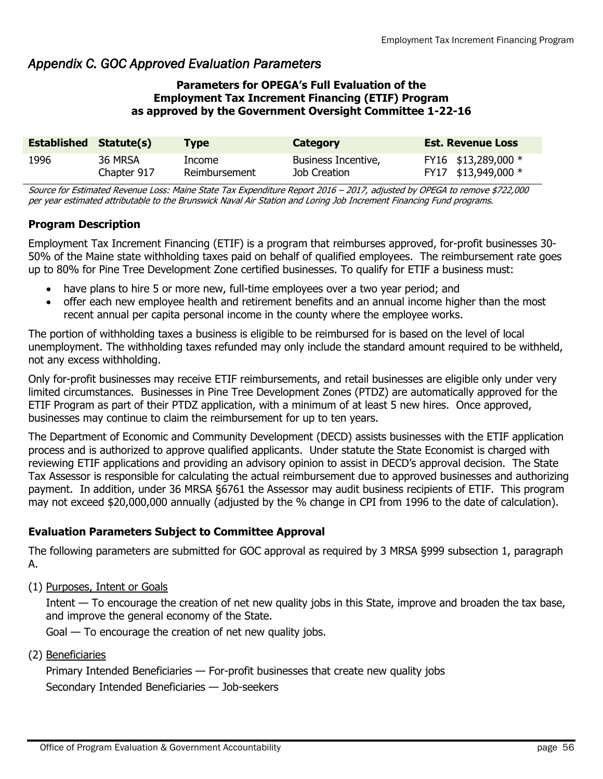### *Appendix C. GOC Approved Evaluation Parameters*

#### **Parameters for OPEGA's Full Evaluation of the Employment Tax Increment Financing (ETIF) Program as approved by the Government Oversight Committee 1-22-16**

| <b>Established Statute(s)</b> |             | <b>Type</b>   | Category            | <b>Est. Revenue Loss</b> |
|-------------------------------|-------------|---------------|---------------------|--------------------------|
| 1996                          | 36 MRSA     | Income        | Business Incentive, | FY16 \$13,289,000 *      |
|                               | Chapter 917 | Reimbursement | Job Creation        | FY17 \$13,949,000 *      |

Source for Estimated Revenue Loss: Maine State Tax Expenditure Report 2016 – 2017, adjusted by OPEGA to remove \$722,000 per year estimated attributable to the Brunswick Naval Air Station and Loring Job Increment Financing Fund programs.

#### **Program Description**

Employment Tax Increment Financing (ETIF) is a program that reimburses approved, for-profit businesses 30- 50% of the Maine state withholding taxes paid on behalf of qualified employees. The reimbursement rate goes up to 80% for Pine Tree Development Zone certified businesses. To qualify for ETIF a business must:

- have plans to hire 5 or more new, full-time employees over a two year period; and
- offer each new employee health and retirement benefits and an annual income higher than the most recent annual per capita personal income in the county where the employee works.

The portion of withholding taxes a business is eligible to be reimbursed for is based on the level of local unemployment. The withholding taxes refunded may only include the standard amount required to be withheld, not any excess withholding.

Only for-profit businesses may receive ETIF reimbursements, and retail businesses are eligible only under very limited circumstances. Businesses in Pine Tree Development Zones (PTDZ) are automatically approved for the ETIF Program as part of their PTDZ application, with a minimum of at least 5 new hires. Once approved, businesses may continue to claim the reimbursement for up to ten years.

The Department of Economic and Community Development (DECD) assists businesses with the ETIF application process and is authorized to approve qualified applicants. Under statute the State Economist is charged with reviewing ETIF applications and providing an advisory opinion to assist in DECD's approval decision. The State Tax Assessor is responsible for calculating the actual reimbursement due to approved businesses and authorizing payment. In addition, under 36 MRSA §6761 the Assessor may audit business recipients of ETIF. This program may not exceed \$20,000,000 annually (adjusted by the % change in CPI from 1996 to the date of calculation).

#### **Evaluation Parameters Subject to Committee Approval**

The following parameters are submitted for GOC approval as required by 3 MRSA §999 subsection 1, paragraph A.

(1) Purposes, Intent or Goals

Intent — To encourage the creation of net new quality jobs in this State, improve and broaden the tax base, and improve the general economy of the State.

Goal — To encourage the creation of net new quality jobs.

(2) Beneficiaries

Primary Intended Beneficiaries — For-profit businesses that create new quality jobs Secondary Intended Beneficiaries — Job-seekers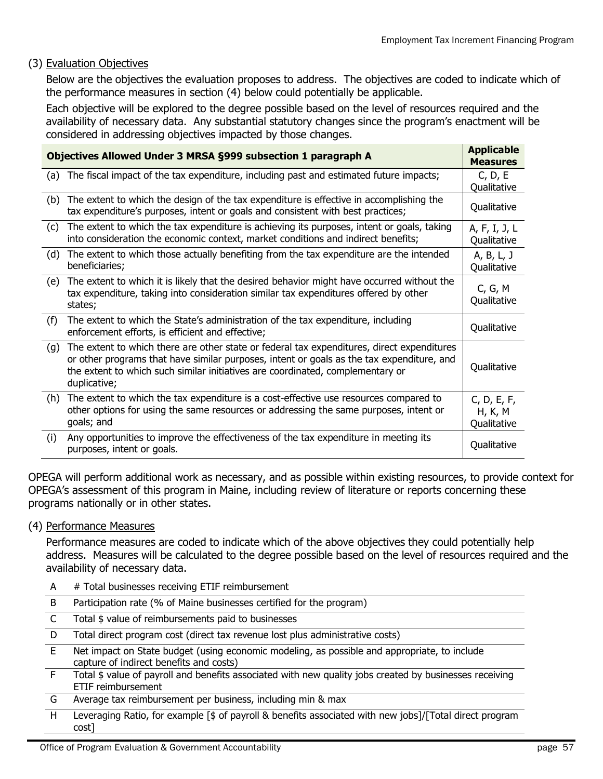#### (3) Evaluation Objectives

Below are the objectives the evaluation proposes to address. The objectives are coded to indicate which of the performance measures in section (4) below could potentially be applicable.

Each objective will be explored to the degree possible based on the level of resources required and the availability of necessary data. Any substantial statutory changes since the program's enactment will be considered in addressing objectives impacted by those changes.

| Objectives Allowed Under 3 MRSA §999 subsection 1 paragraph A |                                                                                                                                                                                                                                                                                           |                                       |
|---------------------------------------------------------------|-------------------------------------------------------------------------------------------------------------------------------------------------------------------------------------------------------------------------------------------------------------------------------------------|---------------------------------------|
|                                                               | (a) The fiscal impact of the tax expenditure, including past and estimated future impacts;                                                                                                                                                                                                | C, D, E<br>Qualitative                |
| (b)                                                           | The extent to which the design of the tax expenditure is effective in accomplishing the<br>tax expenditure's purposes, intent or goals and consistent with best practices;                                                                                                                | Qualitative                           |
| (c)                                                           | The extent to which the tax expenditure is achieving its purposes, intent or goals, taking<br>into consideration the economic context, market conditions and indirect benefits;                                                                                                           | A, F, I, J, L<br>Qualitative          |
| (d)                                                           | The extent to which those actually benefiting from the tax expenditure are the intended<br>beneficiaries;                                                                                                                                                                                 | A, B, L, J<br>Qualitative             |
| (e)                                                           | The extent to which it is likely that the desired behavior might have occurred without the<br>tax expenditure, taking into consideration similar tax expenditures offered by other<br>states;                                                                                             | C, G, M<br>Qualitative                |
| (f)                                                           | The extent to which the State's administration of the tax expenditure, including<br>enforcement efforts, is efficient and effective;                                                                                                                                                      | Qualitative                           |
| (g)                                                           | The extent to which there are other state or federal tax expenditures, direct expenditures<br>or other programs that have similar purposes, intent or goals as the tax expenditure, and<br>the extent to which such similar initiatives are coordinated, complementary or<br>duplicative; | Qualitative                           |
| (h)                                                           | The extent to which the tax expenditure is a cost-effective use resources compared to<br>other options for using the same resources or addressing the same purposes, intent or<br>goals; and                                                                                              | C, D, E, F,<br>H, K, M<br>Qualitative |
| (i)                                                           | Any opportunities to improve the effectiveness of the tax expenditure in meeting its<br>purposes, intent or goals.                                                                                                                                                                        | Qualitative                           |

OPEGA will perform additional work as necessary, and as possible within existing resources, to provide context for OPEGA's assessment of this program in Maine, including review of literature or reports concerning these programs nationally or in other states.

#### (4) Performance Measures

Performance measures are coded to indicate which of the above objectives they could potentially help address. Measures will be calculated to the degree possible based on the level of resources required and the availability of necessary data.

A # Total businesses receiving ETIF reimbursement

|  | Participation rate (% of Maine businesses certified for the program) |  |  |  |  |
|--|----------------------------------------------------------------------|--|--|--|--|
|--|----------------------------------------------------------------------|--|--|--|--|

- C Total \$ value of reimbursements paid to businesses
- D Total direct program cost (direct tax revenue lost plus administrative costs)
- E Net impact on State budget (using economic modeling, as possible and appropriate, to include capture of indirect benefits and costs)
- F Total \$ value of payroll and benefits associated with new quality jobs created by businesses receiving ETIF reimbursement
- G Average tax reimbursement per business, including min & max
- H Leveraging Ratio, for example [\$ of payroll & benefits associated with new jobs]/[Total direct program cost]